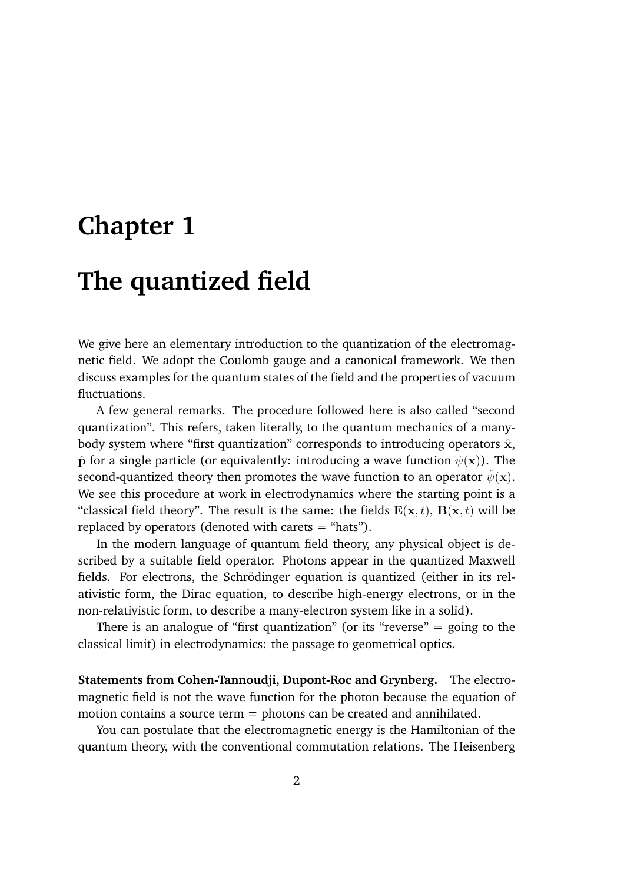# **Chapter 1**

# **The quantized field**

We give here an elementary introduction to the quantization of the electromagnetic field. We adopt the Coulomb gauge and a canonical framework. We then discuss examples for the quantum states of the field and the properties of vacuum fluctuations.

A few general remarks. The procedure followed here is also called "second quantization". This refers, taken literally, to the quantum mechanics of a manybody system where "first quantization" corresponds to introducing operators  $\hat{x}$ ,  $\hat{\mathbf{p}}$  for a single particle (or equivalently: introducing a wave function  $\psi(\mathbf{x})$ ). The second-quantized theory then promotes the wave function to an operator  $\hat{\psi}(\mathbf{x})$ . We see this procedure at work in electrodynamics where the starting point is a "classical field theory". The result is the same: the fields  $E(x, t)$ ,  $B(x, t)$  will be replaced by operators (denoted with carets = "hats").

In the modern language of quantum field theory, any physical object is described by a suitable field operator. Photons appear in the quantized Maxwell fields. For electrons, the Schrödinger equation is quantized (either in its relativistic form, the Dirac equation, to describe high-energy electrons, or in the non-relativistic form, to describe a many-electron system like in a solid).

There is an analogue of "first quantization" (or its "reverse"  $=$  going to the classical limit) in electrodynamics: the passage to geometrical optics.

**Statements from Cohen-Tannoudji, Dupont-Roc and Grynberg.** The electromagnetic field is not the wave function for the photon because the equation of motion contains a source term = photons can be created and annihilated.

You can postulate that the electromagnetic energy is the Hamiltonian of the quantum theory, with the conventional commutation relations. The Heisenberg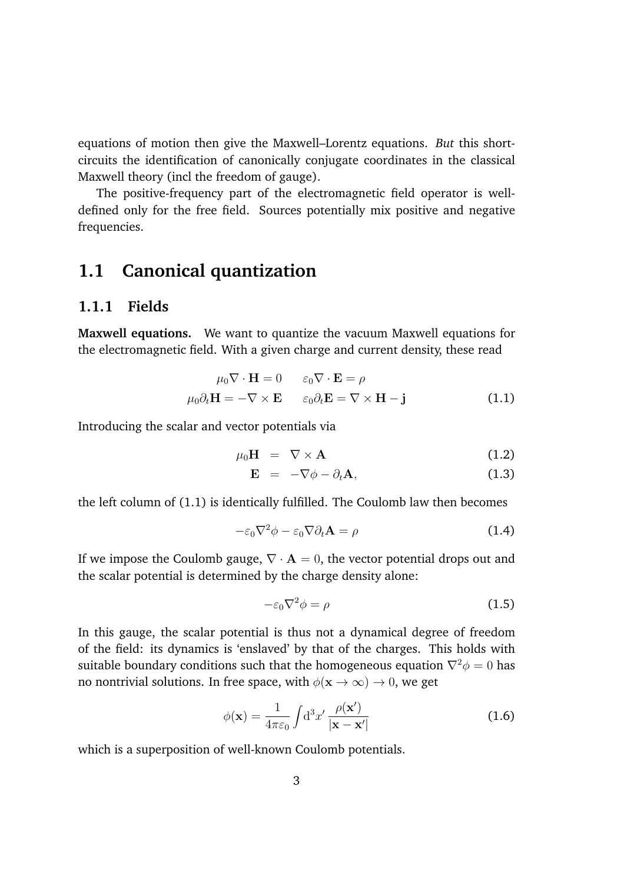equations of motion then give the Maxwell–Lorentz equations. *But* this shortcircuits the identification of canonically conjugate coordinates in the classical Maxwell theory (incl the freedom of gauge).

The positive-frequency part of the electromagnetic field operator is welldefined only for the free field. Sources potentially mix positive and negative frequencies.

# **1.1 Canonical quantization**

## **1.1.1 Fields**

**Maxwell equations.** We want to quantize the vacuum Maxwell equations for the electromagnetic field. With a given charge and current density, these read

$$
\mu_0 \nabla \cdot \mathbf{H} = 0 \qquad \varepsilon_0 \nabla \cdot \mathbf{E} = \rho
$$
  

$$
\mu_0 \partial_t \mathbf{H} = -\nabla \times \mathbf{E} \qquad \varepsilon_0 \partial_t \mathbf{E} = \nabla \times \mathbf{H} - \mathbf{j}
$$
 (1.1)

Introducing the scalar and vector potentials via

$$
\mu_0 \mathbf{H} = \nabla \times \mathbf{A} \tag{1.2}
$$

$$
\mathbf{E} = -\nabla \phi - \partial_t \mathbf{A}, \qquad (1.3)
$$

the left column of (1.1) is identically fulfilled. The Coulomb law then becomes

$$
-\varepsilon_0 \nabla^2 \phi - \varepsilon_0 \nabla \partial_t \mathbf{A} = \rho \tag{1.4}
$$

If we impose the Coulomb gauge,  $\nabla \cdot \mathbf{A} = 0$ , the vector potential drops out and the scalar potential is determined by the charge density alone:

$$
-\varepsilon_0 \nabla^2 \phi = \rho \tag{1.5}
$$

In this gauge, the scalar potential is thus not a dynamical degree of freedom of the field: its dynamics is 'enslaved' by that of the charges. This holds with suitable boundary conditions such that the homogeneous equation  $\nabla^2 \phi = 0$  has no nontrivial solutions. In free space, with  $\phi(\mathbf{x} \to \infty) \to 0$ , we get

$$
\phi(\mathbf{x}) = \frac{1}{4\pi\varepsilon_0} \int d^3x' \frac{\rho(\mathbf{x}')}{|\mathbf{x} - \mathbf{x}'|}
$$
(1.6)

which is a superposition of well-known Coulomb potentials.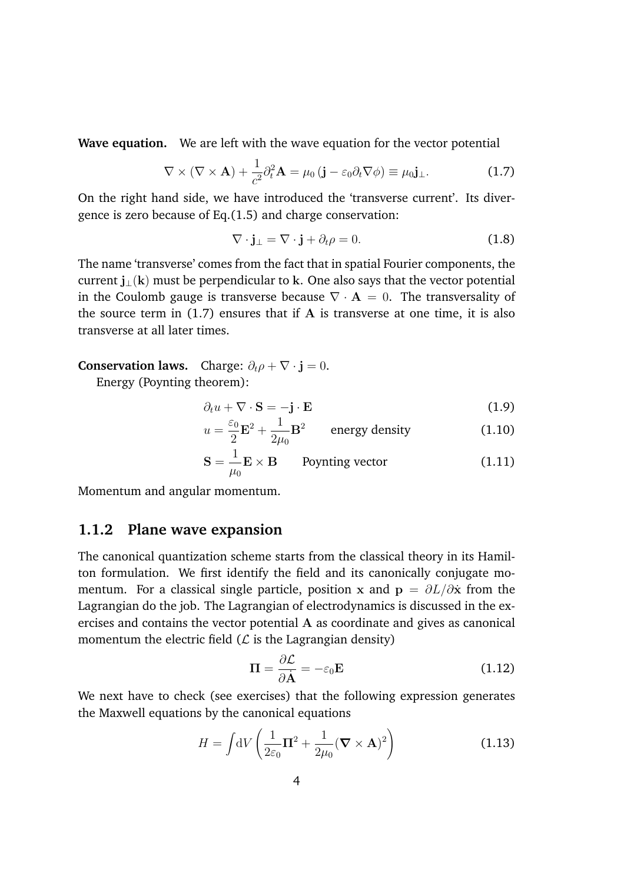**Wave equation.** We are left with the wave equation for the vector potential

$$
\nabla \times (\nabla \times \mathbf{A}) + \frac{1}{c^2} \partial_t^2 \mathbf{A} = \mu_0 (\mathbf{j} - \varepsilon_0 \partial_t \nabla \phi) \equiv \mu_0 \mathbf{j}_\perp.
$$
 (1.7)

On the right hand side, we have introduced the 'transverse current'. Its divergence is zero because of Eq.(1.5) and charge conservation:

$$
\nabla \cdot \mathbf{j}_{\perp} = \nabla \cdot \mathbf{j} + \partial_t \rho = 0. \tag{1.8}
$$

The name 'transverse' comes from the fact that in spatial Fourier components, the current  $j_1(k)$  must be perpendicular to k. One also says that the vector potential in the Coulomb gauge is transverse because  $\nabla \cdot \mathbf{A} = 0$ . The transversality of the source term in  $(1.7)$  ensures that if A is transverse at one time, it is also transverse at all later times.

### **Conservation laws.** Charge:  $\partial_t \rho + \nabla \cdot \mathbf{j} = 0$ .

Energy (Poynting theorem):

$$
\partial_t u + \nabla \cdot \mathbf{S} = -\mathbf{j} \cdot \mathbf{E} \tag{1.9}
$$

$$
u = \frac{\varepsilon_0}{2} \mathbf{E}^2 + \frac{1}{2\mu_0} \mathbf{B}^2
$$
 energy density (1.10)

$$
\mathbf{S} = \frac{1}{\mu_0} \mathbf{E} \times \mathbf{B} \qquad \text{Poynting vector} \tag{1.11}
$$

Momentum and angular momentum.

### **1.1.2 Plane wave expansion**

The canonical quantization scheme starts from the classical theory in its Hamilton formulation. We first identify the field and its canonically conjugate momentum. For a classical single particle, position x and  $p = \partial L / \partial \dot{x}$  from the Lagrangian do the job. The Lagrangian of electrodynamics is discussed in the exercises and contains the vector potential A as coordinate and gives as canonical momentum the electric field  $(L)$  is the Lagrangian density)

$$
\Pi = \frac{\partial \mathcal{L}}{\partial \dot{\mathbf{A}}} = -\varepsilon_0 \mathbf{E} \tag{1.12}
$$

We next have to check (see exercises) that the following expression generates the Maxwell equations by the canonical equations

$$
H = \int dV \left( \frac{1}{2\varepsilon_0} \mathbf{\Pi}^2 + \frac{1}{2\mu_0} (\mathbf{\nabla} \times \mathbf{A})^2 \right)
$$
 (1.13)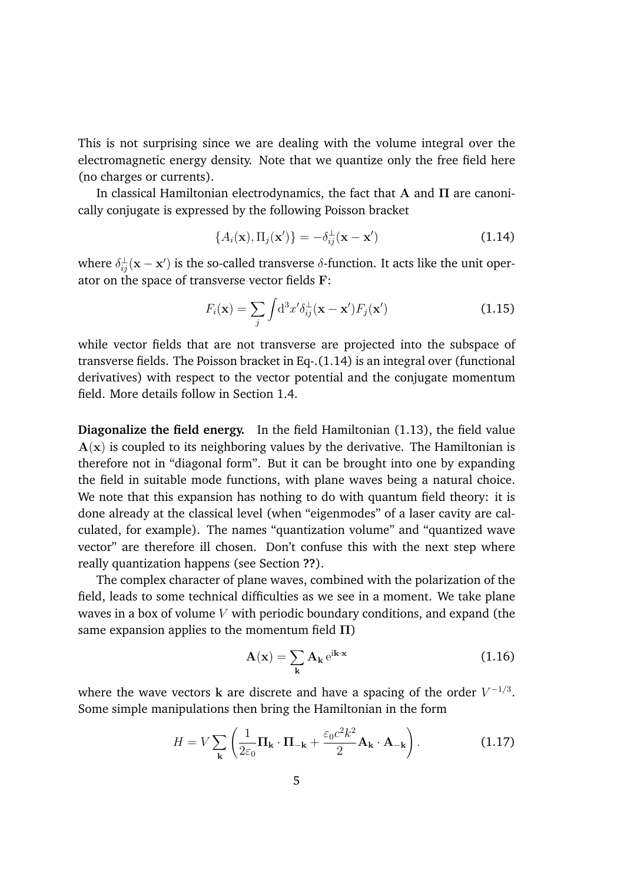This is not surprising since we are dealing with the volume integral over the electromagnetic energy density. Note that we quantize only the free field here (no charges or currents).

In classical Hamiltonian electrodynamics, the fact that A and  $\Pi$  are canonically conjugate is expressed by the following Poisson bracket

$$
\{A_i(\mathbf{x}), \Pi_j(\mathbf{x}')\} = -\delta_{ij}^{\perp}(\mathbf{x} - \mathbf{x}') \tag{1.14}
$$

where  $\delta_{ij}^{\perp}(\mathbf{x} - \mathbf{x}')$  is the so-called transverse  $\delta$ -function. It acts like the unit operator on the space of transverse vector fields F:

$$
F_i(\mathbf{x}) = \sum_j \int \mathrm{d}^3 x' \delta_{ij}^\perp(\mathbf{x} - \mathbf{x}') F_j(\mathbf{x}')
$$
 (1.15)

while vector fields that are not transverse are projected into the subspace of transverse fields. The Poisson bracket in Eq-.(1.14) is an integral over (functional derivatives) with respect to the vector potential and the conjugate momentum field. More details follow in Section 1.4.

**Diagonalize the field energy.** In the field Hamiltonian (1.13), the field value  $A(x)$  is coupled to its neighboring values by the derivative. The Hamiltonian is therefore not in "diagonal form". But it can be brought into one by expanding the field in suitable mode functions, with plane waves being a natural choice. We note that this expansion has nothing to do with quantum field theory: it is done already at the classical level (when "eigenmodes" of a laser cavity are calculated, for example). The names "quantization volume" and "quantized wave vector" are therefore ill chosen. Don't confuse this with the next step where really quantization happens (see Section **??**).

The complex character of plane waves, combined with the polarization of the field, leads to some technical difficulties as we see in a moment. We take plane waves in a box of volume *V* with periodic boundary conditions, and expand (the same expansion applies to the momentum field  $\Pi$ )

$$
\mathbf{A}(\mathbf{x}) = \sum_{\mathbf{k}} \mathbf{A}_{\mathbf{k}} e^{i\mathbf{k}\cdot\mathbf{x}} \tag{1.16}
$$

where the wave vectors **k** are discrete and have a spacing of the order  $V^{-1/3}$ . Some simple manipulations then bring the Hamiltonian in the form

$$
H = V \sum_{\mathbf{k}} \left( \frac{1}{2\varepsilon_0} \mathbf{\Pi}_{\mathbf{k}} \cdot \mathbf{\Pi}_{-\mathbf{k}} + \frac{\varepsilon_0 c^2 k^2}{2} \mathbf{A}_{\mathbf{k}} \cdot \mathbf{A}_{-\mathbf{k}} \right).
$$
 (1.17)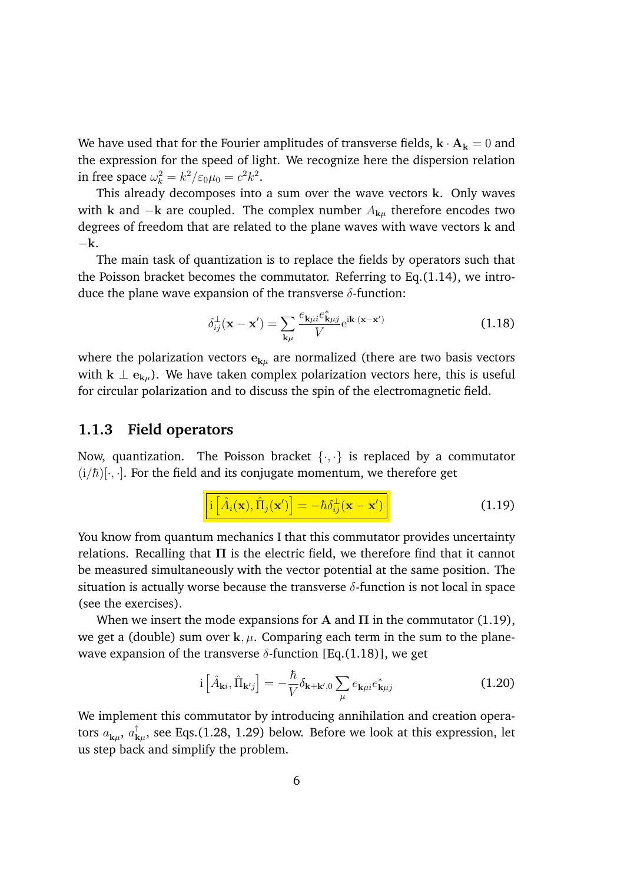We have used that for the Fourier amplitudes of transverse fields,  $\mathbf{k} \cdot \mathbf{A_k} = 0$  and the expression for the speed of light. We recognize here the dispersion relation in free space  $\omega_k^2 = k^2 / \varepsilon_0 \mu_0 = c^2 k^2$ .

This already decomposes into a sum over the wave vectors k. Only waves with k and  $-k$  are coupled. The complex number  $A_{k\mu}$  therefore encodes two degrees of freedom that are related to the plane waves with wave vectors k and  $-k$ .

The main task of quantization is to replace the fields by operators such that the Poisson bracket becomes the commutator. Referring to Eq.(1.14), we introduce the plane wave expansion of the transverse  $\delta$ -function:

$$
\delta_{ij}^{\perp}(\mathbf{x} - \mathbf{x}') = \sum_{\mathbf{k}\mu} \frac{e_{\mathbf{k}\mu i} e_{\mathbf{k}\mu j}^*}{V} e^{i\mathbf{k}\cdot(\mathbf{x} - \mathbf{x}')}
$$
(1.18)

where the polarization vectors  $e_{k\mu}$  are normalized (there are two basis vectors with  $k \perp e_{k\mu}$ ). We have taken complex polarization vectors here, this is useful for circular polarization and to discuss the spin of the electromagnetic field.

### **1.1.3 Field operators**

Now, quantization. The Poisson bracket *{·, ·}* is replaced by a commutator  $(i/\hbar)[\cdot,\cdot]$ . For the field and its conjugate momentum, we therefore get

$$
\left[ i \left[ \hat{A}_i(\mathbf{x}), \hat{\Pi}_j(\mathbf{x}') \right] = -\hbar \delta_{ij}^{\perp}(\mathbf{x} - \mathbf{x}') \right]
$$
 (1.19)

You know from quantum mechanics I that this commutator provides uncertainty relations. Recalling that  $\Pi$  is the electric field, we therefore find that it cannot be measured simultaneously with the vector potential at the same position. The situation is actually worse because the transverse  $\delta$ -function is not local in space (see the exercises).

When we insert the mode expansions for A and  $\Pi$  in the commutator (1.19), we get a (double) sum over  $k, \mu$ . Comparing each term in the sum to the planewave expansion of the transverse  $\delta$ -function [Eq.(1.18)], we get

$$
i\left[\hat{A}_{\mathbf{k}i},\hat{\Pi}_{\mathbf{k}'j}\right] = -\frac{\hbar}{V}\delta_{\mathbf{k}+\mathbf{k}',0}\sum_{\mu}e_{\mathbf{k}\mu i}e_{\mathbf{k}\mu j}^*
$$
(1.20)

We implement this commutator by introducing annihilation and creation operators *a*k*µ*, *a†* <sup>k</sup>*µ*, see Eqs.(1.28, 1.29) below. Before we look at this expression, let us step back and simplify the problem.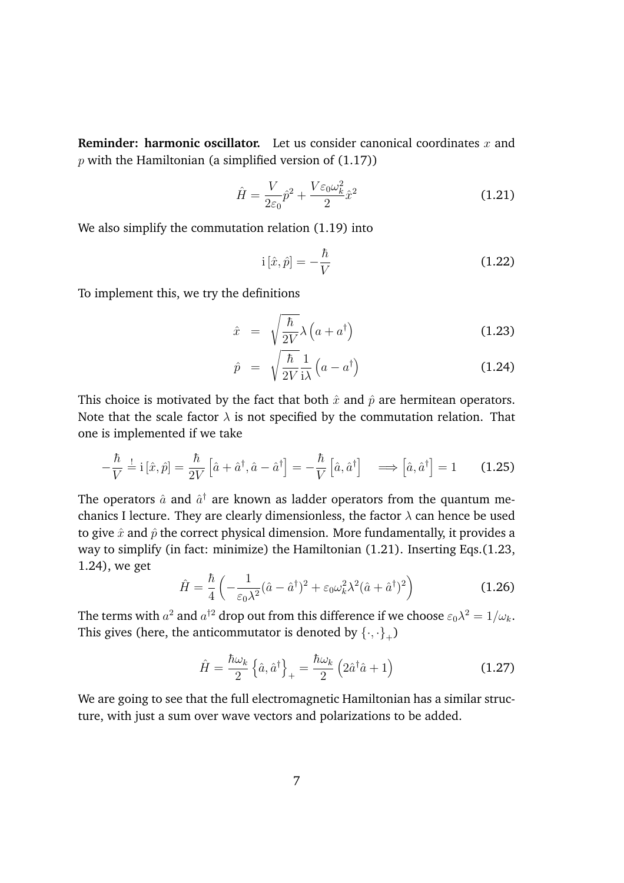**Reminder: harmonic oscillator.** Let us consider canonical coordinates *x* and *p* with the Hamiltonian (a simplified version of (1.17))

$$
\hat{H} = \frac{V}{2\varepsilon_0} \hat{p}^2 + \frac{V\varepsilon_0 \omega_k^2}{2} \hat{x}^2 \tag{1.21}
$$

We also simplify the commutation relation (1.19) into

$$
i\left[\hat{x},\hat{p}\right] = -\frac{\hbar}{V} \tag{1.22}
$$

To implement this, we try the definitions

$$
\hat{x} = \sqrt{\frac{\hbar}{2V}} \lambda \left( a + a^{\dagger} \right) \tag{1.23}
$$

$$
\hat{p} = \sqrt{\frac{\hbar}{2V}} \frac{1}{i\lambda} \left( a - a^{\dagger} \right) \tag{1.24}
$$

This choice is motivated by the fact that both  $\hat{x}$  and  $\hat{p}$  are hermitean operators. Note that the scale factor  $\lambda$  is not specified by the commutation relation. That one is implemented if we take

$$
-\frac{\hbar}{V} \stackrel{!}{=} \mathrm{i} [\hat{x}, \hat{p}] = \frac{\hbar}{2V} [\hat{a} + \hat{a}^{\dagger}, \hat{a} - \hat{a}^{\dagger}] = -\frac{\hbar}{V} [\hat{a}, \hat{a}^{\dagger}] \implies [\hat{a}, \hat{a}^{\dagger}] = 1 \quad (1.25)
$$

The operators  $\hat{a}$  and  $\hat{a}^{\dagger}$  are known as ladder operators from the quantum mechanics I lecture. They are clearly dimensionless, the factor  $\lambda$  can hence be used to give  $\hat{x}$  and  $\hat{p}$  the correct physical dimension. More fundamentally, it provides a way to simplify (in fact: minimize) the Hamiltonian (1.21). Inserting Eqs.(1.23, 1.24), we get

$$
\hat{H} = \frac{\hbar}{4} \left( -\frac{1}{\varepsilon_0 \lambda^2} (\hat{a} - \hat{a}^\dagger)^2 + \varepsilon_0 \omega_k^2 \lambda^2 (\hat{a} + \hat{a}^\dagger)^2 \right) \tag{1.26}
$$

The terms with  $a^2$  and  $a^{\dagger 2}$  drop out from this difference if we choose  $\varepsilon_0 \lambda^2 = 1/\omega_k$ . This gives (here, the anticommutator is denoted by  $\{\cdot, \cdot\}_+$ )

$$
\hat{H} = \frac{\hbar\omega_k}{2} \left\{ \hat{a}, \hat{a}^\dagger \right\}_+ = \frac{\hbar\omega_k}{2} \left( 2\hat{a}^\dagger \hat{a} + 1 \right) \tag{1.27}
$$

We are going to see that the full electromagnetic Hamiltonian has a similar structure, with just a sum over wave vectors and polarizations to be added.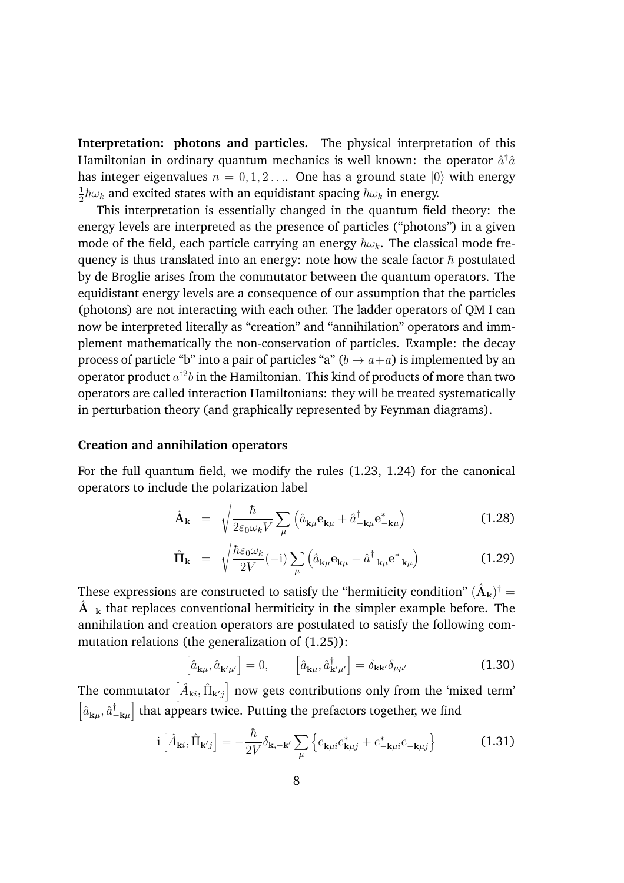**Interpretation: photons and particles.** The physical interpretation of this Hamiltonian in ordinary quantum mechanics is well known: the operator  $\hat{a}^\dagger\hat{a}$ has integer eigenvalues  $n = 0, 1, 2...$  One has a ground state  $|0\rangle$  with energy  $\frac{1}{2}\hbar\omega_k$  and excited states with an equidistant spacing  $\hbar\omega_k$  in energy.

This interpretation is essentially changed in the quantum field theory: the energy levels are interpreted as the presence of particles ("photons") in a given mode of the field, each particle carrying an energy  $\hbar\omega_k$ . The classical mode frequency is thus translated into an energy: note how the scale factor  $\hbar$  postulated by de Broglie arises from the commutator between the quantum operators. The equidistant energy levels are a consequence of our assumption that the particles (photons) are not interacting with each other. The ladder operators of QM I can now be interpreted literally as "creation" and "annihilation" operators and immplement mathematically the non-conservation of particles. Example: the decay process of particle "b" into a pair of particles "a" ( $b \rightarrow a+a$ ) is implemented by an operator product *a†*<sup>2</sup>*b* in the Hamiltonian. This kind of products of more than two operators are called interaction Hamiltonians: they will be treated systematically in perturbation theory (and graphically represented by Feynman diagrams).

### **Creation and annihilation operators**

For the full quantum field, we modify the rules (1.23, 1.24) for the canonical operators to include the polarization label

$$
\hat{\mathbf{A}}_{\mathbf{k}} = \sqrt{\frac{\hbar}{2\varepsilon_0 \omega_k V}} \sum_{\mu} \left( \hat{a}_{\mathbf{k}\mu} \mathbf{e}_{\mathbf{k}\mu} + \hat{a}_{-\mathbf{k}\mu}^{\dagger} \mathbf{e}_{-\mathbf{k}\mu}^* \right)
$$
(1.28)

$$
\hat{\mathbf{\Pi}}_{\mathbf{k}} = \sqrt{\frac{\hbar \varepsilon_0 \omega_k}{2V}} (-i) \sum_{\mu} \left( \hat{a}_{\mathbf{k}\mu} \mathbf{e}_{\mathbf{k}\mu} - \hat{a}_{-\mathbf{k}\mu}^{\dagger} \mathbf{e}_{-\mathbf{k}\mu}^* \right)
$$
(1.29)

These expressions are constructed to satisfy the "hermiticity condition"  $(\hat{A}_{k})^{\dagger} =$  $\hat{A}_{-k}$  that replaces conventional hermiticity in the simpler example before. The annihilation and creation operators are postulated to satisfy the following commutation relations (the generalization of (1.25)):

$$
\left[\hat{a}_{\mathbf{k}\mu},\hat{a}_{\mathbf{k}'\mu'}\right]=0, \qquad \left[\hat{a}_{\mathbf{k}\mu},\hat{a}_{\mathbf{k}'\mu'}^{\dagger}\right]=\delta_{\mathbf{k}\mathbf{k}'}\delta_{\mu\mu'} \tag{1.30}
$$

The commutator  $\big[\hat{A}_{\mathbf{k}i},\hat{\Pi}_{\mathbf{k}'j}\big]$  now gets contributions only from the 'mixed term'  $\left[\hat{a}_{\mathbf{k}\mu},\hat{a}^{\dagger}_{-\mathbf{k}\mu}\right]$ I that appears twice. Putting the prefactors together, we find

$$
i\left[\hat{A}_{\mathbf{k}i},\hat{\Pi}_{\mathbf{k}'j}\right] = -\frac{\hbar}{2V}\delta_{\mathbf{k},-\mathbf{k}'}\sum_{\mu}\left\{e_{\mathbf{k}\mu i}e_{\mathbf{k}\mu j}^{*} + e_{-\mathbf{k}\mu i}^{*}e_{-\mathbf{k}\mu j}\right\}
$$
(1.31)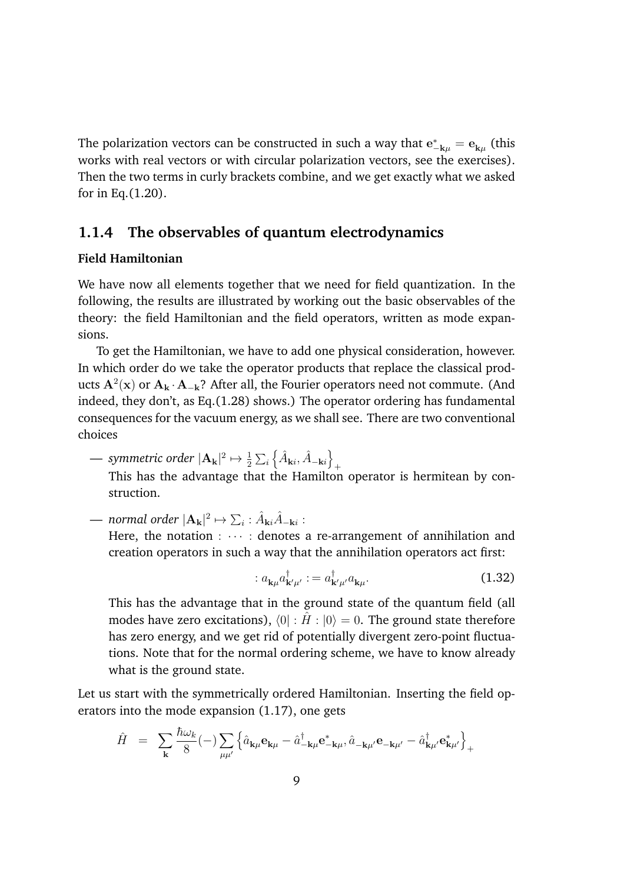The polarization vectors can be constructed in such a way that  $e_{-\mathbf{k}\mu}^* = \mathbf{e}_{\mathbf{k}\mu}$  (this works with real vectors or with circular polarization vectors, see the exercises). Then the two terms in curly brackets combine, and we get exactly what we asked for in Eq.(1.20).

# **1.1.4 The observables of quantum electrodynamics**

### **Field Hamiltonian**

We have now all elements together that we need for field quantization. In the following, the results are illustrated by working out the basic observables of the theory: the field Hamiltonian and the field operators, written as mode expansions.

To get the Hamiltonian, we have to add one physical consideration, however. In which order do we take the operator products that replace the classical products  $A^2(x)$  or  $A_k \cdot A_{-k}$ ? After all, the Fourier operators need not commute. (And indeed, they don't, as Eq.(1.28) shows.) The operator ordering has fundamental consequences for the vacuum energy, as we shall see. There are two conventional choices

— *symmetric order*  $|\mathbf{A_k}|^2 \mapsto \frac{1}{2} \sum_i$  $\left\{\hat{A}_{\mathbf{k}i},\hat{A}_{-\mathbf{k}i}\right\}$ 

+ This has the advantage that the Hamilton operator is hermitean by construction.

— normal order  $|\mathbf{A_k}|^2 \mapsto \sum_i : \hat{A}_{\mathbf{k} i} \hat{A}_{-\mathbf{k} i}$ :

Here, the notation :  $\cdots$  : denotes a re-arrangement of annihilation and creation operators in such a way that the annihilation operators act first:

$$
: a_{\mathbf{k}\mu} a_{\mathbf{k}'\mu'}^{\dagger} := a_{\mathbf{k}'\mu'}^{\dagger} a_{\mathbf{k}\mu}.
$$
 (1.32)

This has the advantage that in the ground state of the quantum field (all modes have zero excitations),  $\langle 0| : \hat{H} : |0\rangle = 0$ . The ground state therefore has zero energy, and we get rid of potentially divergent zero-point fluctuations. Note that for the normal ordering scheme, we have to know already what is the ground state.

Let us start with the symmetrically ordered Hamiltonian. Inserting the field operators into the mode expansion (1.17), one gets

$$
\hat{H} = \sum_{\mathbf{k}} \frac{\hbar \omega_k}{8} (-) \sum_{\mu \mu'} \left\{ \hat{a}_{\mathbf{k} \mu} \mathbf{e}_{\mathbf{k} \mu} - \hat{a}_{-\mathbf{k} \mu}^{\dagger} \mathbf{e}_{-\mathbf{k} \mu}^{*}, \hat{a}_{-\mathbf{k} \mu'} \mathbf{e}_{-\mathbf{k} \mu'} - \hat{a}_{\mathbf{k} \mu'}^{\dagger} \mathbf{e}_{\mathbf{k} \mu'}^{*} \right\}_{+}
$$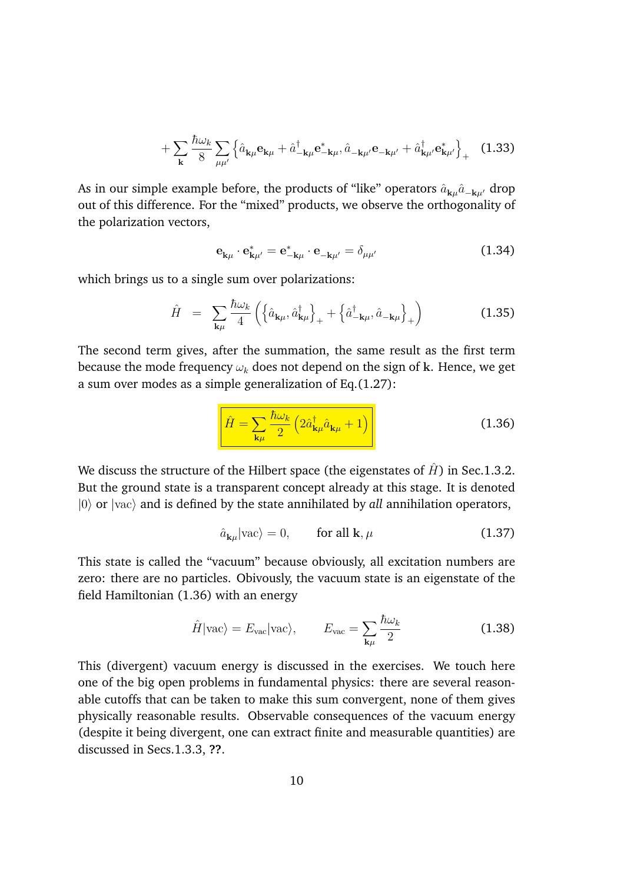$$
+\sum_{\mathbf{k}}\frac{\hbar\omega_{k}}{8}\sum_{\mu\mu'}\left\{\hat{a}_{\mathbf{k}\mu}\mathbf{e}_{\mathbf{k}\mu}+\hat{a}_{-\mathbf{k}\mu}^{\dagger}\mathbf{e}_{-\mathbf{k}\mu}^{*},\hat{a}_{-\mathbf{k}\mu'}\mathbf{e}_{-\mathbf{k}\mu'}+\hat{a}_{\mathbf{k}\mu'}^{\dagger}\mathbf{e}_{\mathbf{k}\mu'}^{*}\right\}_{+}
$$
(1.33)

As in our simple example before, the products of "like" operators  $\hat{a}_{k\mu}\hat{a}_{-\mathbf{k}\mu}$  drop out of this difference. For the "mixed" products, we observe the orthogonality of the polarization vectors,

$$
\mathbf{e}_{\mathbf{k}\mu} \cdot \mathbf{e}_{\mathbf{k}\mu'}^* = \mathbf{e}_{-\mathbf{k}\mu}^* \cdot \mathbf{e}_{-\mathbf{k}\mu'} = \delta_{\mu\mu'}
$$
 (1.34)

which brings us to a single sum over polarizations:

$$
\hat{H} = \sum_{\mathbf{k}\mu} \frac{\hbar \omega_k}{4} \left( \left\{ \hat{a}_{\mathbf{k}\mu}, \hat{a}_{\mathbf{k}\mu}^{\dagger} \right\}_+ + \left\{ \hat{a}_{-\mathbf{k}\mu}^{\dagger}, \hat{a}_{-\mathbf{k}\mu} \right\}_+ \right)
$$
(1.35)

The second term gives, after the summation, the same result as the first term because the mode frequency  $\omega_k$  does not depend on the sign of k. Hence, we get a sum over modes as a simple generalization of Eq.(1.27):

$$
\hat{H} = \sum_{\mathbf{k}\mu} \frac{\hbar \omega_k}{2} \left( 2 \hat{a}_{\mathbf{k}\mu}^\dagger \hat{a}_{\mathbf{k}\mu} + 1 \right)
$$
 (1.36)

We discuss the structure of the Hilbert space (the eigenstates of  $\hat{H}$ ) in Sec.1.3.2. But the ground state is a transparent concept already at this stage. It is denoted *|0*} or *|vac*} and is defined by the state annihilated by *all* annihilation operators,

$$
\hat{a}_{\mathbf{k}\mu}|\text{vac}\rangle = 0, \qquad \text{for all } \mathbf{k}, \mu \tag{1.37}
$$

This state is called the "vacuum" because obviously, all excitation numbers are zero: there are no particles. Obivously, the vacuum state is an eigenstate of the field Hamiltonian (1.36) with an energy

$$
\hat{H}|\text{vac}\rangle = E_{\text{vac}}|\text{vac}\rangle, \qquad E_{\text{vac}} = \sum_{\mathbf{k}\mu} \frac{\hbar \omega_k}{2} \tag{1.38}
$$

This (divergent) vacuum energy is discussed in the exercises. We touch here one of the big open problems in fundamental physics: there are several reasonable cutoffs that can be taken to make this sum convergent, none of them gives physically reasonable results. Observable consequences of the vacuum energy (despite it being divergent, one can extract finite and measurable quantities) are discussed in Secs.1.3.3, **??**.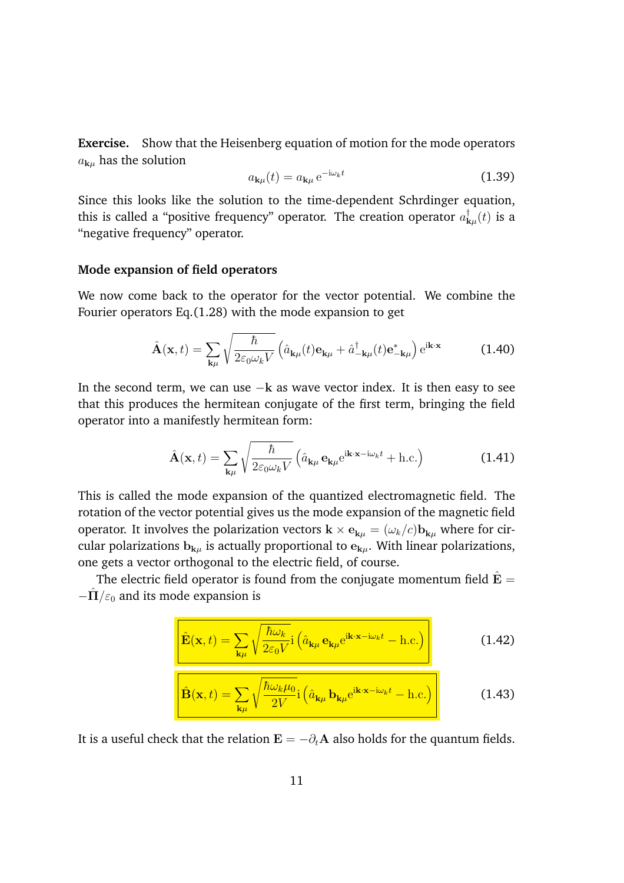**Exercise.** Show that the Heisenberg equation of motion for the mode operators  $a_{k\mu}$  has the solution

$$
a_{\mathbf{k}\mu}(t) = a_{\mathbf{k}\mu} e^{-i\omega_k t} \tag{1.39}
$$

Since this looks like the solution to the time-dependent Schrdinger equation, this is called a "positive frequency" operator. The creation operator  $a^{\dagger}_{{\bf k} \mu}(t)$  is a "negative frequency" operator.

### **Mode expansion of field operators**

We now come back to the operator for the vector potential. We combine the Fourier operators Eq.(1.28) with the mode expansion to get

$$
\hat{\mathbf{A}}(\mathbf{x},t) = \sum_{\mathbf{k}\mu} \sqrt{\frac{\hbar}{2\varepsilon_0 \omega_k V}} \left( \hat{a}_{\mathbf{k}\mu}(t) \mathbf{e}_{\mathbf{k}\mu} + \hat{a}_{-\mathbf{k}\mu}^{\dagger}(t) \mathbf{e}_{-\mathbf{k}\mu}^* \right) e^{\mathbf{i}\mathbf{k}\cdot\mathbf{x}} \tag{1.40}
$$

In the second term, we can use  $-k$  as wave vector index. It is then easy to see that this produces the hermitean conjugate of the first term, bringing the field operator into a manifestly hermitean form:

$$
\hat{\mathbf{A}}(\mathbf{x},t) = \sum_{\mathbf{k}\mu} \sqrt{\frac{\hbar}{2\varepsilon_0 \omega_k V}} \left( \hat{a}_{\mathbf{k}\mu} \mathbf{e}_{\mathbf{k}\mu} e^{i\mathbf{k}\cdot\mathbf{x}-i\omega_k t} + \text{h.c.} \right)
$$
(1.41)

This is called the mode expansion of the quantized electromagnetic field. The rotation of the vector potential gives us the mode expansion of the magnetic field operator. It involves the polarization vectors  $\mathbf{k} \times \mathbf{e}_{\mathbf{k}u} = (\omega_k/c)\mathbf{b}_{\mathbf{k}u}$  where for circular polarizations  $b_{k\mu}$  is actually proportional to  $e_{k\mu}$ . With linear polarizations, one gets a vector orthogonal to the electric field, of course.

The electric field operator is found from the conjugate momentum field  $\hat{E} =$  $-\hat{\Pi}/\varepsilon_0$  and its mode expansion is

$$
\hat{\mathbf{E}}(\mathbf{x},t) = \sum_{\mathbf{k}\mu} \sqrt{\frac{\hbar \omega_k}{2\varepsilon_0 V}} \mathbf{i} \left( \hat{a}_{\mathbf{k}\mu} \mathbf{e}_{\mathbf{k}\mu} e^{i\mathbf{k}\cdot\mathbf{x}-i\omega_k t} - \text{h.c.} \right)
$$
(1.42)

$$
\hat{\mathbf{B}}(\mathbf{x},t) = \sum_{\mathbf{k}\mu} \sqrt{\frac{\hbar \omega_k \mu_0}{2V}} \mathbf{i} \left( \hat{a}_{\mathbf{k}\mu} \, \mathbf{b}_{\mathbf{k}\mu} e^{\mathbf{i} \mathbf{k} \cdot \mathbf{x} - \mathbf{i} \omega_k t} - \text{h.c.} \right)
$$
 (1.43)

It is a useful check that the relation  $\mathbf{E} = -\partial_t \mathbf{A}$  also holds for the quantum fields.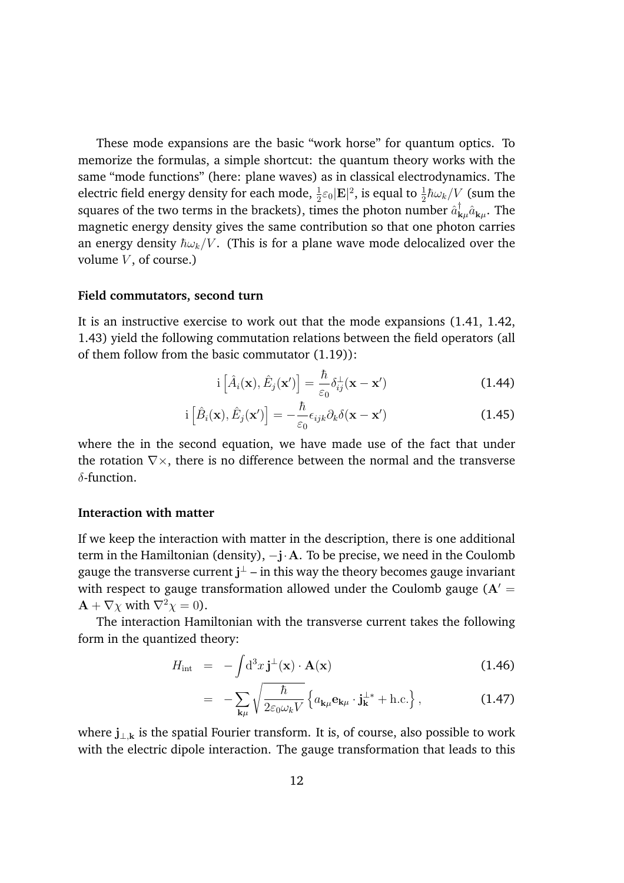These mode expansions are the basic "work horse" for quantum optics. To memorize the formulas, a simple shortcut: the quantum theory works with the same "mode functions" (here: plane waves) as in classical electrodynamics. The electric field energy density for each mode,  $\frac{1}{2}\varepsilon_0|\mathbf{E}|^2$ , is equal to  $\frac{1}{2}\hbar\omega_k/V$  (sum the squares of the two terms in the brackets), times the photon number  $\hat{a}^{\dagger}_{{\bf k}\mu}\hat{a}_{{\bf k}\mu}$ . The magnetic energy density gives the same contribution so that one photon carries an energy density  $\hbar \omega_k / V$ . (This is for a plane wave mode delocalized over the volume *V*, of course.)

#### **Field commutators, second turn**

It is an instructive exercise to work out that the mode expansions (1.41, 1.42, 1.43) yield the following commutation relations between the field operators (all of them follow from the basic commutator (1.19)):

$$
i\left[\hat{A}_i(\mathbf{x}), \hat{E}_j(\mathbf{x}')\right] = \frac{\hbar}{\varepsilon_0} \delta_{ij}^{\perp}(\mathbf{x} - \mathbf{x}') \tag{1.44}
$$

$$
i\left[\hat{B}_{i}(\mathbf{x}),\hat{E}_{j}(\mathbf{x}')\right] = -\frac{\hbar}{\varepsilon_{0}}\epsilon_{ijk}\partial_{k}\delta(\mathbf{x}-\mathbf{x}')\tag{1.45}
$$

where the in the second equation, we have made use of the fact that under the rotation  $\nabla \times$ , there is no difference between the normal and the transverse  $\delta$ -function.

### **Interaction with matter**

If we keep the interaction with matter in the description, there is one additional term in the Hamiltonian (density),  $-j \cdot A$ . To be precise, we need in the Coulomb gauge the transverse current  ${\bf j}^{\perp}$  – in this way the theory becomes gauge invariant with respect to gauge transformation allowed under the Coulomb gauge  $(A =$  $\mathbf{A} + \nabla \chi$  with  $\nabla^2 \chi = 0$ ).

The interaction Hamiltonian with the transverse current takes the following form in the quantized theory:

$$
H_{\rm int} = -\int d^3x \,\mathbf{j}^{\perp}(\mathbf{x}) \cdot \mathbf{A}(\mathbf{x}) \tag{1.46}
$$

$$
= -\sum_{\mathbf{k}\mu} \sqrt{\frac{\hbar}{2\varepsilon_0 \omega_k V}} \left\{ a_{\mathbf{k}\mu} \mathbf{e}_{\mathbf{k}\mu} \cdot \mathbf{j}_{\mathbf{k}}^{\perp *} + \text{h.c.} \right\}, \tag{1.47}
$$

where  $j_{\perp,k}$  is the spatial Fourier transform. It is, of course, also possible to work with the electric dipole interaction. The gauge transformation that leads to this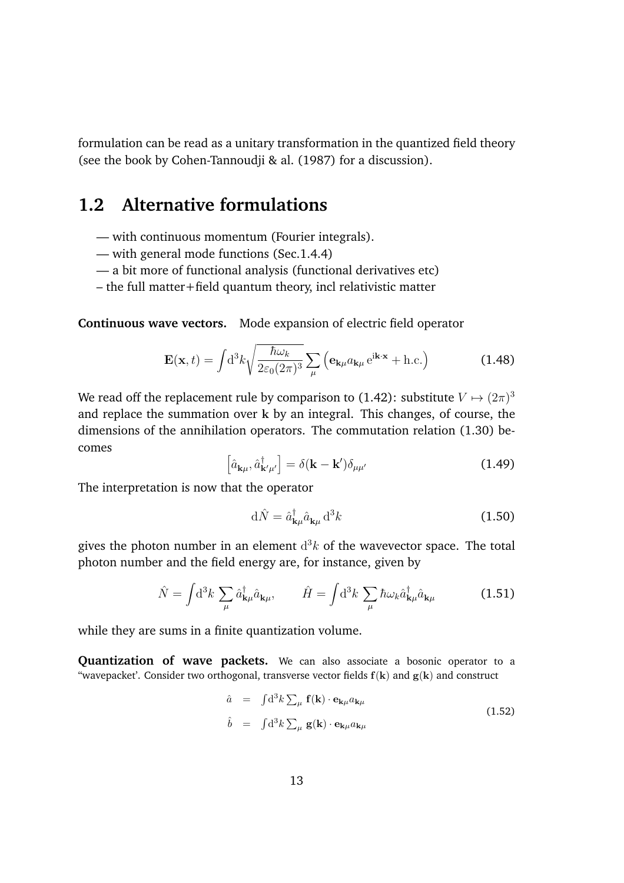formulation can be read as a unitary transformation in the quantized field theory (see the book by Cohen-Tannoudji & al. (1987) for a discussion).

# **1.2 Alternative formulations**

- with continuous momentum (Fourier integrals).
- with general mode functions (Sec.1.4.4)
- a bit more of functional analysis (functional derivatives etc)
- the full matter+field quantum theory, incl relativistic matter

**Continuous wave vectors.** Mode expansion of electric field operator

$$
\mathbf{E}(\mathbf{x},t) = \int d^3k \sqrt{\frac{\hbar \omega_k}{2\varepsilon_0 (2\pi)^3}} \sum_{\mu} \left( \mathbf{e}_{\mathbf{k}\mu} a_{\mathbf{k}\mu} e^{i\mathbf{k}\cdot\mathbf{x}} + \text{h.c.} \right)
$$
(1.48)

We read off the replacement rule by comparison to (1.42): substitute  $V \mapsto (2\pi)^3$ and replace the summation over k by an integral. This changes, of course, the dimensions of the annihilation operators. The commutation relation (1.30) becomes

$$
\left[\hat{a}_{\mathbf{k}\mu},\hat{a}_{\mathbf{k}'\mu'}^{\dagger}\right] = \delta(\mathbf{k} - \mathbf{k}')\delta_{\mu\mu'}
$$
\n(1.49)

The interpretation is now that the operator

$$
\mathrm{d}\hat{N} = \hat{a}_{\mathbf{k}\mu}^{\dagger} \hat{a}_{\mathbf{k}\mu} \mathrm{d}^3 k \tag{1.50}
$$

gives the photon number in an element  $d^3k$  of the wavevector space. The total photon number and the field energy are, for instance, given by

$$
\hat{N} = \int d^3k \sum_{\mu} \hat{a}^{\dagger}_{\mathbf{k}\mu} \hat{a}_{\mathbf{k}\mu}, \qquad \hat{H} = \int d^3k \sum_{\mu} \hbar \omega_k \hat{a}^{\dagger}_{\mathbf{k}\mu} \hat{a}_{\mathbf{k}\mu}
$$
(1.51)

while they are sums in a finite quantization volume.

**Quantization of wave packets.** We can also associate a bosonic operator to a "wavepacket'. Consider two orthogonal, transverse vector fields  $f(k)$  and  $g(k)$  and construct

$$
\hat{a} = \int d^3k \sum_{\mu} \mathbf{f}(\mathbf{k}) \cdot \mathbf{e}_{\mathbf{k}\mu} a_{\mathbf{k}\mu} \n\hat{b} = \int d^3k \sum_{\mu} \mathbf{g}(\mathbf{k}) \cdot \mathbf{e}_{\mathbf{k}\mu} a_{\mathbf{k}\mu}
$$
\n(1.52)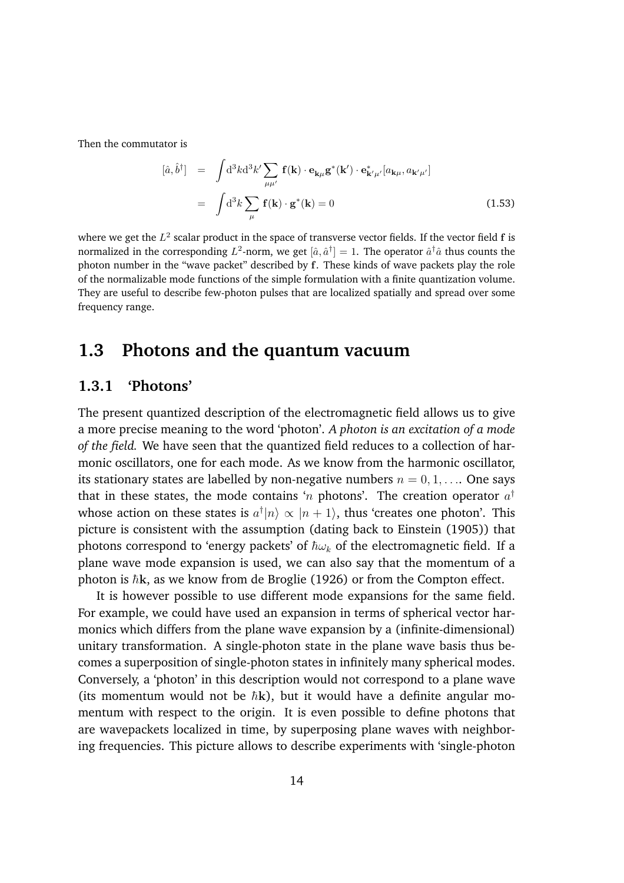Then the commutator is

$$
[\hat{a}, \hat{b}^{\dagger}] = \int d^3k d^3k' \sum_{\mu\mu'} \mathbf{f}(\mathbf{k}) \cdot \mathbf{e}_{\mathbf{k}\mu} \mathbf{g}^*(\mathbf{k}') \cdot \mathbf{e}_{\mathbf{k}'\mu'}^* [a_{\mathbf{k}\mu}, a_{\mathbf{k}'\mu'}]
$$

$$
= \int d^3k \sum_{\mu} \mathbf{f}(\mathbf{k}) \cdot \mathbf{g}^*(\mathbf{k}) = 0
$$
(1.53)

where we get the  $L^2$  scalar product in the space of transverse vector fields. If the vector field f is normalized in the corresponding  $L^2$ -norm, we get  $[\hat{a}, \hat{a}^\dagger] = 1$ . The operator  $\hat{a}^\dagger \hat{a}$  thus counts the photon number in the "wave packet" described by f. These kinds of wave packets play the role of the normalizable mode functions of the simple formulation with a finite quantization volume. They are useful to describe few-photon pulses that are localized spatially and spread over some frequency range.

# **1.3 Photons and the quantum vacuum**

# **1.3.1 'Photons'**

The present quantized description of the electromagnetic field allows us to give a more precise meaning to the word 'photon'. *A photon is an excitation of a mode of the field.* We have seen that the quantized field reduces to a collection of harmonic oscillators, one for each mode. As we know from the harmonic oscillator, its stationary states are labelled by non-negative numbers  $n = 0, 1, \ldots$  One says that in these states, the mode contains '*n* photons'. The creation operator  $a^{\dagger}$ whose action on these states is  $a^{\dagger} |n\rangle \propto |n+1\rangle$ , thus 'creates one photon'. This picture is consistent with the assumption (dating back to Einstein (1905)) that photons correspond to 'energy packets' of  $\hbar\omega_k$  of the electromagnetic field. If a plane wave mode expansion is used, we can also say that the momentum of a photon is  $\hbar$ **k**, as we know from de Broglie (1926) or from the Compton effect.

It is however possible to use different mode expansions for the same field. For example, we could have used an expansion in terms of spherical vector harmonics which differs from the plane wave expansion by a (infinite-dimensional) unitary transformation. A single-photon state in the plane wave basis thus becomes a superposition of single-photon states in infinitely many spherical modes. Conversely, a 'photon' in this description would not correspond to a plane wave (its momentum would not be  $\hbar$ k), but it would have a definite angular momentum with respect to the origin. It is even possible to define photons that are wavepackets localized in time, by superposing plane waves with neighboring frequencies. This picture allows to describe experiments with 'single-photon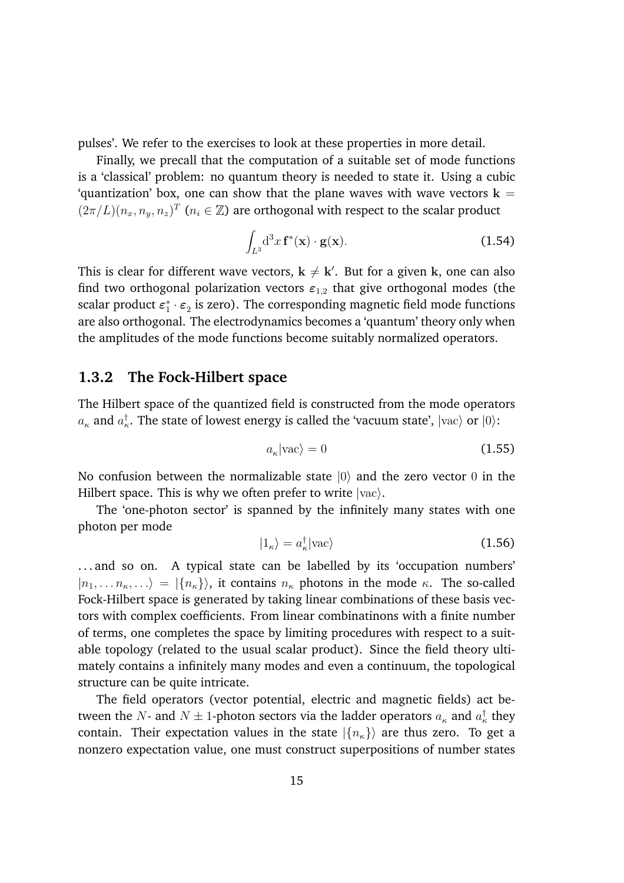pulses'. We refer to the exercises to look at these properties in more detail.

Finally, we precall that the computation of a suitable set of mode functions is a 'classical' problem: no quantum theory is needed to state it. Using a cubic 'quantization' box, one can show that the plane waves with wave vectors  $k =$  $(2\pi/L)(n_x, n_y, n_z)^T$  ( $n_i \in \mathbb{Z}$ ) are orthogonal with respect to the scalar product

$$
\int_{L^3} \mathrm{d}^3 x \, \mathbf{f}^*(\mathbf{x}) \cdot \mathbf{g}(\mathbf{x}).\tag{1.54}
$$

This is clear for different wave vectors,  ${\bf k} \neq {\bf k}'$ . But for a given  ${\bf k}$ , one can also find two orthogonal polarization vectors  $\varepsilon_{1,2}$  that give orthogonal modes (the scalar product  $\bm{\varepsilon}_1^* \cdot \bm{\varepsilon}_2$  is zero). The corresponding magnetic field mode functions are also orthogonal. The electrodynamics becomes a 'quantum' theory only when the amplitudes of the mode functions become suitably normalized operators.

### **1.3.2 The Fock-Hilbert space**

The Hilbert space of the quantized field is constructed from the mode operators  $a_{\kappa}$  and  $a_{\kappa}^{\dagger}$ . The state of lowest energy is called the 'vacuum state',  $|{\rm vac}\rangle$  or  $|0\rangle$ :

$$
a_{\kappa}|\text{vac}\rangle = 0\tag{1.55}
$$

No confusion between the normalizable state  $|0\rangle$  and the zero vector  $0$  in the Hilbert space. This is why we often prefer to write  $|{\rm vac}\rangle$ .

The 'one-photon sector' is spanned by the infinitely many states with one photon per mode

$$
|1_{\kappa}\rangle = a_{\kappa}^{\dagger}|vac\rangle \tag{1.56}
$$

... and so on. A typical state can be labelled by its 'occupation numbers'  $|n_1, \ldots n_k, \ldots \rangle = |n_k|$ , it contains  $n_k$  photons in the mode  $\kappa$ . The so-called Fock-Hilbert space is generated by taking linear combinations of these basis vectors with complex coefficients. From linear combinatinons with a finite number of terms, one completes the space by limiting procedures with respect to a suitable topology (related to the usual scalar product). Since the field theory ultimately contains a infinitely many modes and even a continuum, the topological structure can be quite intricate.

The field operators (vector potential, electric and magnetic fields) act between the  $N$ - and  $N \pm 1$ -photon sectors via the ladder operators  $a_{\kappa}$  and  $a_{\kappa}^{\dagger}$  they contain. Their expectation values in the state  $|{n_{\kappa}}\rangle$  are thus zero. To get a nonzero expectation value, one must construct superpositions of number states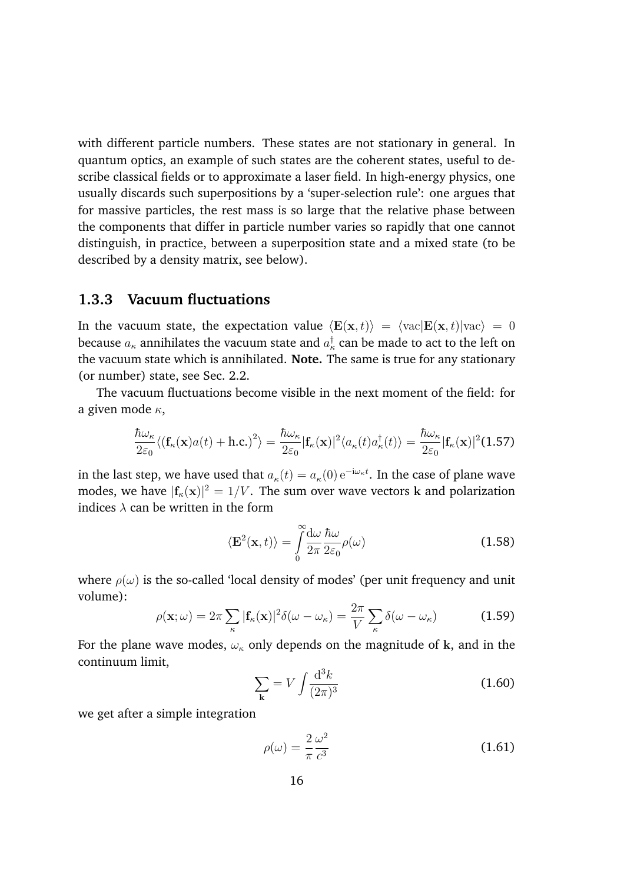with different particle numbers. These states are not stationary in general. In quantum optics, an example of such states are the coherent states, useful to describe classical fields or to approximate a laser field. In high-energy physics, one usually discards such superpositions by a 'super-selection rule': one argues that for massive particles, the rest mass is so large that the relative phase between the components that differ in particle number varies so rapidly that one cannot distinguish, in practice, between a superposition state and a mixed state (to be described by a density matrix, see below).

# **1.3.3 Vacuum fluctuations**

In the vacuum state, the expectation value  $\langle \mathbf{E}(\mathbf{x}, t) \rangle = \langle \text{vac} | \mathbf{E}(\mathbf{x}, t) | \text{vac} \rangle = 0$ because  $a_{\kappa}$  annihilates the vacuum state and  $a_{\kappa}^{\dagger}$  can be made to act to the left on the vacuum state which is annihilated. **Note.** The same is true for any stationary (or number) state, see Sec. 2.2.

The vacuum fluctuations become visible in the next moment of the field: for a given mode  $\kappa$ ,

$$
\frac{\hbar\omega_{\kappa}}{2\varepsilon_{0}}\langle(\mathbf{f}_{\kappa}(\mathbf{x})a(t)+\mathbf{h.c.})^{2}\rangle=\frac{\hbar\omega_{\kappa}}{2\varepsilon_{0}}|\mathbf{f}_{\kappa}(\mathbf{x})|^{2}\langle a_{\kappa}(t)a_{\kappa}^{\dagger}(t)\rangle=\frac{\hbar\omega_{\kappa}}{2\varepsilon_{0}}|\mathbf{f}_{\kappa}(\mathbf{x})|^{2}(1.57)
$$

in the last step, we have used that  $a_{\kappa}(t) = a_{\kappa}(0) \, \mathrm{e}^{-\mathrm{i} \omega_{\kappa} t}$ . In the case of plane wave modes, we have  $|\mathbf{f}_{\kappa}(\mathbf{x})|^2 = 1/V$ . The sum over wave vectors k and polarization indices  $\lambda$  can be written in the form

$$
\langle \mathbf{E}^2(\mathbf{x},t) \rangle = \int_0^\infty \frac{d\omega}{2\pi} \frac{\hbar\omega}{2\varepsilon_0} \rho(\omega) \tag{1.58}
$$

where  $\rho(\omega)$  is the so-called 'local density of modes' (per unit frequency and unit volume):

$$
\rho(\mathbf{x};\omega) = 2\pi \sum_{\kappa} |\mathbf{f}_{\kappa}(\mathbf{x})|^2 \delta(\omega - \omega_{\kappa}) = \frac{2\pi}{V} \sum_{\kappa} \delta(\omega - \omega_{\kappa})
$$
(1.59)

For the plane wave modes,  $\omega_{\kappa}$  only depends on the magnitude of k, and in the continuum limit,

$$
\sum_{\mathbf{k}} = V \int \frac{d^3 k}{(2\pi)^3}
$$
 (1.60)

we get after a simple integration

$$
\rho(\omega) = \frac{2}{\pi} \frac{\omega^2}{c^3} \tag{1.61}
$$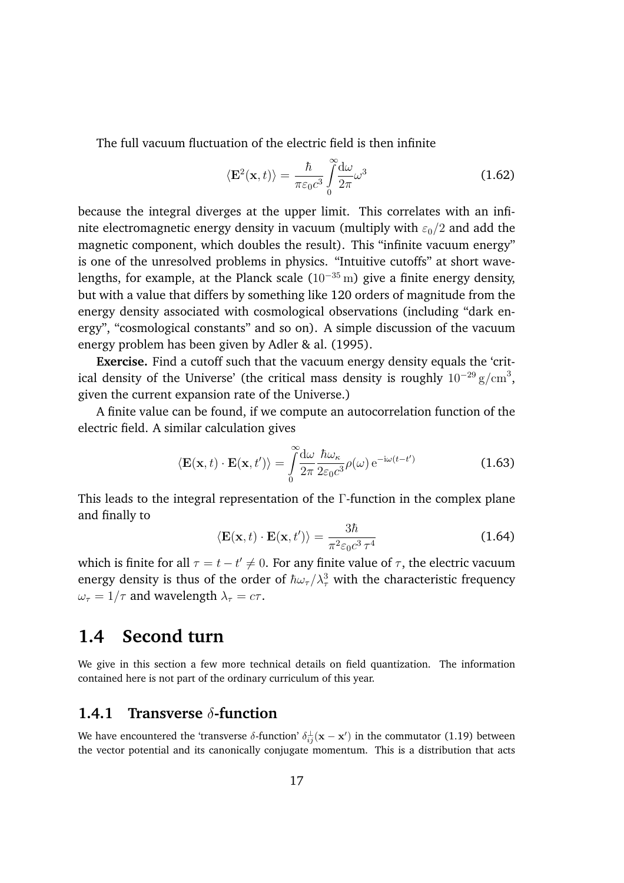The full vacuum fluctuation of the electric field is then infinite

$$
\langle \mathbf{E}^2(\mathbf{x},t) \rangle = \frac{\hbar}{\pi \varepsilon_0 c^3} \int_0^\infty \frac{d\omega}{2\pi} \omega^3
$$
 (1.62)

because the integral diverges at the upper limit. This correlates with an infinite electromagnetic energy density in vacuum (multiply with  $\varepsilon_0/2$  and add the magnetic component, which doubles the result). This "infinite vacuum energy" is one of the unresolved problems in physics. "Intuitive cutoffs" at short wavelengths, for example, at the Planck scale  $(10^{-35} \text{ m})$  give a finite energy density, but with a value that differs by something like 120 orders of magnitude from the energy density associated with cosmological observations (including "dark energy", "cosmological constants" and so on). A simple discussion of the vacuum energy problem has been given by Adler & al. (1995).

**Exercise.** Find a cutoff such that the vacuum energy density equals the 'critical density of the Universe' (the critical mass density is roughly  $10^{-29}\,\mathrm{g/cm}^3,$ given the current expansion rate of the Universe.)

A finite value can be found, if we compute an autocorrelation function of the electric field. A similar calculation gives

$$
\langle \mathbf{E}(\mathbf{x},t) \cdot \mathbf{E}(\mathbf{x},t') \rangle = \int_{0}^{\infty} \frac{d\omega}{2\pi} \frac{\hbar \omega_{\kappa}}{2\varepsilon_{0} c^{3}} \rho(\omega) e^{-i\omega(t-t')} \tag{1.63}
$$

This leads to the integral representation of the  $\Gamma$ -function in the complex plane and finally to

$$
\langle \mathbf{E}(\mathbf{x},t) \cdot \mathbf{E}(\mathbf{x},t') \rangle = \frac{3\hbar}{\pi^2 \varepsilon_0 c^3 \tau^4}
$$
 (1.64)

which is finite for all  $\tau = t - t' \neq 0$ . For any finite value of  $\tau$ , the electric vacuum energy density is thus of the order of  $\hbar\omega_\tau/\lambda_\tau^3$  with the characteristic frequency  $\omega_{\tau} = 1/\tau$  and wavelength  $\lambda_{\tau} = c\tau$ .

# **1.4 Second turn**

We give in this section a few more technical details on field quantization. The information contained here is not part of the ordinary curriculum of this year.

### **1.4.1 Transverse** δ-function

We have encountered the 'transverse  $\delta$ -function'  $\delta_{ij}^{\perp}(\mathbf{x} - \mathbf{x}')$  in the commutator (1.19) between the vector potential and its canonically conjugate momentum. This is a distribution that acts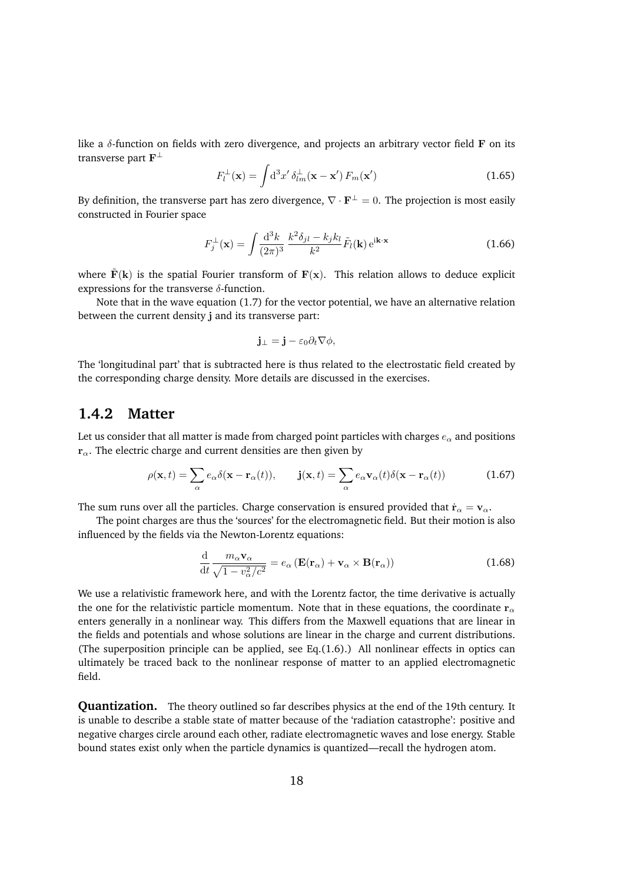like a  $\delta$ -function on fields with zero divergence, and projects an arbitrary vector field  $\bf{F}$  on its transverse part  $\mathbf{F}^{\perp}$ 

$$
F_l^{\perp}(\mathbf{x}) = \int \mathrm{d}^3 x' \, \delta_{lm}^{\perp}(\mathbf{x} - \mathbf{x}') \, F_m(\mathbf{x}')
$$
 (1.65)

By definition, the transverse part has zero divergence,  $\nabla \cdot \mathbf{F}^{\perp} = 0$ . The projection is most easily constructed in Fourier space

$$
F_j^{\perp}(\mathbf{x}) = \int \frac{\mathrm{d}^3 k}{(2\pi)^3} \, \frac{k^2 \delta_{jl} - k_j k_l}{k^2} \tilde{F}_l(\mathbf{k}) \, \mathrm{e}^{\mathrm{i}\mathbf{k} \cdot \mathbf{x}} \tag{1.66}
$$

where  $\mathbf{F}(\mathbf{k})$  is the spatial Fourier transform of  $\mathbf{F}(\mathbf{x})$ . This relation allows to deduce explicit expressions for the transverse  $\delta$ -function.

Note that in the wave equation (1.7) for the vector potential, we have an alternative relation between the current density j and its transverse part:

$$
\mathbf{j}_{\perp}=\mathbf{j}-\varepsilon_0\partial_t\nabla\phi,
$$

The 'longitudinal part' that is subtracted here is thus related to the electrostatic field created by the corresponding charge density. More details are discussed in the exercises.

### **1.4.2 Matter**

Let us consider that all matter is made from charged point particles with charges  $e_{\alpha}$  and positions  $r_{\alpha}$ . The electric charge and current densities are then given by

$$
\rho(\mathbf{x},t) = \sum_{\alpha} e_{\alpha} \delta(\mathbf{x} - \mathbf{r}_{\alpha}(t)), \qquad \mathbf{j}(\mathbf{x},t) = \sum_{\alpha} e_{\alpha} \mathbf{v}_{\alpha}(t) \delta(\mathbf{x} - \mathbf{r}_{\alpha}(t)) \tag{1.67}
$$

The sum runs over all the particles. Charge conservation is ensured provided that  $\dot{\mathbf{r}}_{\alpha} = \mathbf{v}_{\alpha}$ .

The point charges are thus the 'sources' for the electromagnetic field. But their motion is also influenced by the fields via the Newton-Lorentz equations:

$$
\frac{\mathrm{d}}{\mathrm{d}t} \frac{m_{\alpha} \mathbf{v}_{\alpha}}{\sqrt{1 - v_{\alpha}^2/c^2}} = e_{\alpha} \left( \mathbf{E}(\mathbf{r}_{\alpha}) + \mathbf{v}_{\alpha} \times \mathbf{B}(\mathbf{r}_{\alpha}) \right)
$$
(1.68)

We use a relativistic framework here, and with the Lorentz factor, the time derivative is actually the one for the relativistic particle momentum. Note that in these equations, the coordinate  $r_{\alpha}$ enters generally in a nonlinear way. This differs from the Maxwell equations that are linear in the fields and potentials and whose solutions are linear in the charge and current distributions. (The superposition principle can be applied, see Eq.(1.6).) All nonlinear effects in optics can ultimately be traced back to the nonlinear response of matter to an applied electromagnetic field.

**Quantization.** The theory outlined so far describes physics at the end of the 19th century. It is unable to describe a stable state of matter because of the 'radiation catastrophe': positive and negative charges circle around each other, radiate electromagnetic waves and lose energy. Stable bound states exist only when the particle dynamics is quantized—recall the hydrogen atom.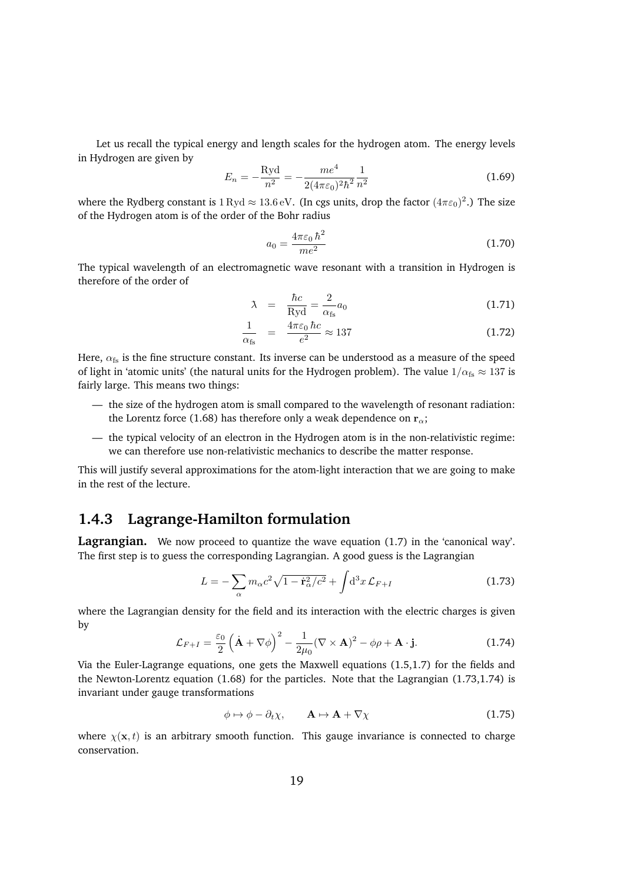Let us recall the typical energy and length scales for the hydrogen atom. The energy levels in Hydrogen are given by

$$
E_n = -\frac{\text{Ryd}}{n^2} = -\frac{me^4}{2(4\pi\varepsilon_0)^2\hbar^2} \frac{1}{n^2}
$$
 (1.69)

where the Rydberg constant is  $1 \text{ Ryd} \approx 13.6 \text{ eV}$ . (In cgs units, drop the factor  $(4\pi\epsilon_0)^2$ .) The size of the Hydrogen atom is of the order of the Bohr radius

$$
a_0 = \frac{4\pi\varepsilon_0\hbar^2}{me^2} \tag{1.70}
$$

The typical wavelength of an electromagnetic wave resonant with a transition in Hydrogen is therefore of the order of

$$
\lambda = \frac{\hbar c}{\text{Ryd}} = \frac{2}{\alpha_{\text{fs}}} a_0 \tag{1.71}
$$

$$
\frac{1}{\alpha_{\text{fs}}} = \frac{4\pi\varepsilon_0 \,\hbar c}{e^2} \approx 137 \tag{1.72}
$$

Here,  $\alpha_{fs}$  is the fine structure constant. Its inverse can be understood as a measure of the speed of light in 'atomic units' (the natural units for the Hydrogen problem). The value  $1/\alpha_{fs} \approx 137$  is fairly large. This means two things:

- the size of the hydrogen atom is small compared to the wavelength of resonant radiation: the Lorentz force (1.68) has therefore only a weak dependence on  $r_{\alpha}$ ;
- the typical velocity of an electron in the Hydrogen atom is in the non-relativistic regime: we can therefore use non-relativistic mechanics to describe the matter response.

This will justify several approximations for the atom-light interaction that we are going to make in the rest of the lecture.

### **1.4.3 Lagrange-Hamilton formulation**

Lagrangian. We now proceed to quantize the wave equation (1.7) in the 'canonical way'. The first step is to guess the corresponding Lagrangian. A good guess is the Lagrangian

$$
L = -\sum_{\alpha} m_{\alpha} c^2 \sqrt{1 - \dot{\mathbf{r}}_{\alpha}^2/c^2} + \int d^3x \, \mathcal{L}_{F+I} \tag{1.73}
$$

where the Lagrangian density for the field and its interaction with the electric charges is given by

$$
\mathcal{L}_{F+I} = \frac{\varepsilon_0}{2} \left( \dot{\mathbf{A}} + \nabla \phi \right)^2 - \frac{1}{2\mu_0} (\nabla \times \mathbf{A})^2 - \phi \rho + \mathbf{A} \cdot \mathbf{j}.
$$
 (1.74)

Via the Euler-Lagrange equations, one gets the Maxwell equations (1.5,1.7) for the fields and the Newton-Lorentz equation (1.68) for the particles. Note that the Lagrangian (1.73,1.74) is invariant under gauge transformations

$$
\phi \mapsto \phi - \partial_t \chi, \qquad \mathbf{A} \mapsto \mathbf{A} + \nabla \chi \tag{1.75}
$$

where  $\chi(\mathbf{x}, t)$  is an arbitrary smooth function. This gauge invariance is connected to charge conservation.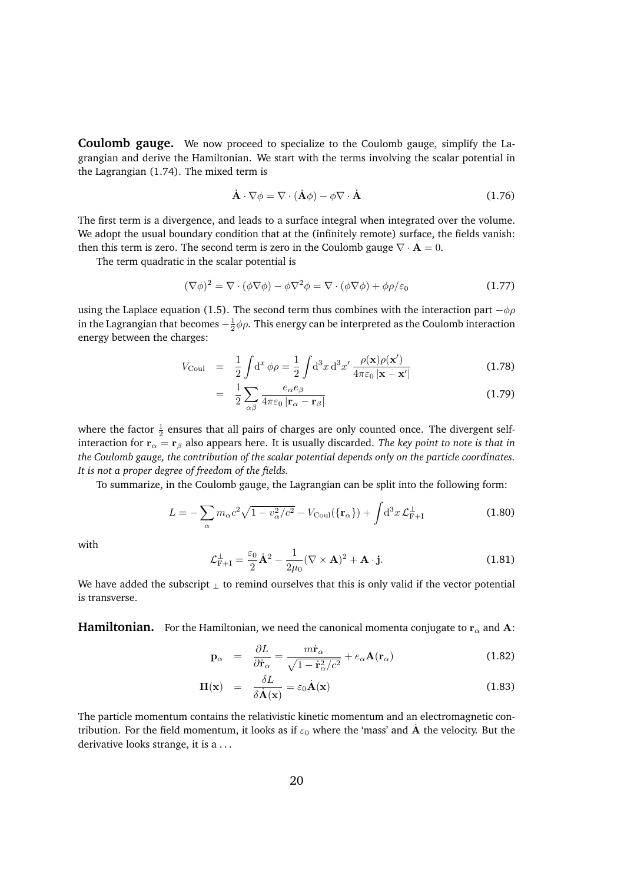**Coulomb gauge.** We now proceed to specialize to the Coulomb gauge, simplify the Lagrangian and derive the Hamiltonian. We start with the terms involving the scalar potential in the Lagrangian (1.74). The mixed term is

$$
\dot{\mathbf{A}} \cdot \nabla \phi = \nabla \cdot (\dot{\mathbf{A}} \phi) - \phi \nabla \cdot \dot{\mathbf{A}} \tag{1.76}
$$

The first term is a divergence, and leads to a surface integral when integrated over the volume. We adopt the usual boundary condition that at the (infinitely remote) surface, the fields vanish: then this term is zero. The second term is zero in the Coulomb gauge  $\nabla \cdot \mathbf{A} = 0$ .

The term quadratic in the scalar potential is

$$
(\nabla \phi)^2 = \nabla \cdot (\phi \nabla \phi) - \phi \nabla^2 \phi = \nabla \cdot (\phi \nabla \phi) + \phi \rho / \varepsilon_0 \tag{1.77}
$$

using the Laplace equation (1.5). The second term thus combines with the interaction part  $-\phi \rho$ in the Lagrangian that becomes  $-\frac{1}{2}\phi\rho.$  This energy can be interpreted as the Coulomb interaction energy between the charges:

$$
V_{\text{Coul}} = \frac{1}{2} \int d^x \phi \rho = \frac{1}{2} \int d^3 x \, d^3 x' \, \frac{\rho(\mathbf{x}) \rho(\mathbf{x}')}{4\pi \varepsilon_0 |\mathbf{x} - \mathbf{x}'|} \tag{1.78}
$$

$$
= \frac{1}{2} \sum_{\alpha\beta} \frac{e_{\alpha} e_{\beta}}{4\pi\varepsilon_0 \left| \mathbf{r}_{\alpha} - \mathbf{r}_{\beta} \right|} \tag{1.79}
$$

where the factor  $\frac{1}{2}$  ensures that all pairs of charges are only counted once. The divergent selfinteraction for  $r_\alpha = r_\beta$  also appears here. It is usually discarded. The key point to note is that in *the Coulomb gauge, the contribution of the scalar potential depends only on the particle coordinates. It is not a proper degree of freedom of the fields.*

To summarize, in the Coulomb gauge, the Lagrangian can be split into the following form:

$$
L = -\sum_{\alpha} m_{\alpha} c^2 \sqrt{1 - v_{\alpha}^2/c^2} - V_{\text{Coul}} (\{\mathbf{r}_{\alpha}\}) + \int d^3 x \, \mathcal{L}_{\text{F+1}}^{\perp} \tag{1.80}
$$

with

$$
\mathcal{L}_{\mathrm{F+I}}^{\perp} = \frac{\varepsilon_0}{2} \dot{\mathbf{A}}^2 - \frac{1}{2\mu_0} (\nabla \times \mathbf{A})^2 + \mathbf{A} \cdot \mathbf{j}.
$$
 (1.81)

We have added the subscript  $\mu$  to remind ourselves that this is only valid if the vector potential is transverse.

**Hamiltonian.** For the Hamiltonian, we need the canonical momenta conjugate to  $r_\alpha$  and A:

$$
\mathbf{p}_{\alpha} = \frac{\partial L}{\partial \dot{\mathbf{r}}_{\alpha}} = \frac{m\dot{\mathbf{r}}_{\alpha}}{\sqrt{1 - \dot{\mathbf{r}}_{\alpha}^2/c^2}} + e_{\alpha} \mathbf{A}(\mathbf{r}_{\alpha})
$$
(1.82)

$$
\Pi(\mathbf{x}) = \frac{\delta L}{\delta \dot{\mathbf{A}}(\mathbf{x})} = \varepsilon_0 \dot{\mathbf{A}}(\mathbf{x})
$$
\n(1.83)

The particle momentum contains the relativistic kinetic momentum and an electromagnetic contribution. For the field momentum, it looks as if  $\varepsilon_0$  where the 'mass' and  $\dot{A}$  the velocity. But the derivative looks strange, it is a ...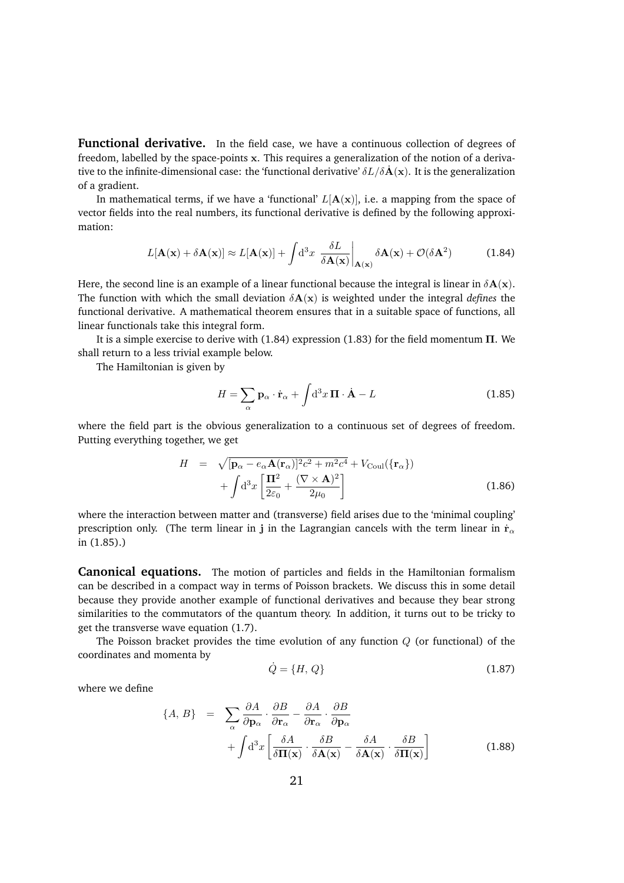**Functional derivative.** In the field case, we have a continuous collection of degrees of freedom, labelled by the space-points x. This requires a generalization of the notion of a derivative to the infinite-dimensional case: the 'functional derivative'  $\delta L/\delta \dot{\bf A}({\bf x})$ . It is the generalization of a gradient.

In mathematical terms, if we have a 'functional'  $L[A(x)]$ , i.e. a mapping from the space of vector fields into the real numbers, its functional derivative is defined by the following approximation:

$$
L[\mathbf{A}(\mathbf{x}) + \delta \mathbf{A}(\mathbf{x})] \approx L[\mathbf{A}(\mathbf{x})] + \int d^3x \left. \frac{\delta L}{\delta \mathbf{A}(\mathbf{x})} \right|_{\mathbf{A}(\mathbf{x})} \delta \mathbf{A}(\mathbf{x}) + \mathcal{O}(\delta \mathbf{A}^2)
$$
(1.84)

Here, the second line is an example of a linear functional because the integral is linear in  $\delta A(x)$ . The function with which the small deviation  $\delta A(x)$  is weighted under the integral *defines* the functional derivative. A mathematical theorem ensures that in a suitable space of functions, all linear functionals take this integral form.

It is a simple exercise to derive with  $(1.84)$  expression  $(1.83)$  for the field momentum  $\Pi$ . We shall return to a less trivial example below.

The Hamiltonian is given by

$$
H = \sum_{\alpha} \mathbf{p}_{\alpha} \cdot \dot{\mathbf{r}}_{\alpha} + \int d^3 x \, \mathbf{\Pi} \cdot \dot{\mathbf{A}} - L \tag{1.85}
$$

where the field part is the obvious generalization to a continuous set of degrees of freedom. Putting everything together, we get

$$
H = \sqrt{[\mathbf{p}_{\alpha} - e_{\alpha} \mathbf{A}(\mathbf{r}_{\alpha})]^2 c^2 + m^2 c^4} + V_{\text{Coul}}(\{\mathbf{r}_{\alpha}\})
$$

$$
+ \int d^3x \left[ \frac{\mathbf{\Pi}^2}{2\varepsilon_0} + \frac{(\nabla \times \mathbf{A})^2}{2\mu_0} \right]
$$
(1.86)

where the interaction between matter and (transverse) field arises due to the 'minimal coupling' prescription only. (The term linear in j in the Lagrangian cancels with the term linear in  $\dot{\mathbf{r}}_{\alpha}$ in (1.85).)

**Canonical equations.** The motion of particles and fields in the Hamiltonian formalism can be described in a compact way in terms of Poisson brackets. We discuss this in some detail because they provide another example of functional derivatives and because they bear strong similarities to the commutators of the quantum theory. In addition, it turns out to be tricky to get the transverse wave equation (1.7).

The Poisson bracket provides the time evolution of any function *Q* (or functional) of the coordinates and momenta by

$$
\dot{Q} = \{H, Q\} \tag{1.87}
$$

where we define

$$
\{A, B\} = \sum_{\alpha} \frac{\partial A}{\partial \mathbf{p}_{\alpha}} \cdot \frac{\partial B}{\partial \mathbf{r}_{\alpha}} - \frac{\partial A}{\partial \mathbf{r}_{\alpha}} \cdot \frac{\partial B}{\partial \mathbf{p}_{\alpha}} + \int d^{3}x \left[ \frac{\delta A}{\delta \mathbf{\Pi}(\mathbf{x})} \cdot \frac{\delta B}{\delta \mathbf{A}(\mathbf{x})} - \frac{\delta A}{\delta \mathbf{A}(\mathbf{x})} \cdot \frac{\delta B}{\delta \mathbf{\Pi}(\mathbf{x})} \right]
$$
(1.88)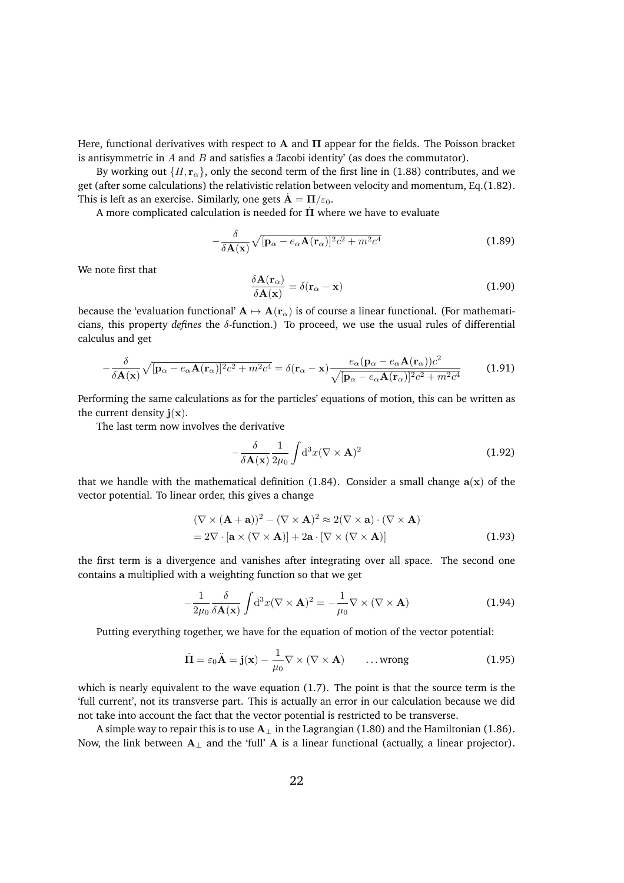Here, functional derivatives with respect to  $A$  and  $\Pi$  appear for the fields. The Poisson bracket is antisymmetric in *A* and *B* and satisfies a 'Jacobi identity' (as does the commutator).

By working out  $\{H, \mathbf{r}_{\alpha}\}\)$ , only the second term of the first line in (1.88) contributes, and we get (after some calculations) the relativistic relation between velocity and momentum, Eq.(1.82). This is left as an exercise. Similarly, one gets  $\dot{\mathbf{A}} = \mathbf{\Pi}/\varepsilon_0$ .

A more complicated calculation is needed for  $\Pi$  where we have to evaluate

$$
-\frac{\delta}{\delta \mathbf{A}(\mathbf{x})}\sqrt{[\mathbf{p}_{\alpha}-e_{\alpha}\mathbf{A}(\mathbf{r}_{\alpha})]^{2}c^{2}+m^{2}c^{4}}
$$
(1.89)

We note first that

$$
\frac{\delta \mathbf{A}(\mathbf{r}_{\alpha})}{\delta \mathbf{A}(\mathbf{x})} = \delta(\mathbf{r}_{\alpha} - \mathbf{x})
$$
\n(1.90)

because the 'evaluation functional'  ${\bf A} \mapsto {\bf A}({\bf r}_\alpha)$  is of course a linear functional. (For mathematicians, this property *defines* the  $\delta$ -function.) To proceed, we use the usual rules of differential calculus and get

$$
-\frac{\delta}{\delta \mathbf{A}(\mathbf{x})}\sqrt{[\mathbf{p}_{\alpha}-e_{\alpha}\mathbf{A}(\mathbf{r}_{\alpha})]^{2}c^{2}+m^{2}c^{4}}=\delta(\mathbf{r}_{\alpha}-\mathbf{x})\frac{e_{\alpha}(\mathbf{p}_{\alpha}-e_{\alpha}\mathbf{A}(\mathbf{r}_{\alpha}))c^{2}}{\sqrt{[\mathbf{p}_{\alpha}-e_{\alpha}\mathbf{A}(\mathbf{r}_{\alpha})]^{2}c^{2}+m^{2}c^{4}}}
$$
(1.91)

Performing the same calculations as for the particles' equations of motion, this can be written as the current density  $\mathbf{j}(\mathbf{x})$ .

The last term now involves the derivative

$$
-\frac{\delta}{\delta \mathbf{A}(\mathbf{x})} \frac{1}{2\mu_0} \int d^3x (\nabla \times \mathbf{A})^2
$$
 (1.92)

that we handle with the mathematical definition (1.84). Consider a small change  $a(x)$  of the vector potential. To linear order, this gives a change

$$
(\nabla \times (\mathbf{A} + \mathbf{a}))^2 - (\nabla \times \mathbf{A})^2 \approx 2(\nabla \times \mathbf{a}) \cdot (\nabla \times \mathbf{A})
$$
  
= 2\nabla \cdot [\mathbf{a} \times (\nabla \times \mathbf{A})] + 2\mathbf{a} \cdot [\nabla \times (\nabla \times \mathbf{A})] (1.93)

the first term is a divergence and vanishes after integrating over all space. The second one contains a multiplied with a weighting function so that we get

$$
-\frac{1}{2\mu_0} \frac{\delta}{\delta \mathbf{A}(\mathbf{x})} \int d^3 x (\nabla \times \mathbf{A})^2 = -\frac{1}{\mu_0} \nabla \times (\nabla \times \mathbf{A})
$$
(1.94)

Putting everything together, we have for the equation of motion of the vector potential:

$$
\dot{\Pi} = \varepsilon_0 \ddot{\mathbf{A}} = \mathbf{j}(\mathbf{x}) - \frac{1}{\mu_0} \nabla \times (\nabla \times \mathbf{A}) \qquad \dots \text{wrong}
$$
 (1.95)

which is nearly equivalent to the wave equation (1.7). The point is that the source term is the 'full current', not its transverse part. This is actually an error in our calculation because we did not take into account the fact that the vector potential is restricted to be transverse.

A simple way to repair this is to use  $A_{\perp}$  in the Lagrangian (1.80) and the Hamiltonian (1.86). Now, the link between  $A_{\perp}$  and the 'full' A is a linear functional (actually, a linear projector).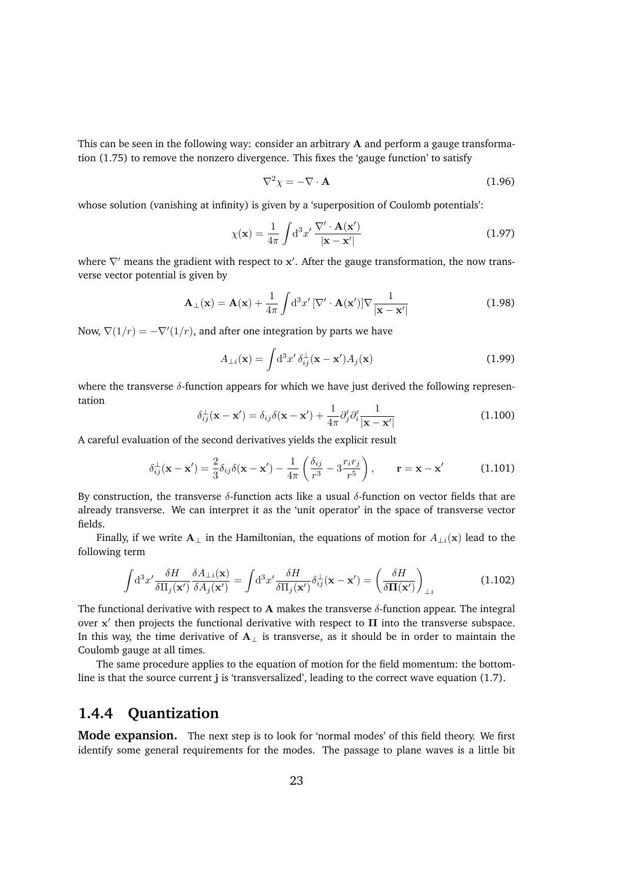This can be seen in the following way: consider an arbitrary A and perform a gauge transformation (1.75) to remove the nonzero divergence. This fixes the 'gauge function' to satisfy

$$
\nabla^2 \chi = -\nabla \cdot \mathbf{A} \tag{1.96}
$$

whose solution (vanishing at infinity) is given by a 'superposition of Coulomb potentials':

$$
\chi(\mathbf{x}) = \frac{1}{4\pi} \int d^3 x' \, \frac{\nabla' \cdot \mathbf{A}(\mathbf{x}')}{|\mathbf{x} - \mathbf{x}'|}
$$
(1.97)

where  $\nabla'$  means the gradient with respect to  $\mathbf{x}'$ . After the gauge transformation, the now transverse vector potential is given by

$$
\mathbf{A}_{\perp}(\mathbf{x}) = \mathbf{A}(\mathbf{x}) + \frac{1}{4\pi} \int d^3 x' \left[ \nabla' \cdot \mathbf{A}(\mathbf{x}') \right] \nabla \frac{1}{|\mathbf{x} - \mathbf{x}'|}
$$
(1.98)

Now,  $\nabla(1/r) = -\nabla'(1/r)$ , and after one integration by parts we have

$$
A_{\perp i}(\mathbf{x}) = \int \mathrm{d}^3 x' \,\delta_{ij}^{\perp}(\mathbf{x} - \mathbf{x}') A_j(\mathbf{x}) \tag{1.99}
$$

where the transverse  $\delta$ -function appears for which we have just derived the following representation

$$
\delta_{ij}^{\perp}(\mathbf{x} - \mathbf{x}') = \delta_{ij}\delta(\mathbf{x} - \mathbf{x}') + \frac{1}{4\pi}\partial_j'\partial_i'\frac{1}{|\mathbf{x} - \mathbf{x}'|}
$$
(1.100)

A careful evaluation of the second derivatives yields the explicit result

$$
\delta_{ij}^{\perp}(\mathbf{x} - \mathbf{x}') = \frac{2}{3}\delta_{ij}\delta(\mathbf{x} - \mathbf{x}') - \frac{1}{4\pi}\left(\frac{\delta_{ij}}{r^3} - 3\frac{r_ir_j}{r^5}\right), \qquad \mathbf{r} = \mathbf{x} - \mathbf{x}' \tag{1.101}
$$

By construction, the transverse  $\delta$ -function acts like a usual  $\delta$ -function on vector fields that are already transverse. We can interpret it as the 'unit operator' in the space of transverse vector fields.

Finally, if we write  $A_{\perp}$  in the Hamiltonian, the equations of motion for  $A_{\perp i}(\mathbf{x})$  lead to the following term

$$
\int d^3x' \frac{\delta H}{\delta \Pi_j(\mathbf{x}')} \frac{\delta A_{\perp i}(\mathbf{x})}{\delta A_j(\mathbf{x}')} = \int d^3x' \frac{\delta H}{\delta \Pi_j(\mathbf{x}')} \delta_{ij}^{\perp}(\mathbf{x} - \mathbf{x}') = \left(\frac{\delta H}{\delta \Pi(\mathbf{x}')} \right)_{\perp i}
$$
(1.102)

The functional derivative with respect to A makes the transverse  $\delta$ -function appear. The integral over  $x'$  then projects the functional derivative with respect to  $\Pi$  into the transverse subspace. In this way, the time derivative of  $A_{\perp}$  is transverse, as it should be in order to maintain the Coulomb gauge at all times.

The same procedure applies to the equation of motion for the field momentum: the bottomline is that the source current j is 'transversalized', leading to the correct wave equation (1.7).

### **1.4.4 Quantization**

**Mode expansion.** The next step is to look for 'normal modes' of this field theory. We first identify some general requirements for the modes. The passage to plane waves is a little bit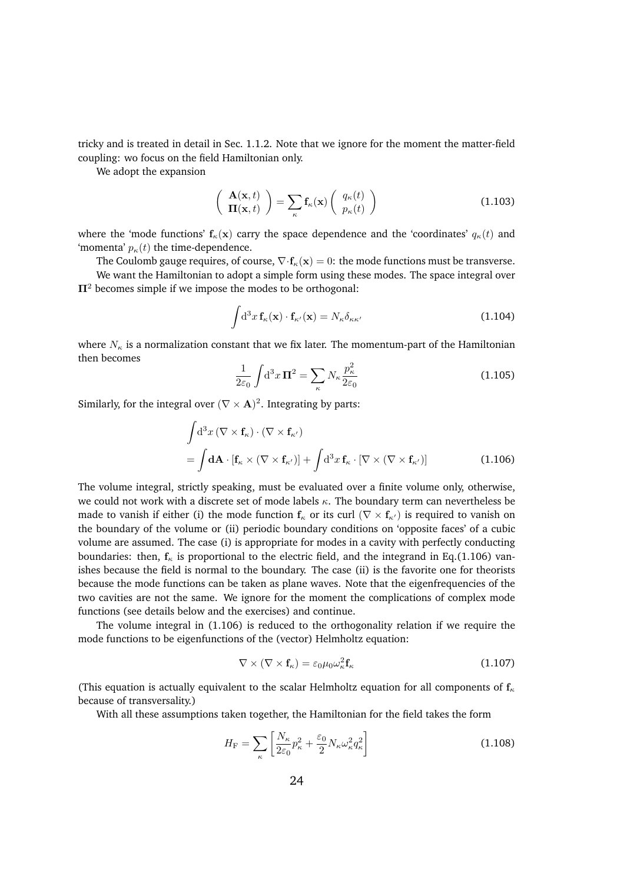tricky and is treated in detail in Sec. 1.1.2. Note that we ignore for the moment the matter-field coupling: wo focus on the field Hamiltonian only.

We adopt the expansion

$$
\left(\begin{array}{c}\n\mathbf{A}(\mathbf{x},t) \\
\mathbf{\Pi}(\mathbf{x},t)\n\end{array}\right) = \sum_{\kappa} \mathbf{f}_{\kappa}(\mathbf{x}) \left(\begin{array}{c} q_{\kappa}(t) \\
p_{\kappa}(t)\n\end{array}\right) \tag{1.103}
$$

where the 'mode functions'  $f_{\kappa}(\mathbf{x})$  carry the space dependence and the 'coordinates'  $q_{\kappa}(t)$  and 'momenta'  $p_{\kappa}(t)$  the time-dependence.

The Coulomb gauge requires, of course,  $\nabla \cdot \mathbf{f}_{\kappa}(\mathbf{x})=0$ : the mode functions must be transverse.

We want the Hamiltonian to adopt a simple form using these modes. The space integral over  $\Pi^2$  becomes simple if we impose the modes to be orthogonal:

$$
\int d^3x \, \mathbf{f}_{\kappa}(\mathbf{x}) \cdot \mathbf{f}_{\kappa'}(\mathbf{x}) = N_{\kappa} \delta_{\kappa \kappa'} \tag{1.104}
$$

where  $N_{\kappa}$  is a normalization constant that we fix later. The momentum-part of the Hamiltonian then becomes

$$
\frac{1}{2\varepsilon_0} \int d^3 x \, \mathbf{\Pi}^2 = \sum_{\kappa} N_{\kappa} \frac{p_{\kappa}^2}{2\varepsilon_0} \tag{1.105}
$$

Similarly, for the integral over  $(\nabla \times \mathbf{A})^2$ . Integrating by parts:

$$
\int d^3x \left( \nabla \times \mathbf{f}_{\kappa} \right) \cdot \left( \nabla \times \mathbf{f}_{\kappa'} \right) \n= \int d\mathbf{A} \cdot \left[ \mathbf{f}_{\kappa} \times \left( \nabla \times \mathbf{f}_{\kappa'} \right) \right] + \int d^3x \, \mathbf{f}_{\kappa} \cdot \left[ \nabla \times \left( \nabla \times \mathbf{f}_{\kappa'} \right) \right]
$$
\n(1.106)

The volume integral, strictly speaking, must be evaluated over a finite volume only, otherwise, we could not work with a discrete set of mode labels  $\kappa$ . The boundary term can nevertheless be made to vanish if either (i) the mode function  $f_{\kappa}$  or its curl ( $\nabla \times f_{\kappa'}$ ) is required to vanish on the boundary of the volume or (ii) periodic boundary conditions on 'opposite faces' of a cubic volume are assumed. The case (i) is appropriate for modes in a cavity with perfectly conducting boundaries: then,  $f_{\kappa}$  is proportional to the electric field, and the integrand in Eq.(1.106) vanishes because the field is normal to the boundary. The case (ii) is the favorite one for theorists because the mode functions can be taken as plane waves. Note that the eigenfrequencies of the two cavities are not the same. We ignore for the moment the complications of complex mode functions (see details below and the exercises) and continue.

The volume integral in (1.106) is reduced to the orthogonality relation if we require the mode functions to be eigenfunctions of the (vector) Helmholtz equation:

$$
\nabla \times (\nabla \times \mathbf{f}_{\kappa}) = \varepsilon_0 \mu_0 \omega_{\kappa}^2 \mathbf{f}_{\kappa}
$$
 (1.107)

(This equation is actually equivalent to the scalar Helmholtz equation for all components of  $f_{\kappa}$ because of transversality.)

With all these assumptions taken together, the Hamiltonian for the field takes the form

$$
H_{\rm F} = \sum_{\kappa} \left[ \frac{N_{\kappa}}{2\varepsilon_0} p_{\kappa}^2 + \frac{\varepsilon_0}{2} N_{\kappa} \omega_{\kappa}^2 q_{\kappa}^2 \right]
$$
(1.108)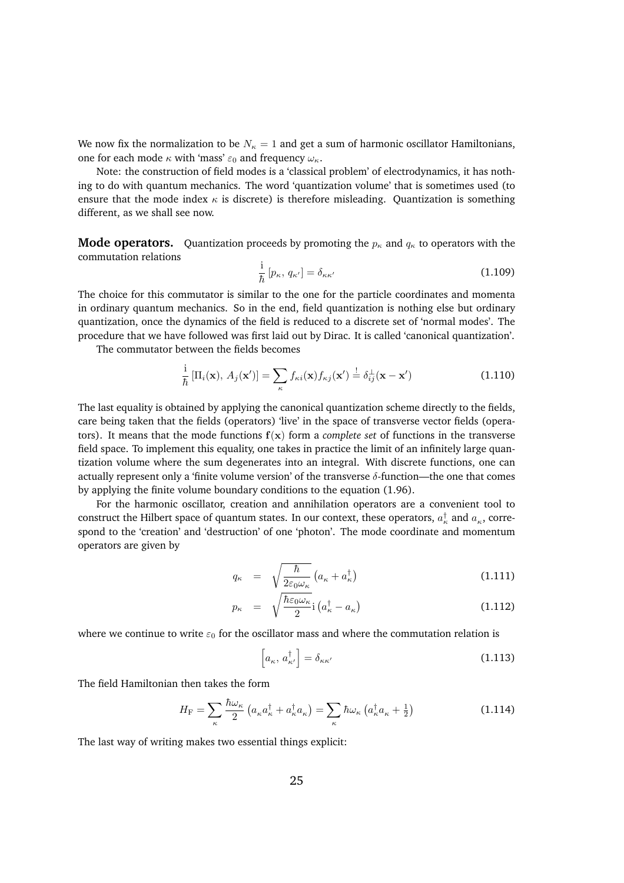We now fix the normalization to be  $N_{\kappa} = 1$  and get a sum of harmonic oscillator Hamiltonians, one for each mode  $\kappa$  with 'mass'  $\varepsilon_0$  and frequency  $\omega_{\kappa}$ .

Note: the construction of field modes is a 'classical problem' of electrodynamics, it has nothing to do with quantum mechanics. The word 'quantization volume' that is sometimes used (to ensure that the mode index  $\kappa$  is discrete) is therefore misleading. Quantization is something different, as we shall see now.

**Mode operators.** Quantization proceeds by promoting the  $p_{\kappa}$  and  $q_{\kappa}$  to operators with the commutation relations

$$
\frac{\mathrm{i}}{\hbar} \left[ p_{\kappa}, \, q_{\kappa'} \right] = \delta_{\kappa \kappa'} \tag{1.109}
$$

The choice for this commutator is similar to the one for the particle coordinates and momenta in ordinary quantum mechanics. So in the end, field quantization is nothing else but ordinary quantization, once the dynamics of the field is reduced to a discrete set of 'normal modes'. The procedure that we have followed was first laid out by Dirac. It is called 'canonical quantization'.

The commutator between the fields becomes

$$
\frac{i}{\hbar}\left[\Pi_i(\mathbf{x}),\,A_j(\mathbf{x}')\right] = \sum_{\kappa} f_{\kappa i}(\mathbf{x}) f_{\kappa j}(\mathbf{x}') = \delta_{ij}^{\perp}(\mathbf{x} - \mathbf{x}')\tag{1.110}
$$

The last equality is obtained by applying the canonical quantization scheme directly to the fields, care being taken that the fields (operators) 'live' in the space of transverse vector fields (operators). It means that the mode functions  $f(x)$  form a *complete set* of functions in the transverse field space. To implement this equality, one takes in practice the limit of an infinitely large quantization volume where the sum degenerates into an integral. With discrete functions, one can actually represent only a 'finite volume version' of the transverse  $\delta$ -function—the one that comes by applying the finite volume boundary conditions to the equation (1.96).

For the harmonic oscillator, creation and annihilation operators are a convenient tool to construct the Hilbert space of quantum states. In our context, these operators,  $a_{\kappa}^{\dagger}$  and  $a_{\kappa}$ , correspond to the 'creation' and 'destruction' of one 'photon'. The mode coordinate and momentum operators are given by

$$
q_{\kappa} = \sqrt{\frac{\hbar}{2\varepsilon_0 \omega_{\kappa}}} \left( a_{\kappa} + a_{\kappa}^{\dagger} \right) \tag{1.111}
$$

$$
p_{\kappa} = \sqrt{\frac{\hbar \varepsilon_0 \omega_{\kappa}}{2}} \mathbf{i} \left( a_{\kappa}^{\dagger} - a_{\kappa} \right) \tag{1.112}
$$

where we continue to write  $\varepsilon_0$  for the oscillator mass and where the commutation relation is

$$
\left[a_{\kappa}, a_{\kappa'}^{\dagger}\right] = \delta_{\kappa \kappa'} \tag{1.113}
$$

The field Hamiltonian then takes the form

$$
H_{\rm F} = \sum_{\kappa} \frac{\hbar \omega_{\kappa}}{2} \left( a_{\kappa} a_{\kappa}^{\dagger} + a_{\kappa}^{\dagger} a_{\kappa} \right) = \sum_{\kappa} \hbar \omega_{\kappa} \left( a_{\kappa}^{\dagger} a_{\kappa} + \frac{1}{2} \right)
$$
(1.114)

The last way of writing makes two essential things explicit: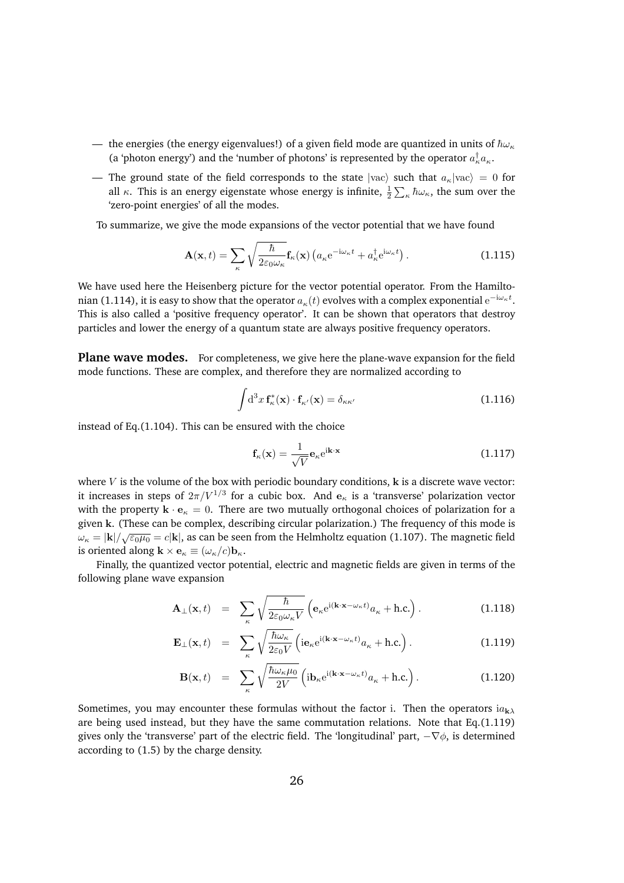- the energies (the energy eigenvalues!) of a given field mode are quantized in units of  $\hbar \omega_{\kappa}$ (a 'photon energy') and the 'number of photons' is represented by the operator  $a_{\kappa}^{\dagger}a_{\kappa}$ .
- The ground state of the field corresponds to the state  $|vac\rangle$  such that  $a_{\kappa}|vac\rangle = 0$  for all  $\kappa$ . This is an energy eigenstate whose energy is infinite,  $\frac{1}{2}\sum_{\kappa}\hbar\omega_\kappa$ , the sum over the 'zero-point energies' of all the modes.

To summarize, we give the mode expansions of the vector potential that we have found

$$
\mathbf{A}(\mathbf{x},t) = \sum_{\kappa} \sqrt{\frac{\hbar}{2\varepsilon_0 \omega_{\kappa}}} \mathbf{f}_{\kappa}(\mathbf{x}) \left( a_{\kappa} e^{-i\omega_{\kappa}t} + a_{\kappa}^{\dagger} e^{i\omega_{\kappa}t} \right). \tag{1.115}
$$

We have used here the Heisenberg picture for the vector potential operator. From the Hamiltonian (1.114), it is easy to show that the operator  $a_{\kappa}(t)$  evolves with a complex exponential  $\mathrm{e}^{-\mathrm{i}\omega_{\kappa}t}.$ This is also called a 'positive frequency operator'. It can be shown that operators that destroy particles and lower the energy of a quantum state are always positive frequency operators.

Plane wave modes. For completeness, we give here the plane-wave expansion for the field mode functions. These are complex, and therefore they are normalized according to

$$
\int d^3x \, \mathbf{f}_{\kappa}^*(\mathbf{x}) \cdot \mathbf{f}_{\kappa'}(\mathbf{x}) = \delta_{\kappa \kappa'} \tag{1.116}
$$

instead of Eq.(1.104). This can be ensured with the choice

$$
\mathbf{f}_{\kappa}(\mathbf{x}) = \frac{1}{\sqrt{V}} \mathbf{e}_{\kappa} e^{i\mathbf{k} \cdot \mathbf{x}}
$$
 (1.117)

where  $V$  is the volume of the box with periodic boundary conditions,  $k$  is a discrete wave vector: it increases in steps of  $2\pi/V^{1/3}$  for a cubic box. And  $e_{\kappa}$  is a 'transverse' polarization vector with the property  $\mathbf{k} \cdot \mathbf{e}_\kappa = 0$ . There are two mutually orthogonal choices of polarization for a given k. (These can be complex, describing circular polarization.) The frequency of this mode is  $\omega_{\kappa} = |\mathbf{k}| / \sqrt{\varepsilon_0 \mu_0} = c |\mathbf{k}|$ , as can be seen from the Helmholtz equation (1.107). The magnetic field is oriented along  $\mathbf{k} \times \mathbf{e}_{\kappa} \equiv (\omega_{\kappa}/c)\mathbf{b}_{\kappa}$ .

Finally, the quantized vector potential, electric and magnetic fields are given in terms of the following plane wave expansion

$$
\mathbf{A}_{\perp}(\mathbf{x},t) = \sum_{\kappa} \sqrt{\frac{\hbar}{2\varepsilon_0 \omega_{\kappa} V}} \left( \mathbf{e}_{\kappa} e^{i(\mathbf{k} \cdot \mathbf{x} - \omega_{\kappa} t)} a_{\kappa} + \text{h.c.} \right).
$$
 (1.118)

$$
\mathbf{E}_{\perp}(\mathbf{x},t) = \sum_{\kappa} \sqrt{\frac{\hbar \omega_{\kappa}}{2\varepsilon_0 V}} \left( i \mathbf{e}_{\kappa} e^{i(\mathbf{k} \cdot \mathbf{x} - \omega_{\kappa} t)} a_{\kappa} + \text{h.c.} \right).
$$
 (1.119)

$$
\mathbf{B}(\mathbf{x},t) = \sum_{\kappa} \sqrt{\frac{\hbar \omega_{\kappa} \mu_0}{2V}} \left( i \mathbf{b}_{\kappa} e^{i(\mathbf{k} \cdot \mathbf{x} - \omega_{\kappa} t)} a_{\kappa} + \text{h.c.} \right). \tag{1.120}
$$

Sometimes, you may encounter these formulas without the factor i. Then the operators  $i a_{k\lambda}$ are being used instead, but they have the same commutation relations. Note that Eq.(1.119) gives only the 'transverse' part of the electric field. The 'longitudinal' part,  $-\nabla \phi$ , is determined according to (1.5) by the charge density.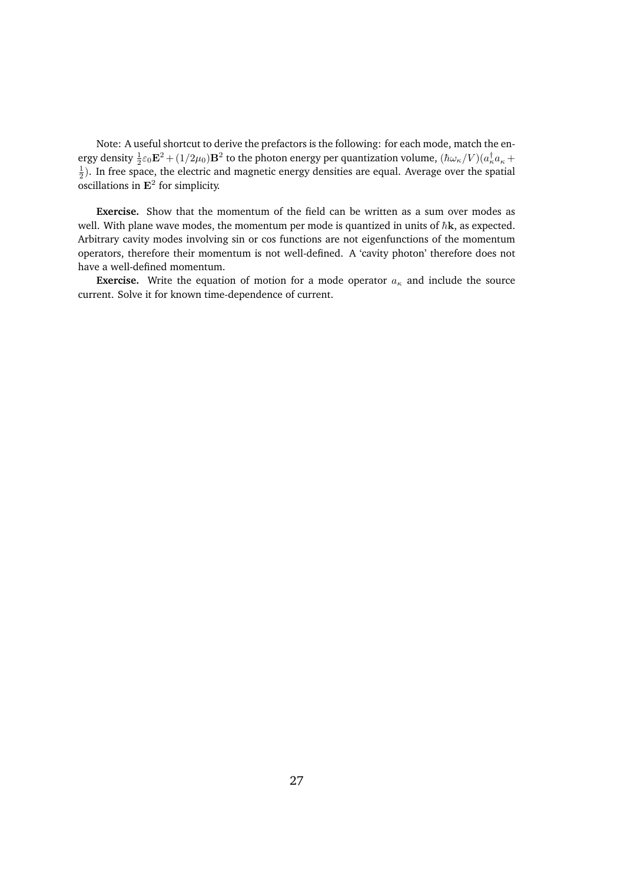Note: A useful shortcut to derive the prefactors is the following: for each mode, match the energy density  $\frac{1}{2}\varepsilon_0 \mathbf{E}^2 + (1/2\mu_0)\mathbf{B}^2$  to the photon energy per quantization volume,  $(\hbar\omega_\kappa/V)(a_\kappa^\dagger a_\kappa+1)$  $\frac{1}{2}$ ). In free space, the electric and magnetic energy densities are equal. Average over the spatial oscillations in  $E^2$  for simplicity.

**Exercise.** Show that the momentum of the field can be written as a sum over modes as well. With plane wave modes, the momentum per mode is quantized in units of  $\hbar$ **k**, as expected. Arbitrary cavity modes involving sin or cos functions are not eigenfunctions of the momentum operators, therefore their momentum is not well-defined. A 'cavity photon' therefore does not have a well-defined momentum.

**Exercise.** Write the equation of motion for a mode operator  $a_{\kappa}$  and include the source current. Solve it for known time-dependence of current.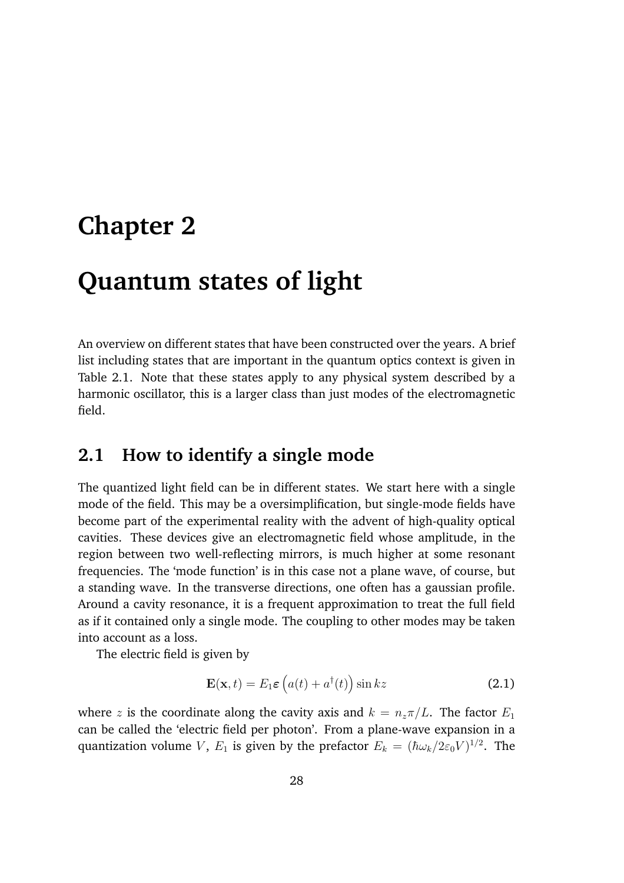# **Chapter 2**

# **Quantum states of light**

An overview on different states that have been constructed over the years. A brief list including states that are important in the quantum optics context is given in Table 2.1. Note that these states apply to any physical system described by a harmonic oscillator, this is a larger class than just modes of the electromagnetic field.

# **2.1 How to identify a single mode**

The quantized light field can be in different states. We start here with a single mode of the field. This may be a oversimplification, but single-mode fields have become part of the experimental reality with the advent of high-quality optical cavities. These devices give an electromagnetic field whose amplitude, in the region between two well-reflecting mirrors, is much higher at some resonant frequencies. The 'mode function' is in this case not a plane wave, of course, but a standing wave. In the transverse directions, one often has a gaussian profile. Around a cavity resonance, it is a frequent approximation to treat the full field as if it contained only a single mode. The coupling to other modes may be taken into account as a loss.

The electric field is given by

$$
\mathbf{E}(\mathbf{x},t) = E_1 \varepsilon \left( a(t) + a^\dagger(t) \right) \sin kz \tag{2.1}
$$

where *z* is the coordinate along the cavity axis and  $k = n_z \pi / L$ . The factor  $E_1$ can be called the 'electric field per photon'. From a plane-wave expansion in a quantization volume *V*,  $E_1$  is given by the prefactor  $E_k = (\hbar \omega_k / 2 \varepsilon_0 V)^{1/2}$ . The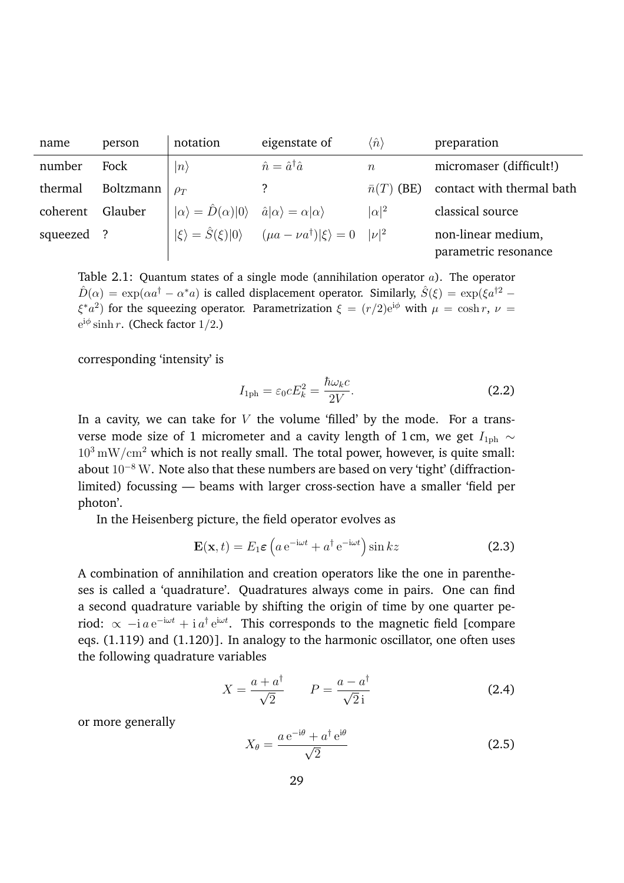| name       | person    | notation                                                                                       | eigenstate of                                        | $\langle\hat n\rangle$ | preparation                                |
|------------|-----------|------------------------------------------------------------------------------------------------|------------------------------------------------------|------------------------|--------------------------------------------|
| number     | Fock      | $ n\rangle$                                                                                    | $\hat{n} = \hat{a}^\dagger \hat{a}$                  | $\boldsymbol{n}$       | micromaser (difficult!)                    |
| thermal    | Boltzmann | $\rho_T$                                                                                       |                                                      | $\bar{n}(T)$ (BE)      | contact with thermal bath                  |
| coherent   | Glauber   | $ \alpha\rangle = \hat{D}(\alpha) 0\rangle \quad \hat{a} \alpha\rangle = \alpha \alpha\rangle$ |                                                      | $ \alpha ^2$           | classical source                           |
| squeezed ? |           | $ \xi\rangle = \hat{S}(\xi) 0\rangle$                                                          | $(\mu a - \nu a^{\dagger}) \xi\rangle = 0$ $ \nu ^2$ |                        | non-linear medium,<br>parametric resonance |

Table 2.1: Quantum states of a single mode (annihilation operator *a*). The operator  $\hat{D}(\alpha) = \exp(\alpha a^{\dagger} - \alpha^* a)$  is called displacement operator. Similarly,  $\hat{S}(\xi) = \exp(\xi a^{\dagger 2} - \xi a^*)$  $\xi^* a^2$ ) for the squeezing operator. Parametrization  $\xi = (r/2)e^{i\phi}$  with  $\mu = \cosh r$ ,  $\nu =$  $e^{i\phi}$  sinh *r*. (Check factor 1/2.)

corresponding 'intensity' is

$$
I_{1ph} = \varepsilon_0 c E_k^2 = \frac{\hbar \omega_k c}{2V}.
$$
\n(2.2)

In a cavity, we can take for *V* the volume 'filled' by the mode. For a transverse mode size of 1 micrometer and a cavity length of 1 cm, we get  $I_{1ph} \sim$  $10^3 \text{ mW/cm}^2$  which is not really small. The total power, however, is quite small: about  $10^{-8}$  W. Note also that these numbers are based on very 'tight' (diffractionlimited) focussing — beams with larger cross-section have a smaller 'field per photon'.

In the Heisenberg picture, the field operator evolves as

$$
\mathbf{E}(\mathbf{x},t) = E_1 \varepsilon \left( a e^{-i\omega t} + a^\dagger e^{-i\omega t} \right) \sin kz \tag{2.3}
$$

A combination of annihilation and creation operators like the one in parentheses is called a 'quadrature'. Quadratures always come in pairs. One can find a second quadrature variable by shifting the origin of time by one quarter period:  $\propto -i \, a \, e^{-i\omega t} + i \, a^{\dagger} \, e^{i\omega t}$ . This corresponds to the magnetic field [compare eqs. (1.119) and (1.120)]. In analogy to the harmonic oscillator, one often uses the following quadrature variables

$$
X = \frac{a + a^{\dagger}}{\sqrt{2}} \qquad P = \frac{a - a^{\dagger}}{\sqrt{2}i} \tag{2.4}
$$

or more generally

$$
X_{\theta} = \frac{a e^{-i\theta} + a^{\dagger} e^{i\theta}}{\sqrt{2}}
$$
 (2.5)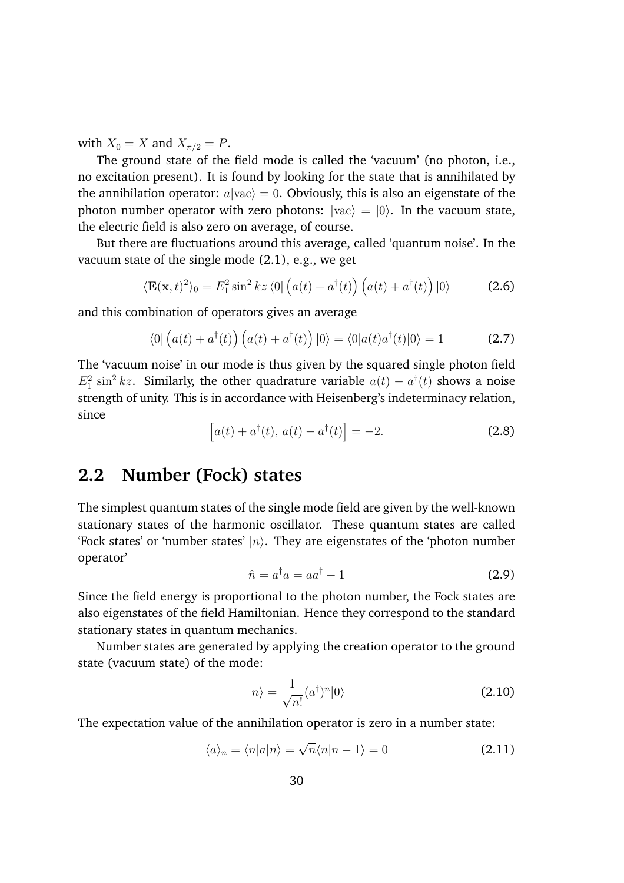with  $X_0 = X$  and  $X_{\pi/2} = P$ .

The ground state of the field mode is called the 'vacuum' (no photon, i.e., no excitation present). It is found by looking for the state that is annihilated by the annihilation operator:  $a|vac\rangle = 0$ . Obviously, this is also an eigenstate of the photon number operator with zero photons:  $|vac\rangle = |0\rangle$ . In the vacuum state, the electric field is also zero on average, of course.

But there are fluctuations around this average, called 'quantum noise'. In the vacuum state of the single mode (2.1), e.g., we get

$$
\langle \mathbf{E}(\mathbf{x},t)^2 \rangle_0 = E_1^2 \sin^2 kz \langle 0| \left( a(t) + a^\dagger(t) \right) \left( a(t) + a^\dagger(t) \right) |0\rangle \tag{2.6}
$$

and this combination of operators gives an average

$$
\langle 0| \left( a(t) + a^{\dagger}(t) \right) \left( a(t) + a^{\dagger}(t) \right) |0\rangle = \langle 0| a(t) a^{\dagger}(t) |0\rangle = 1 \tag{2.7}
$$

The 'vacuum noise' in our mode is thus given by the squared single photon field  $E_1^2 \sin^2 kz$ . Similarly, the other quadrature variable  $a(t) - a^{\dagger}(t)$  shows a noise strength of unity. This is in accordance with Heisenberg's indeterminacy relation, since

$$
[a(t) + a^{\dagger}(t), a(t) - a^{\dagger}(t)] = -2.
$$
 (2.8)

# **2.2 Number (Fock) states**

The simplest quantum states of the single mode field are given by the well-known stationary states of the harmonic oscillator. These quantum states are called 'Fock states' or 'number states'  $|n\rangle$ . They are eigenstates of the 'photon number operator'

$$
\hat{n} = a^{\dagger} a = a a^{\dagger} - 1 \tag{2.9}
$$

Since the field energy is proportional to the photon number, the Fock states are also eigenstates of the field Hamiltonian. Hence they correspond to the standard stationary states in quantum mechanics.

Number states are generated by applying the creation operator to the ground state (vacuum state) of the mode:

$$
|n\rangle = \frac{1}{\sqrt{n!}} (a^{\dagger})^n |0\rangle
$$
 (2.10)

The expectation value of the annihilation operator is zero in a number state:

$$
\langle a \rangle_n = \langle n | a | n \rangle = \sqrt{n} \langle n | n - 1 \rangle = 0 \tag{2.11}
$$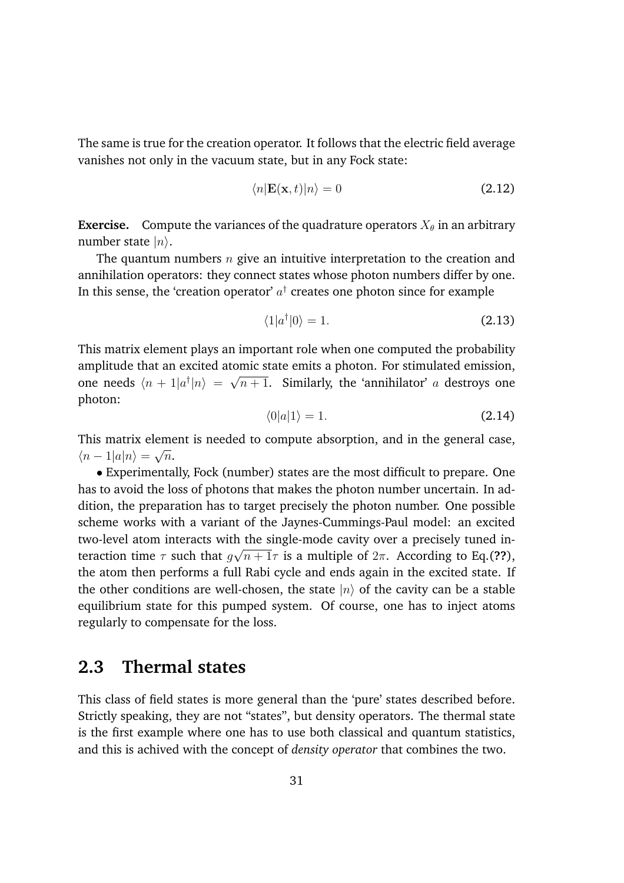The same is true for the creation operator. It follows that the electric field average vanishes not only in the vacuum state, but in any Fock state:

$$
\langle n|\mathbf{E}(\mathbf{x},t)|n\rangle = 0\tag{2.12}
$$

**Exercise.** Compute the variances of the quadrature operators  $X_{\theta}$  in an arbitrary number state  $|n\rangle$ .

The quantum numbers *n* give an intuitive interpretation to the creation and annihilation operators: they connect states whose photon numbers differ by one. In this sense, the 'creation operator'  $a^{\dagger}$  creates one photon since for example

$$
\langle 1|a^{\dagger}|0\rangle = 1. \tag{2.13}
$$

This matrix element plays an important role when one computed the probability amplitude that an excited atomic state emits a photon. For stimulated emission, one needs  $\langle n + 1|a^{\dagger}|n \rangle = \sqrt{n+1}$ . Similarly, the 'annihilator' *a* destroys one photon:

$$
\langle 0|a|1\rangle = 1. \tag{2.14}
$$

This matrix element is needed to compute absorption, and in the general case,  $\langle n-1|a|n\rangle = \sqrt{n}$ .

*•* Experimentally, Fock (number) states are the most difficult to prepare. One has to avoid the loss of photons that makes the photon number uncertain. In addition, the preparation has to target precisely the photon number. One possible scheme works with a variant of the Jaynes-Cummings-Paul model: an excited two-level atom interacts with the single-mode cavity over a precisely tuned interaction time  $\tau$  such that  $g\sqrt{n+1}\tau$  is a multiple of  $2\pi$ . According to Eq.(??), the atom then performs a full Rabi cycle and ends again in the excited state. If the other conditions are well-chosen, the state  $|n\rangle$  of the cavity can be a stable equilibrium state for this pumped system. Of course, one has to inject atoms regularly to compensate for the loss.

# **2.3 Thermal states**

This class of field states is more general than the 'pure' states described before. Strictly speaking, they are not "states", but density operators. The thermal state is the first example where one has to use both classical and quantum statistics, and this is achived with the concept of *density operator* that combines the two.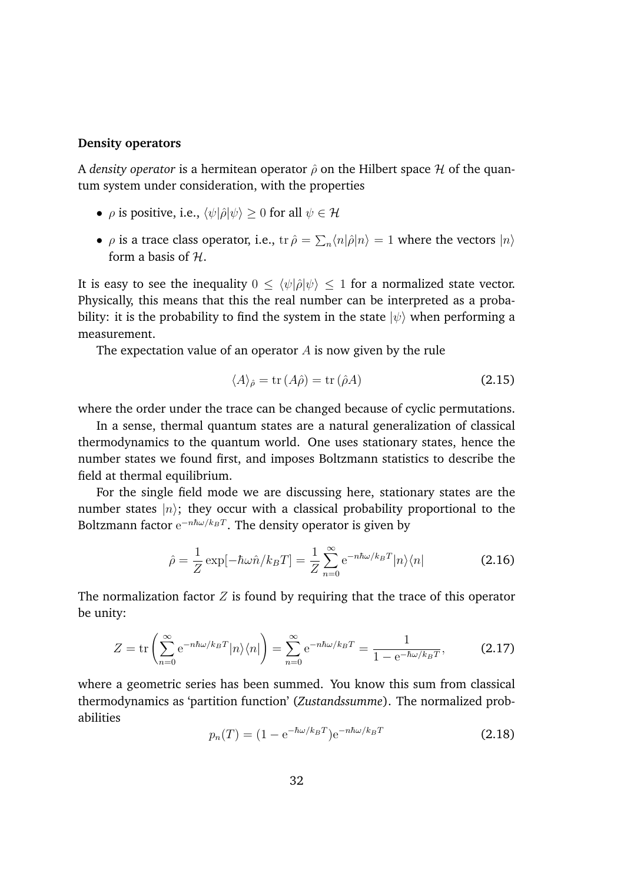#### **Density operators**

A *density operator* is a hermitean operator  $\hat{\rho}$  on the Hilbert space  $\mathcal H$  of the quantum system under consideration, with the properties

- $\rho$  is positive, i.e.,  $\langle \psi | \hat{\rho} | \psi \rangle > 0$  for all  $\psi \in \mathcal{H}$
- $\rho$  is a trace class operator, i.e.,  $\text{tr}\,\hat{\rho} = \sum_n \langle n|\hat{\rho}|n\rangle = 1$  where the vectors  $|n\rangle$ form a basis of *H*.

It is easy to see the inequality  $0 \le \langle \psi | \hat{\rho} | \psi \rangle \le 1$  for a normalized state vector. Physically, this means that this the real number can be interpreted as a probability: it is the probability to find the system in the state  $|\psi\rangle$  when performing a measurement.

The expectation value of an operator *A* is now given by the rule

$$
\langle A \rangle_{\hat{\rho}} = \text{tr}\,(A\hat{\rho}) = \text{tr}\,(\hat{\rho}A) \tag{2.15}
$$

where the order under the trace can be changed because of cyclic permutations.

In a sense, thermal quantum states are a natural generalization of classical thermodynamics to the quantum world. One uses stationary states, hence the number states we found first, and imposes Boltzmann statistics to describe the field at thermal equilibrium.

For the single field mode we are discussing here, stationary states are the number states  $|n\rangle$ ; they occur with a classical probability proportional to the Boltzmann factor  $e^{-n\hbar\omega/k_BT}$ . The density operator is given by

$$
\hat{\rho} = \frac{1}{Z} \exp[-\hbar \omega \hat{n}/k_B T] = \frac{1}{Z} \sum_{n=0}^{\infty} e^{-n\hbar \omega/k_B T} |n\rangle \langle n|
$$
 (2.16)

The normalization factor *Z* is found by requiring that the trace of this operator be unity:

$$
Z = \text{tr}\left(\sum_{n=0}^{\infty} e^{-n\hbar\omega/k_BT} |n\rangle\langle n| \right) = \sum_{n=0}^{\infty} e^{-n\hbar\omega/k_BT} = \frac{1}{1 - e^{-\hbar\omega/k_BT}},
$$
(2.17)

where a geometric series has been summed. You know this sum from classical thermodynamics as 'partition function' (*Zustandssumme*). The normalized probabilities

$$
p_n(T) = (1 - e^{-\hbar\omega/k_B T})e^{-n\hbar\omega/k_B T}
$$
 (2.18)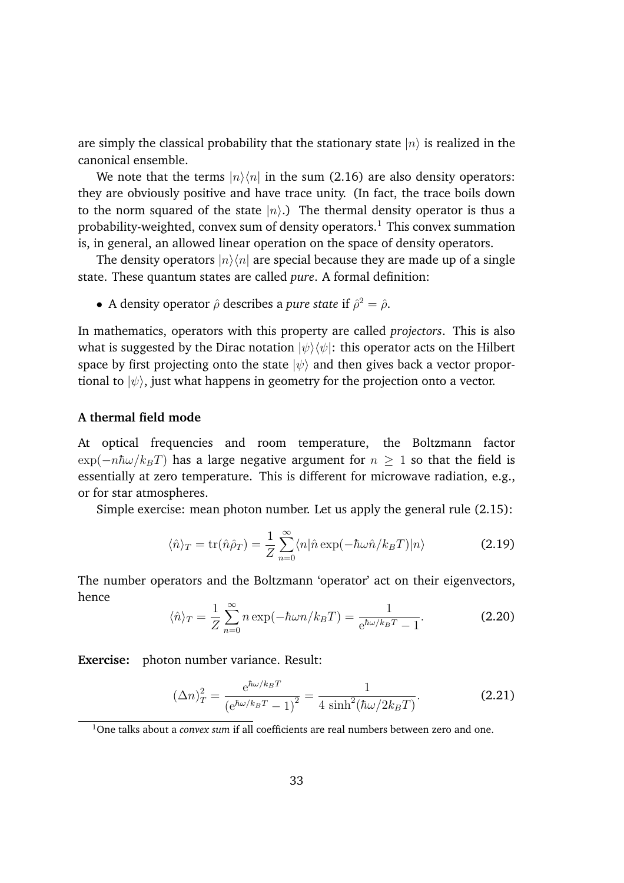are simply the classical probability that the stationary state  $|n\rangle$  is realized in the canonical ensemble.

We note that the terms  $|n\rangle\langle n|$  in the sum (2.16) are also density operators: they are obviously positive and have trace unity. (In fact, the trace boils down to the norm squared of the state  $|n\rangle$ .) The thermal density operator is thus a probability-weighted, convex sum of density operators.<sup>1</sup> This convex summation is, in general, an allowed linear operation on the space of density operators.

The density operators  $|n\rangle\langle n|$  are special because they are made up of a single state. These quantum states are called *pure*. A formal definition:

• A density operator  $\hat{\rho}$  describes a *pure state* if  $\hat{\rho}^2 = \hat{\rho}$ .

In mathematics, operators with this property are called *projectors*. This is also what is suggested by the Dirac notation  $|\psi\rangle\langle\psi|$ : this operator acts on the Hilbert space by first projecting onto the state  $|\psi\rangle$  and then gives back a vector proportional to  $|\psi\rangle$ , just what happens in geometry for the projection onto a vector.

### **A thermal field mode**

At optical frequencies and room temperature, the Boltzmann factor  $\exp(-n\hbar\omega/k_BT)$  has a large negative argument for  $n > 1$  so that the field is essentially at zero temperature. This is different for microwave radiation, e.g., or for star atmospheres.

Simple exercise: mean photon number. Let us apply the general rule (2.15):

$$
\langle \hat{n} \rangle_T = \text{tr}(\hat{n}\hat{\rho}_T) = \frac{1}{Z} \sum_{n=0}^{\infty} \langle n | \hat{n} \exp(-\hbar \omega \hat{n}/k_B T) | n \rangle \tag{2.19}
$$

The number operators and the Boltzmann 'operator' act on their eigenvectors, hence

$$
\langle \hat{n} \rangle_T = \frac{1}{Z} \sum_{n=0}^{\infty} n \exp(-\hbar \omega n / k_B T) = \frac{1}{e^{\hbar \omega / k_B T} - 1}.
$$
 (2.20)

**Exercise:** photon number variance. Result:

$$
(\Delta n)_T^2 = \frac{e^{\hbar \omega / k_B T}}{\left(e^{\hbar \omega / k_B T} - 1\right)^2} = \frac{1}{4 \sinh^2(\hbar \omega / 2k_B T)}.
$$
 (2.21)

<sup>1</sup>One talks about a *convex sum* if all coefficients are real numbers between zero and one.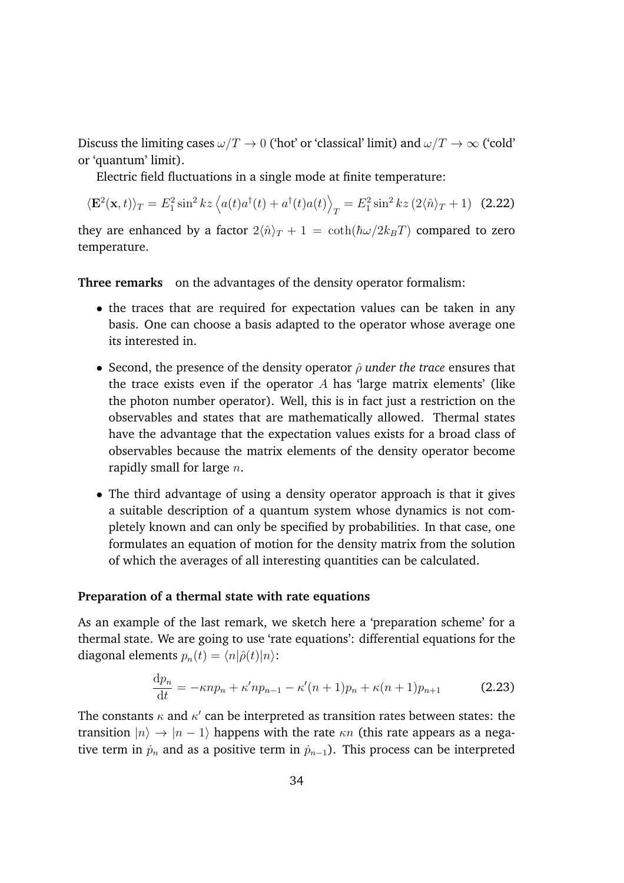Discuss the limiting cases  $\omega/T \to 0$  ('hot' or 'classical' limit) and  $\omega/T \to \infty$  ('cold' or 'quantum' limit).

Electric field fluctuations in a single mode at finite temperature:

$$
\langle \mathbf{E}^2(\mathbf{x},t) \rangle_T = E_1^2 \sin^2 kz \left\langle a(t)a^\dagger(t) + a^\dagger(t)a(t) \right\rangle_T = E_1^2 \sin^2 kz \left( 2 \langle \hat{n} \rangle_T + 1 \right) \tag{2.22}
$$

they are enhanced by a factor  $2\langle \hat{n} \rangle_T + 1 = \coth(\hbar \omega/2k_BT)$  compared to zero temperature.

**Three remarks** on the advantages of the density operator formalism:

- the traces that are required for expectation values can be taken in any basis. One can choose a basis adapted to the operator whose average one its interested in.
- Second, the presence of the density operator  $\hat{\rho}$  *under the trace* ensures that the trace exists even if the operator *A* has 'large matrix elements' (like the photon number operator). Well, this is in fact just a restriction on the observables and states that are mathematically allowed. Thermal states have the advantage that the expectation values exists for a broad class of observables because the matrix elements of the density operator become rapidly small for large *n*.
- *•* The third advantage of using a density operator approach is that it gives a suitable description of a quantum system whose dynamics is not completely known and can only be specified by probabilities. In that case, one formulates an equation of motion for the density matrix from the solution of which the averages of all interesting quantities can be calculated.

### **Preparation of a thermal state with rate equations**

As an example of the last remark, we sketch here a 'preparation scheme' for a thermal state. We are going to use 'rate equations': differential equations for the diagonal elements  $p_n(t) = \langle n | \hat{\rho}(t) | n \rangle$ :

$$
\frac{\mathrm{d}p_n}{\mathrm{d}t} = -\kappa n p_n + \kappa' n p_{n-1} - \kappa' (n+1) p_n + \kappa (n+1) p_{n+1} \tag{2.23}
$$

The constants  $\kappa$  and  $\kappa'$  can be interpreted as transition rates between states: the transition  $|n\rangle \rightarrow |n-1\rangle$  happens with the rate  $\kappa n$  (this rate appears as a negative term in  $\dot{p}_n$  and as a positive term in  $\dot{p}_{n-1}$ ). This process can be interpreted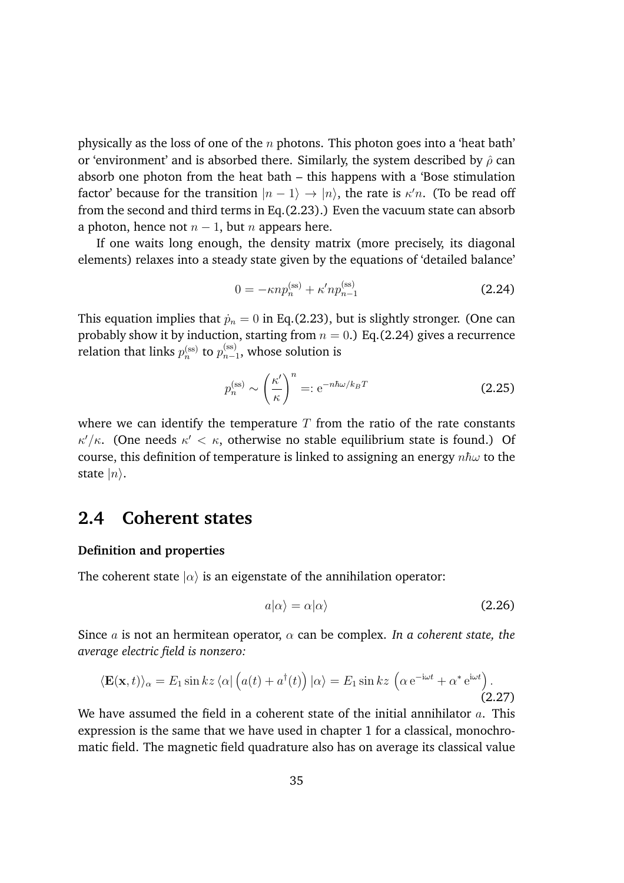physically as the loss of one of the *n* photons. This photon goes into a 'heat bath' or 'environment' and is absorbed there. Similarly, the system described by  $\hat{\rho}$  can absorb one photon from the heat bath – this happens with a 'Bose stimulation factor' because for the transition  $|n-1\rangle \rightarrow |n\rangle$ , the rate is  $\kappa' n$ . (To be read off from the second and third terms in Eq.(2.23).) Even the vacuum state can absorb a photon, hence not  $n-1$ , but *n* appears here.

If one waits long enough, the density matrix (more precisely, its diagonal elements) relaxes into a steady state given by the equations of 'detailed balance'

$$
0 = -\kappa n p_n^{(\text{ss})} + \kappa' n p_{n-1}^{(\text{ss})}
$$
\n(2.24)

This equation implies that  $\dot{p}_n = 0$  in Eq.(2.23), but is slightly stronger. (One can probably show it by induction, starting from  $n = 0$ .) Eq.(2.24) gives a recurrence relation that links  $p_n^{\mathrm{(ss)}}$  to  $p_{n-1}^{\mathrm{(ss)}},$  whose solution is

$$
p_n^{(\text{ss})} \sim \left(\frac{\kappa'}{\kappa}\right)^n =: \text{e}^{-n\hbar\omega/k_BT} \tag{2.25}
$$

where we can identify the temperature  $T$  from the ratio of the rate constants  $\kappa'/\kappa$ . (One needs  $\kappa' < \kappa$ , otherwise no stable equilibrium state is found.) Of course, this definition of temperature is linked to assigning an energy  $n\hbar\omega$  to the state  $|n\rangle$ .

# **2.4 Coherent states**

### **Definition and properties**

The coherent state  $|\alpha\rangle$  is an eigenstate of the annihilation operator:

$$
a|\alpha\rangle = \alpha|\alpha\rangle \tag{2.26}
$$

Since *a* is not an hermitean operator,  $\alpha$  can be complex. *In a coherent state, the average electric field is nonzero:*

$$
\langle \mathbf{E}(\mathbf{x},t) \rangle_{\alpha} = E_1 \sin kz \langle \alpha | \left( a(t) + a^{\dagger}(t) \right) | \alpha \rangle = E_1 \sin kz \left( \alpha e^{-i\omega t} + \alpha^* e^{i\omega t} \right).
$$
\n(2.27)

We have assumed the field in a coherent state of the initial annihilator *a*. This expression is the same that we have used in chapter 1 for a classical, monochromatic field. The magnetic field quadrature also has on average its classical value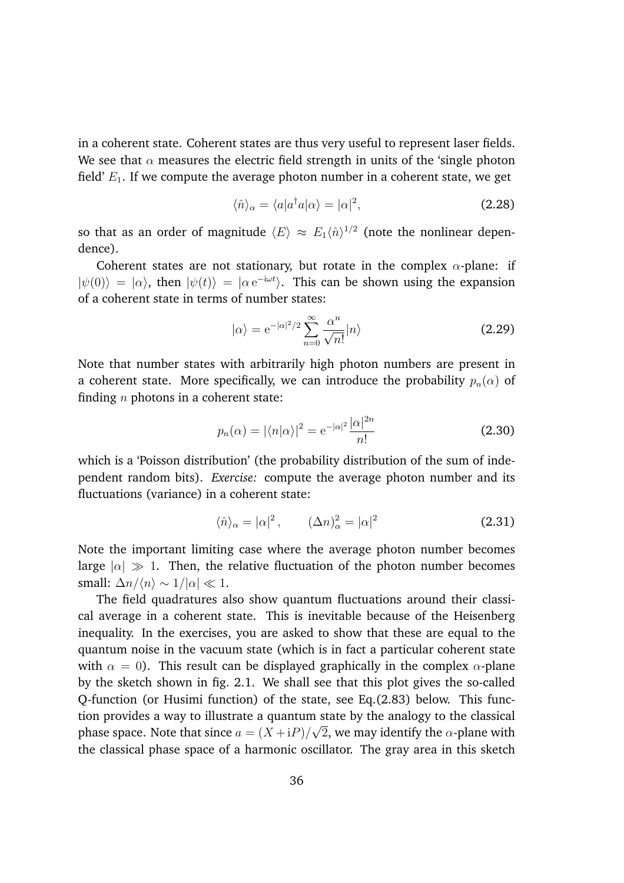in a coherent state. Coherent states are thus very useful to represent laser fields. We see that  $\alpha$  measures the electric field strength in units of the 'single photon field' *E*1. If we compute the average photon number in a coherent state, we get

$$
\langle \hat{n} \rangle_{\alpha} = \langle a | a^{\dagger} a | \alpha \rangle = | \alpha |^2, \tag{2.28}
$$

so that as an order of magnitude  $\langle E \rangle \approx E_1 \langle \hat{n} \rangle^{1/2}$  (note the nonlinear dependence).

Coherent states are not stationary, but rotate in the complex  $\alpha$ -plane: if  $|\psi(0)\rangle = |\alpha\rangle$ , then  $|\psi(t)\rangle = |\alpha e^{-i\omega t}\rangle$ . This can be shown using the expansion of a coherent state in terms of number states:

$$
|\alpha\rangle = e^{-|\alpha|^2/2} \sum_{n=0}^{\infty} \frac{\alpha^n}{\sqrt{n!}} |n\rangle
$$
 (2.29)

Note that number states with arbitrarily high photon numbers are present in a coherent state. More specifically, we can introduce the probability  $p_n(\alpha)$  of finding *n* photons in a coherent state:

$$
p_n(\alpha) = |\langle n|\alpha\rangle|^2 = e^{-|\alpha|^2} \frac{|\alpha|^{2n}}{n!}
$$
 (2.30)

which is a 'Poisson distribution' (the probability distribution of the sum of independent random bits). *Exercise:* compute the average photon number and its fluctuations (variance) in a coherent state:

$$
\langle \hat{n} \rangle_{\alpha} = |\alpha|^2, \qquad (\Delta n)^2_{\alpha} = |\alpha|^2 \tag{2.31}
$$

Note the important limiting case where the average photon number becomes large  $|\alpha| \gg 1$ . Then, the relative fluctuation of the photon number becomes small:  $\Delta n / \langle n \rangle \sim 1 / |\alpha| \ll 1$ .

The field quadratures also show quantum fluctuations around their classical average in a coherent state. This is inevitable because of the Heisenberg inequality. In the exercises, you are asked to show that these are equal to the quantum noise in the vacuum state (which is in fact a particular coherent state with  $\alpha = 0$ ). This result can be displayed graphically in the complex  $\alpha$ -plane by the sketch shown in fig. 2.1. We shall see that this plot gives the so-called Q-function (or Husimi function) of the state, see Eq.(2.83) below. This function provides a way to illustrate a quantum state by the analogy to the classical phase space. Note that since  $a = (X + iP)/\sqrt{2}$ , we may identify the  $\alpha$ -plane with the classical phase space of a harmonic oscillator. The gray area in this sketch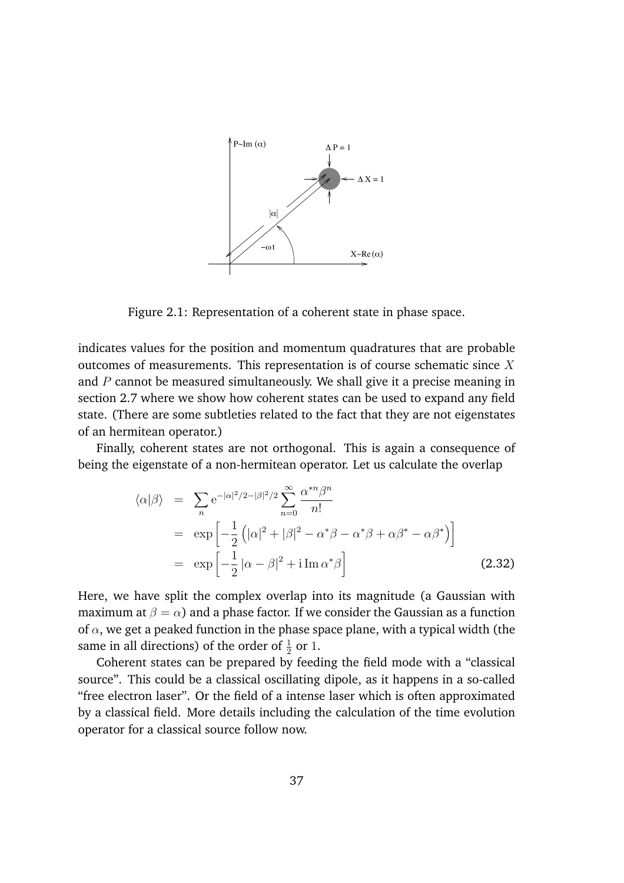

Figure 2.1: Representation of a coherent state in phase space.

indicates values for the position and momentum quadratures that are probable outcomes of measurements. This representation is of course schematic since *X* and *P* cannot be measured simultaneously. We shall give it a precise meaning in section 2.7 where we show how coherent states can be used to expand any field state. (There are some subtleties related to the fact that they are not eigenstates of an hermitean operator.)

Finally, coherent states are not orthogonal. This is again a consequence of being the eigenstate of a non-hermitean operator. Let us calculate the overlap

$$
\langle \alpha | \beta \rangle = \sum_{n} e^{-|\alpha|^2/2 - |\beta|^2/2} \sum_{n=0}^{\infty} \frac{\alpha^{*n} \beta^n}{n!}
$$
  
\n
$$
= \exp \left[ -\frac{1}{2} \left( |\alpha|^2 + |\beta|^2 - \alpha^* \beta - \alpha^* \beta + \alpha \beta^* - \alpha \beta^* \right) \right]
$$
  
\n
$$
= \exp \left[ -\frac{1}{2} |\alpha - \beta|^2 + i \operatorname{Im} \alpha^* \beta \right]
$$
(2.32)

Here, we have split the complex overlap into its magnitude (a Gaussian with maximum at  $\beta = \alpha$ ) and a phase factor. If we consider the Gaussian as a function of  $\alpha$ , we get a peaked function in the phase space plane, with a typical width (the same in all directions) of the order of  $\frac{1}{2}$  or 1.

Coherent states can be prepared by feeding the field mode with a "classical source". This could be a classical oscillating dipole, as it happens in a so-called "free electron laser". Or the field of a intense laser which is often approximated by a classical field. More details including the calculation of the time evolution operator for a classical source follow now.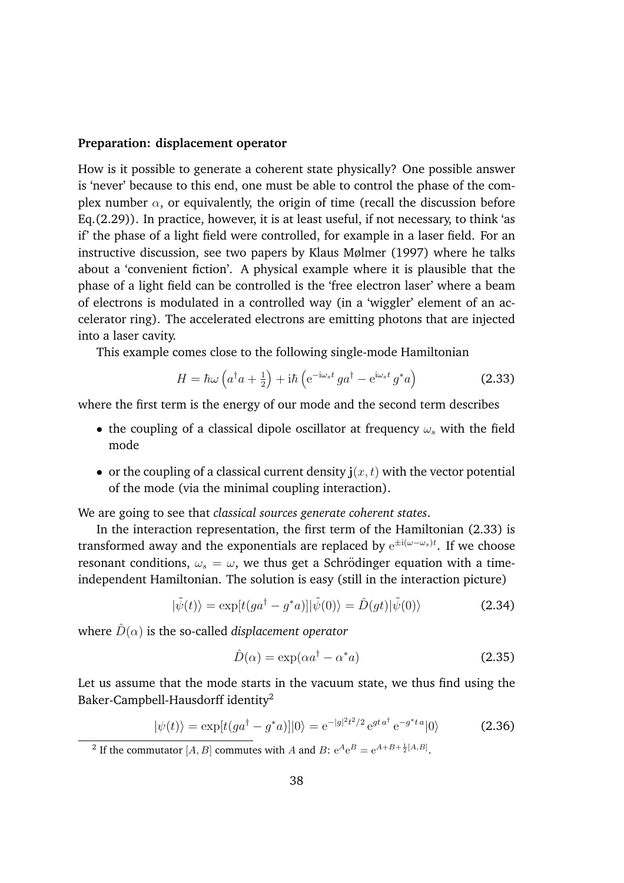#### **Preparation: displacement operator**

How is it possible to generate a coherent state physically? One possible answer is 'never' because to this end, one must be able to control the phase of the complex number  $\alpha$ , or equivalently, the origin of time (recall the discussion before Eq.(2.29)). In practice, however, it is at least useful, if not necessary, to think 'as if' the phase of a light field were controlled, for example in a laser field. For an instructive discussion, see two papers by Klaus Mølmer (1997) where he talks about a 'convenient fiction'. A physical example where it is plausible that the phase of a light field can be controlled is the 'free electron laser' where a beam of electrons is modulated in a controlled way (in a 'wiggler' element of an accelerator ring). The accelerated electrons are emitting photons that are injected into a laser cavity.

This example comes close to the following single-mode Hamiltonian

$$
H = \hbar\omega\left(a^{\dagger}a + \frac{1}{2}\right) + i\hbar\left(e^{-i\omega_{s}t}ga^{\dagger} - e^{i\omega_{s}t}g^{*}a\right)
$$
(2.33)

where the first term is the energy of our mode and the second term describes

- the coupling of a classical dipole oscillator at frequency  $\omega_s$  with the field mode
- or the coupling of a classical current density  $\mathbf{j}(x, t)$  with the vector potential of the mode (via the minimal coupling interaction).

We are going to see that *classical sources generate coherent states*.

In the interaction representation, the first term of the Hamiltonian (2.33) is transformed away and the exponentials are replaced by  $e^{\pm i(\omega - \omega_s)t}$ . If we choose resonant conditions,  $\omega_s = \omega$ , we thus get a Schrödinger equation with a timeindependent Hamiltonian. The solution is easy (still in the interaction picture)

$$
|\tilde{\psi}(t)\rangle = \exp[t(ga^{\dagger} - g^*a)]|\tilde{\psi}(0)\rangle = \hat{D}(gt)|\tilde{\psi}(0)\rangle
$$
 (2.34)

where  $\hat{D}(\alpha)$  is the so-called *displacement operator* 

$$
\hat{D}(\alpha) = \exp(\alpha a^{\dagger} - \alpha^* a) \tag{2.35}
$$

Let us assume that the mode starts in the vacuum state, we thus find using the Baker-Campbell-Hausdorff identity2

$$
|\psi(t)\rangle = \exp[t(ga^{\dagger} - g^*a)]|0\rangle = e^{-|g|^2t^2/2} e^{gt a^{\dagger}} e^{-g^*ta}|0\rangle
$$
 (2.36)

<sup>&</sup>lt;sup>2</sup> If the commutator [*A, B*] commutes with *A* and *B*:  $e^{A}e^{B} = e^{A+B+\frac{1}{2}[A,B]}$ .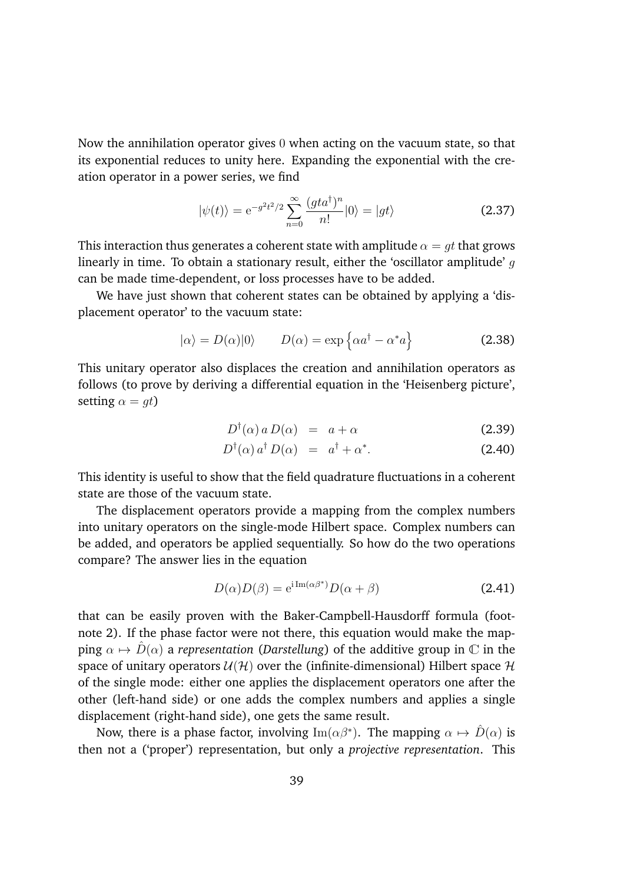Now the annihilation operator gives 0 when acting on the vacuum state, so that its exponential reduces to unity here. Expanding the exponential with the creation operator in a power series, we find

$$
|\psi(t)\rangle = e^{-g^2t^2/2} \sum_{n=0}^{\infty} \frac{(gta^{\dagger})^n}{n!} |0\rangle = |gt\rangle
$$
 (2.37)

This interaction thus generates a coherent state with amplitude  $\alpha = gt$  that grows linearly in time. To obtain a stationary result, either the 'oscillator amplitude' *g* can be made time-dependent, or loss processes have to be added.

We have just shown that coherent states can be obtained by applying a 'displacement operator' to the vacuum state:

$$
|\alpha\rangle = D(\alpha)|0\rangle \qquad D(\alpha) = \exp\left\{\alpha a^{\dagger} - \alpha^* a\right\} \tag{2.38}
$$

This unitary operator also displaces the creation and annihilation operators as follows (to prove by deriving a differential equation in the 'Heisenberg picture', setting  $\alpha = qt$ )

$$
D^{\dagger}(\alpha) a D(\alpha) = a + \alpha \tag{2.39}
$$

$$
D^{\dagger}(\alpha) a^{\dagger} D(\alpha) = a^{\dagger} + \alpha^*.
$$
 (2.40)

This identity is useful to show that the field quadrature fluctuations in a coherent state are those of the vacuum state.

The displacement operators provide a mapping from the complex numbers into unitary operators on the single-mode Hilbert space. Complex numbers can be added, and operators be applied sequentially. So how do the two operations compare? The answer lies in the equation

$$
D(\alpha)D(\beta) = e^{i \operatorname{Im}(\alpha \beta^*)} D(\alpha + \beta)
$$
 (2.41)

that can be easily proven with the Baker-Campbell-Hausdorff formula (footnote 2). If the phase factor were not there, this equation would make the mapping  $\alpha \mapsto \hat{D}(\alpha)$  a *representation* (*Darstellung*) of the additive group in  $\mathbb C$  in the space of unitary operators  $U(\mathcal{H})$  over the (infinite-dimensional) Hilbert space  $\mathcal{H}$ of the single mode: either one applies the displacement operators one after the other (left-hand side) or one adds the complex numbers and applies a single displacement (right-hand side), one gets the same result.

Now, there is a phase factor, involving  $\text{Im}(\alpha\beta^*)$ . The mapping  $\alpha \mapsto \hat{D}(\alpha)$  is then not a ('proper') representation, but only a *projective representation*. This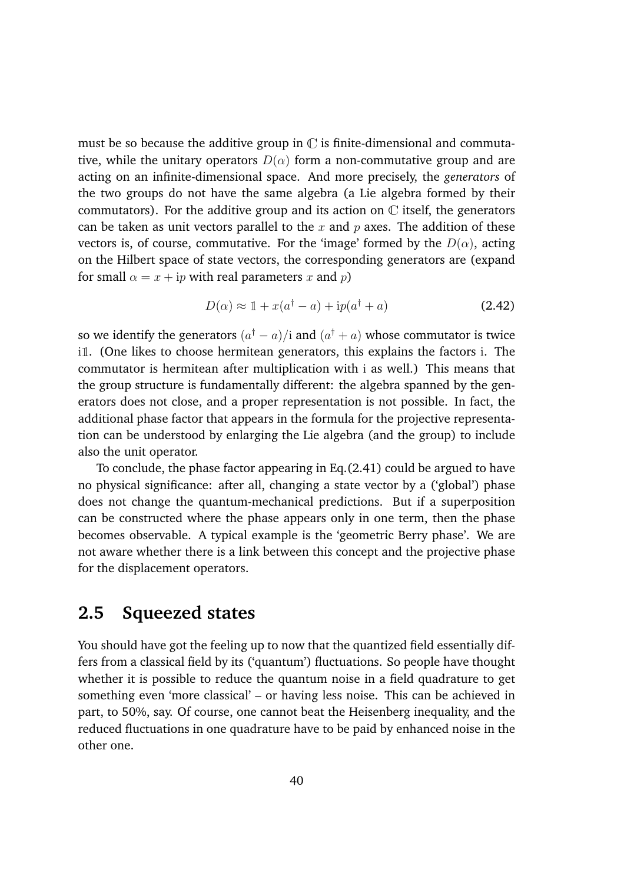must be so because the additive group in  $\mathbb C$  is finite-dimensional and commutative, while the unitary operators  $D(\alpha)$  form a non-commutative group and are acting on an infinite-dimensional space. And more precisely, the *generators* of the two groups do not have the same algebra (a Lie algebra formed by their commutators). For the additive group and its action on  $\mathbb C$  itself, the generators can be taken as unit vectors parallel to the *x* and *p* axes. The addition of these vectors is, of course, commutative. For the 'image' formed by the  $D(\alpha)$ , acting on the Hilbert space of state vectors, the corresponding generators are (expand for small  $\alpha = x + i p$  with real parameters *x* and *p*)

$$
D(\alpha) \approx 1 + x(a^{\dagger} - a) + \mathrm{i}p(a^{\dagger} + a)
$$
 (2.42)

so we identify the generators  $(a^{\dagger} - a)/i$  and  $(a^{\dagger} + a)$  whose commutator is twice  $i$  . (One likes to choose hermitean generators, this explains the factors i. The commutator is hermitean after multiplication with i as well.) This means that the group structure is fundamentally different: the algebra spanned by the generators does not close, and a proper representation is not possible. In fact, the additional phase factor that appears in the formula for the projective representation can be understood by enlarging the Lie algebra (and the group) to include also the unit operator.

To conclude, the phase factor appearing in Eq.(2.41) could be argued to have no physical significance: after all, changing a state vector by a ('global') phase does not change the quantum-mechanical predictions. But if a superposition can be constructed where the phase appears only in one term, then the phase becomes observable. A typical example is the 'geometric Berry phase'. We are not aware whether there is a link between this concept and the projective phase for the displacement operators.

# **2.5 Squeezed states**

You should have got the feeling up to now that the quantized field essentially differs from a classical field by its ('quantum') fluctuations. So people have thought whether it is possible to reduce the quantum noise in a field quadrature to get something even 'more classical' – or having less noise. This can be achieved in part, to 50%, say. Of course, one cannot beat the Heisenberg inequality, and the reduced fluctuations in one quadrature have to be paid by enhanced noise in the other one.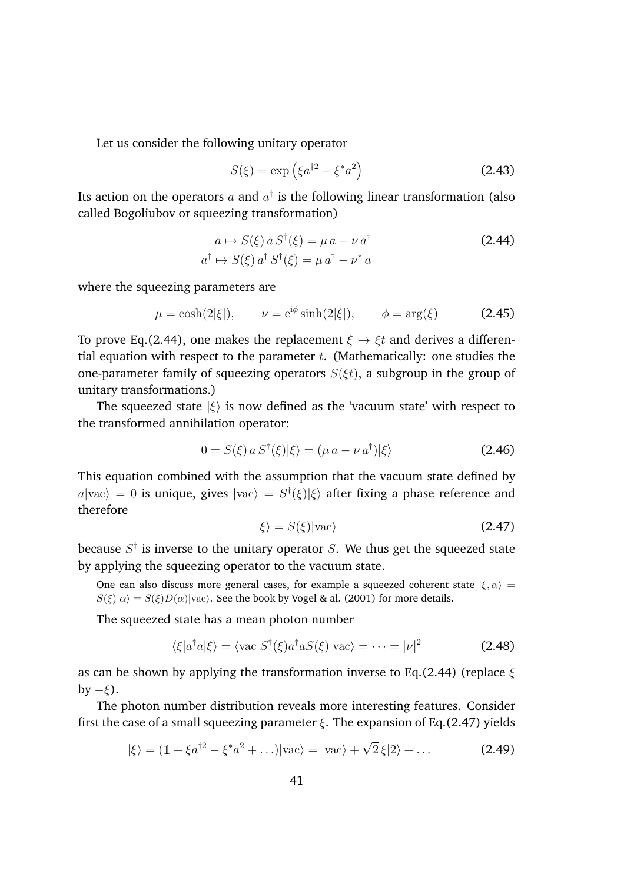Let us consider the following unitary operator

$$
S(\xi) = \exp\left(\xi a^{\dagger 2} - \xi^* a^2\right) \tag{2.43}
$$

Its action on the operators  $a$  and  $a^{\dagger}$  is the following linear transformation (also called Bogoliubov or squeezing transformation)

$$
a \mapsto S(\xi) a S^{\dagger}(\xi) = \mu a - \nu a^{\dagger}
$$
  
\n
$$
a^{\dagger} \mapsto S(\xi) a^{\dagger} S^{\dagger}(\xi) = \mu a^{\dagger} - \nu^* a
$$
\n(2.44)

where the squeezing parameters are

$$
\mu = \cosh(2|\xi|), \qquad \nu = e^{i\phi} \sinh(2|\xi|), \qquad \phi = \arg(\xi) \tag{2.45}
$$

To prove Eq.(2.44), one makes the replacement  $\xi \mapsto \xi t$  and derives a differential equation with respect to the parameter *t*. (Mathematically: one studies the one-parameter family of squeezing operators  $S(\xi t)$ , a subgroup in the group of unitary transformations.)

The squeezed state  $|\xi\rangle$  is now defined as the 'vacuum state' with respect to the transformed annihilation operator:

$$
0 = S(\xi) a S^{\dagger}(\xi) |\xi\rangle = (\mu a - \nu a^{\dagger}) |\xi\rangle \tag{2.46}
$$

This equation combined with the assumption that the vacuum state defined by  $a|{\rm vac}\rangle = 0$  is unique, gives  $|{\rm vac}\rangle = S^{\dagger}(\xi)|\xi\rangle$  after fixing a phase reference and therefore

$$
|\xi\rangle = S(\xi)|\text{vac}\rangle \tag{2.47}
$$

because *S†* is inverse to the unitary operator *S*. We thus get the squeezed state by applying the squeezing operator to the vacuum state.

One can also discuss more general cases, for example a squeezed coherent state  $|\xi, \alpha\rangle =$  $S(\xi)|\alpha\rangle = S(\xi)D(\alpha)|\text{vac}\rangle$ . See the book by Vogel & al. (2001) for more details.

The squeezed state has a mean photon number

$$
\langle \xi | a^{\dagger} a | \xi \rangle = \langle \text{vac} | S^{\dagger}(\xi) a^{\dagger} a S(\xi) | \text{vac} \rangle = \dots = |\nu|^2 \tag{2.48}
$$

as can be shown by applying the transformation inverse to Eq.(2.44) (replace  $\xi$ by  $-\xi$ ).

The photon number distribution reveals more interesting features. Consider first the case of a small squeezing parameter  $\xi$ . The expansion of Eq.(2.47) yields

$$
|\xi\rangle = (1 + \xi a^{\dagger 2} - \xi^* a^2 + \ldots)|\text{vac}\rangle = |\text{vac}\rangle + \sqrt{2}\,\xi|2\rangle + \ldots \tag{2.49}
$$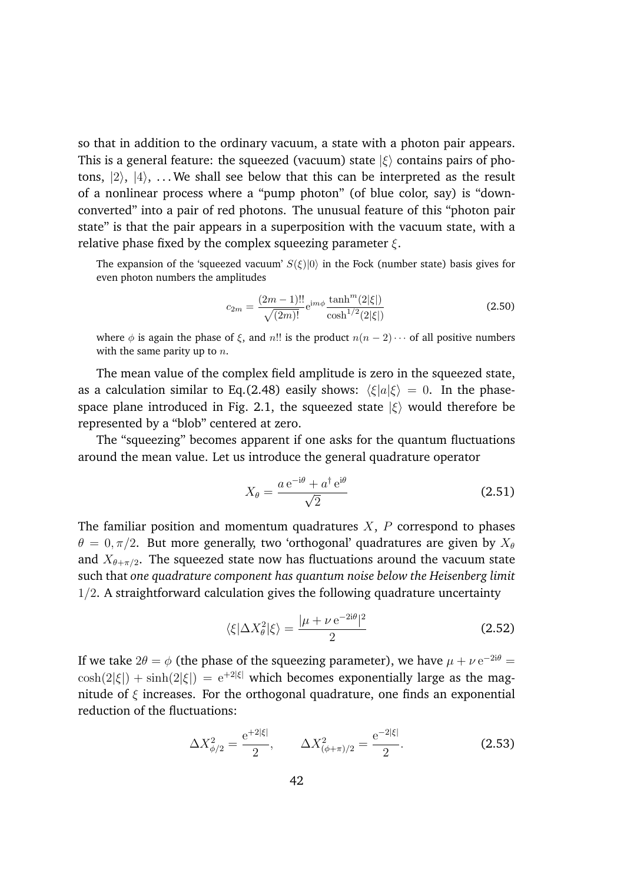so that in addition to the ordinary vacuum, a state with a photon pair appears. This is a general feature: the squeezed (vacuum) state  $|\xi\rangle$  contains pairs of photons,  $|2\rangle$ ,  $|4\rangle$ , ... We shall see below that this can be interpreted as the result of a nonlinear process where a "pump photon" (of blue color, say) is "downconverted" into a pair of red photons. The unusual feature of this "photon pair state" is that the pair appears in a superposition with the vacuum state, with a relative phase fixed by the complex squeezing parameter  $\xi$ .

The expansion of the 'squeezed vacuum'  $S(\xi)|0\rangle$  in the Fock (number state) basis gives for even photon numbers the amplitudes

$$
c_{2m} = \frac{(2m-1)!!}{\sqrt{(2m)!}} e^{im\phi} \frac{\tanh^m(2|\xi|)}{\cosh^{1/2}(2|\xi|)}
$$
(2.50)

where  $\phi$  is again the phase of  $\xi$ , and *n*!! is the product  $n(n-2)\cdots$  of all positive numbers with the same parity up to *n*.

The mean value of the complex field amplitude is zero in the squeezed state, as a calculation similar to Eq.(2.48) easily shows:  $\langle \xi | a | \xi \rangle = 0$ . In the phasespace plane introduced in Fig. 2.1, the squeezed state  $|\xi\rangle$  would therefore be represented by a "blob" centered at zero.

The "squeezing" becomes apparent if one asks for the quantum fluctuations around the mean value. Let us introduce the general quadrature operator

$$
X_{\theta} = \frac{a e^{-i\theta} + a^{\dagger} e^{i\theta}}{\sqrt{2}} \tag{2.51}
$$

The familiar position and momentum quadratures *X*, *P* correspond to phases  $\theta = 0, \pi/2$ . But more generally, two 'orthogonal' quadratures are given by  $X_{\theta}$ and  $X_{\theta+\pi/2}$ . The squeezed state now has fluctuations around the vacuum state such that *one quadrature component has quantum noise below the Heisenberg limit* 1*/*2. A straightforward calculation gives the following quadrature uncertainty

$$
\langle \xi | \Delta X_{\theta}^2 | \xi \rangle = \frac{|\mu + \nu e^{-2i\theta}|^2}{2}
$$
 (2.52)

If we take  $2\theta = \phi$  (the phase of the squeezing parameter), we have  $\mu + \nu e^{-2i\theta} =$  $\cosh(2|\xi|) + \sinh(2|\xi|) = e^{+2|\xi|}$  which becomes exponentially large as the magnitude of  $\epsilon$  increases. For the orthogonal quadrature, one finds an exponential reduction of the fluctuations:

$$
\Delta X_{\phi/2}^2 = \frac{e^{+2|\xi|}}{2}, \qquad \Delta X_{(\phi+\pi)/2}^2 = \frac{e^{-2|\xi|}}{2}.
$$
 (2.53)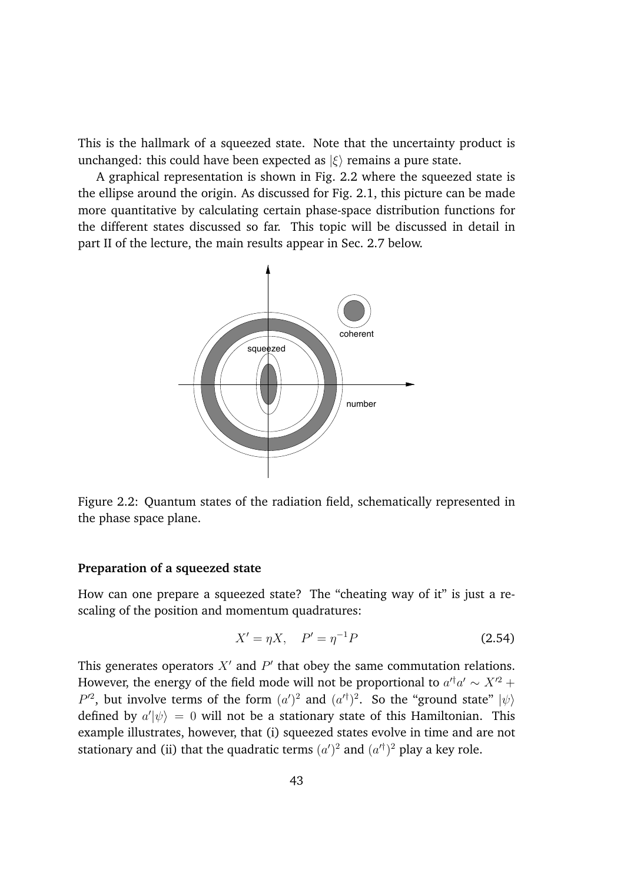This is the hallmark of a squeezed state. Note that the uncertainty product is unchanged: this could have been expected as  $|\xi\rangle$  remains a pure state.

A graphical representation is shown in Fig. 2.2 where the squeezed state is the ellipse around the origin. As discussed for Fig. 2.1, this picture can be made more quantitative by calculating certain phase-space distribution functions for the different states discussed so far. This topic will be discussed in detail in part II of the lecture, the main results appear in Sec. 2.7 below.



Figure 2.2: Quantum states of the radiation field, schematically represented in the phase space plane.

### **Preparation of a squeezed state**

How can one prepare a squeezed state? The "cheating way of it" is just a rescaling of the position and momentum quadratures:

$$
X' = \eta X, \quad P' = \eta^{-1} P \tag{2.54}
$$

This generates operators  $X'$  and  $P'$  that obey the same commutation relations. However, the energy of the field mode will not be proportional to  $a'^{\dagger}a' \sim X'^2 + a'^{\dagger}a''$  $P^2$ , but involve terms of the form  $(a')^2$  and  $(a'^{\dagger})^2$ . So the "ground state"  $|\psi\rangle$ defined by  $a'|\psi\rangle = 0$  will not be a stationary state of this Hamiltonian. This example illustrates, however, that (i) squeezed states evolve in time and are not stationary and (ii) that the quadratic terms  $(a')^2$  and  $(a'^{\dagger})^2$  play a key role.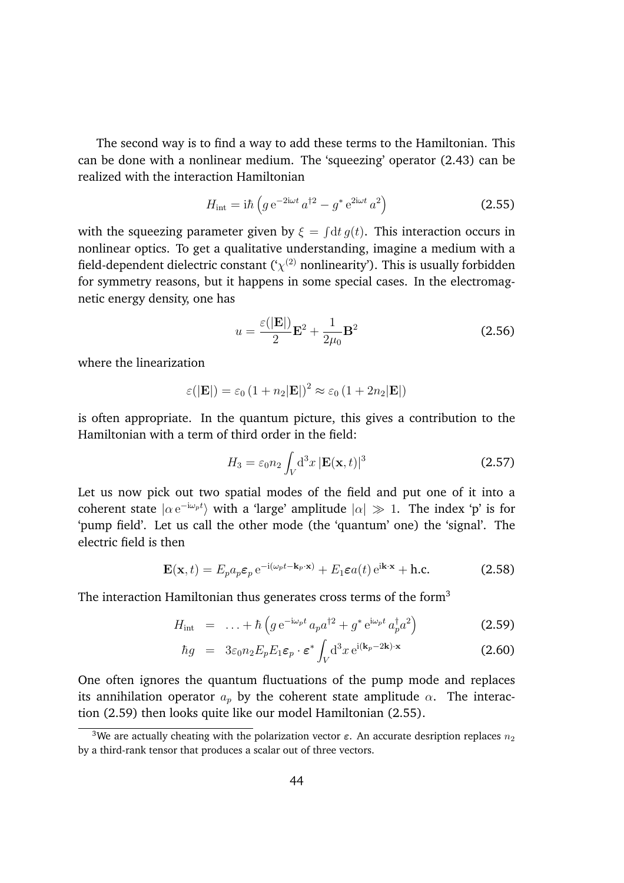The second way is to find a way to add these terms to the Hamiltonian. This can be done with a nonlinear medium. The 'squeezing' operator (2.43) can be realized with the interaction Hamiltonian

$$
H_{\rm int} = i\hbar \left( g e^{-2i\omega t} a^{\dagger 2} - g^* e^{2i\omega t} a^2 \right) \tag{2.55}
$$

with the squeezing parameter given by  $\xi = \int dt g(t)$ . This interaction occurs in nonlinear optics. To get a qualitative understanding, imagine a medium with a field-dependent dielectric constant  $({\cal X}^{(2)}$  nonlinearity'). This is usually forbidden for symmetry reasons, but it happens in some special cases. In the electromagnetic energy density, one has

$$
u = \frac{\varepsilon(|\mathbf{E}|)}{2}\mathbf{E}^2 + \frac{1}{2\mu_0}\mathbf{B}^2
$$
 (2.56)

where the linearization

$$
\varepsilon(|\mathbf{E}|) = \varepsilon_0 \left(1 + n_2|\mathbf{E}|\right)^2 \approx \varepsilon_0 \left(1 + 2n_2|\mathbf{E}|\right)
$$

is often appropriate. In the quantum picture, this gives a contribution to the Hamiltonian with a term of third order in the field:

$$
H_3 = \varepsilon_0 n_2 \int_V \mathrm{d}^3 x \, |\mathbf{E}(\mathbf{x}, t)|^3 \tag{2.57}
$$

Let us now pick out two spatial modes of the field and put one of it into a coherent state  $|\alpha e^{-i\omega_p t}\rangle$  with a 'large' amplitude  $|\alpha| \gg 1$ . The index 'p' is for 'pump field'. Let us call the other mode (the 'quantum' one) the 'signal'. The electric field is then

$$
\mathbf{E}(\mathbf{x},t) = E_p a_p \varepsilon_p e^{-i(\omega_p t - \mathbf{k}_p \cdot \mathbf{x})} + E_1 \varepsilon a(t) e^{i\mathbf{k} \cdot \mathbf{x}} + \text{h.c.}
$$
 (2.58)

The interaction Hamiltonian thus generates cross terms of the form<sup>3</sup>

$$
H_{\rm int} = \ldots + \hbar \left( g \, e^{-i\omega_p t} \, a_p a^{\dagger 2} + g^* \, e^{i\omega_p t} \, a_p^{\dagger} a^2 \right) \tag{2.59}
$$

$$
\hbar g = 3\varepsilon_0 n_2 E_p E_1 \varepsilon_p \cdot \varepsilon^* \int_V d^3x \, e^{i(\mathbf{k}_p - 2\mathbf{k}) \cdot \mathbf{x}} \tag{2.60}
$$

One often ignores the quantum fluctuations of the pump mode and replaces its annihilation operator  $a_p$  by the coherent state amplitude  $\alpha$ . The interaction (2.59) then looks quite like our model Hamiltonian (2.55).

<sup>&</sup>lt;sup>3</sup>We are actually cheating with the polarization vector  $\varepsilon$ . An accurate desription replaces  $n_2$ by a third-rank tensor that produces a scalar out of three vectors.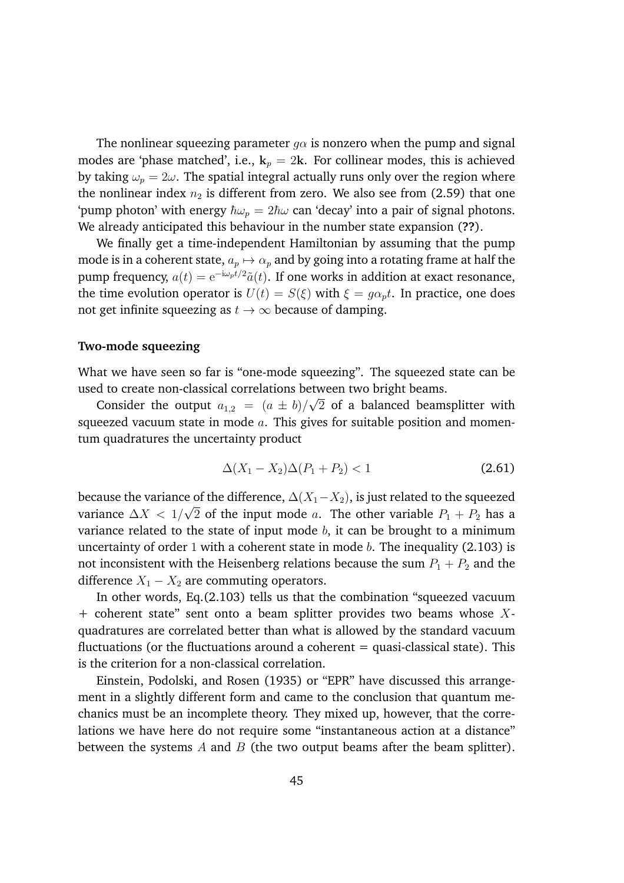The nonlinear squeezing parameter  $q\alpha$  is nonzero when the pump and signal modes are 'phase matched', i.e.,  $k_p = 2k$ . For collinear modes, this is achieved by taking  $\omega_p = 2\omega$ . The spatial integral actually runs only over the region where the nonlinear index  $n_2$  is different from zero. We also see from (2.59) that one 'pump photon' with energy  $\hbar\omega_p = 2\hbar\omega$  can 'decay' into a pair of signal photons. We already anticipated this behaviour in the number state expansion (**??**).

We finally get a time-independent Hamiltonian by assuming that the pump mode is in a coherent state,  $a_p \mapsto \alpha_p$  and by going into a rotating frame at half the pump frequency,  $a(t)=e^{-i\omega_p t/2}\tilde{a}(t)$ . If one works in addition at exact resonance, the time evolution operator is  $U(t) = S(\xi)$  with  $\xi = g\alpha_p t$ . In practice, one does not get infinite squeezing as  $t \to \infty$  because of damping.

#### **Two-mode squeezing**

What we have seen so far is "one-mode squeezing". The squeezed state can be used to create non-classical correlations between two bright beams.

Consider the output  $a_{1,2} = (a \pm b)/\sqrt{2}$  of a balanced beamsplitter with squeezed vacuum state in mode *a*. This gives for suitable position and momentum quadratures the uncertainty product

$$
\Delta(X_1 - X_2)\Delta(P_1 + P_2) < 1\tag{2.61}
$$

because the variance of the difference,  $\Delta(X_1 - X_2)$ , is just related to the squeezed variance  $\Delta X < 1/\sqrt{2}$  of the input mode *a*. The other variable  $P_1 + P_2$  has a variance related to the state of input mode *b*, it can be brought to a minimum uncertainty of order 1 with a coherent state in mode *b*. The inequality (2.103) is not inconsistent with the Heisenberg relations because the sum  $P_1 + P_2$  and the difference  $X_1 - X_2$  are commuting operators.

In other words, Eq.(2.103) tells us that the combination "squeezed vacuum + coherent state" sent onto a beam splitter provides two beams whose *X*quadratures are correlated better than what is allowed by the standard vacuum fluctuations (or the fluctuations around a coherent  $=$  quasi-classical state). This is the criterion for a non-classical correlation.

Einstein, Podolski, and Rosen (1935) or "EPR" have discussed this arrangement in a slightly different form and came to the conclusion that quantum mechanics must be an incomplete theory. They mixed up, however, that the correlations we have here do not require some "instantaneous action at a distance" between the systems *A* and *B* (the two output beams after the beam splitter).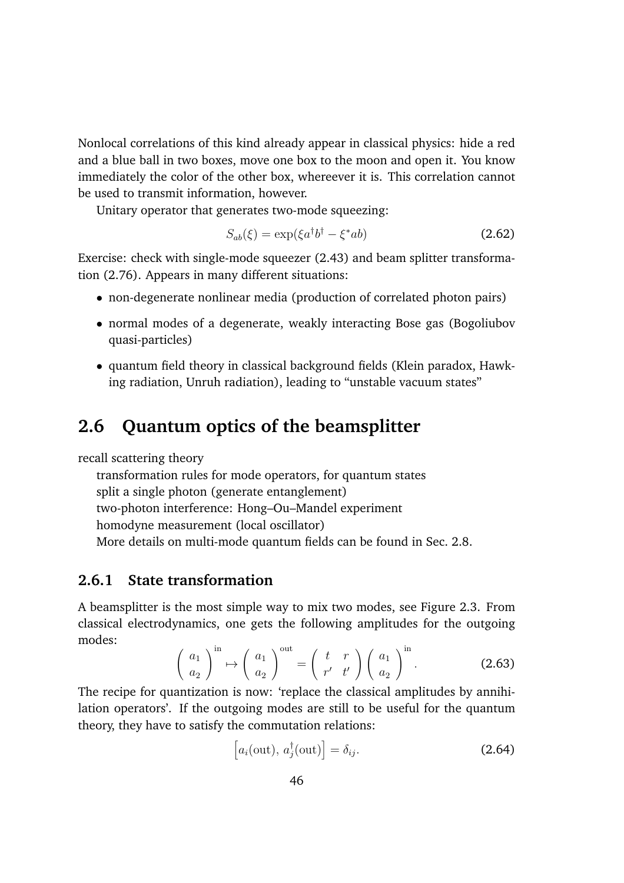Nonlocal correlations of this kind already appear in classical physics: hide a red and a blue ball in two boxes, move one box to the moon and open it. You know immediately the color of the other box, whereever it is. This correlation cannot be used to transmit information, however.

Unitary operator that generates two-mode squeezing:

$$
S_{ab}(\xi) = \exp(\xi a^{\dagger} b^{\dagger} - \xi^* ab) \tag{2.62}
$$

Exercise: check with single-mode squeezer (2.43) and beam splitter transformation (2.76). Appears in many different situations:

- non-degenerate nonlinear media (production of correlated photon pairs)
- normal modes of a degenerate, weakly interacting Bose gas (Bogoliubov quasi-particles)
- *•* quantum field theory in classical background fields (Klein paradox, Hawking radiation, Unruh radiation), leading to "unstable vacuum states"

# **2.6 Quantum optics of the beamsplitter**

recall scattering theory

transformation rules for mode operators, for quantum states split a single photon (generate entanglement) two-photon interference: Hong–Ou–Mandel experiment homodyne measurement (local oscillator) More details on multi-mode quantum fields can be found in Sec. 2.8.

## **2.6.1 State transformation**

A beamsplitter is the most simple way to mix two modes, see Figure 2.3. From classical electrodynamics, one gets the following amplitudes for the outgoing modes:

$$
\left(\begin{array}{c} a_1 \\ a_2 \end{array}\right)^{\text{in}} \mapsto \left(\begin{array}{c} a_1 \\ a_2 \end{array}\right)^{\text{out}} = \left(\begin{array}{cc} t & r \\ r' & t' \end{array}\right) \left(\begin{array}{c} a_1 \\ a_2 \end{array}\right)^{\text{in}}.
$$
 (2.63)

The recipe for quantization is now: 'replace the classical amplitudes by annihilation operators'. If the outgoing modes are still to be useful for the quantum theory, they have to satisfy the commutation relations:

$$
\left[a_i(\text{out}), a_j^{\dagger}(\text{out})\right] = \delta_{ij}.
$$
\n(2.64)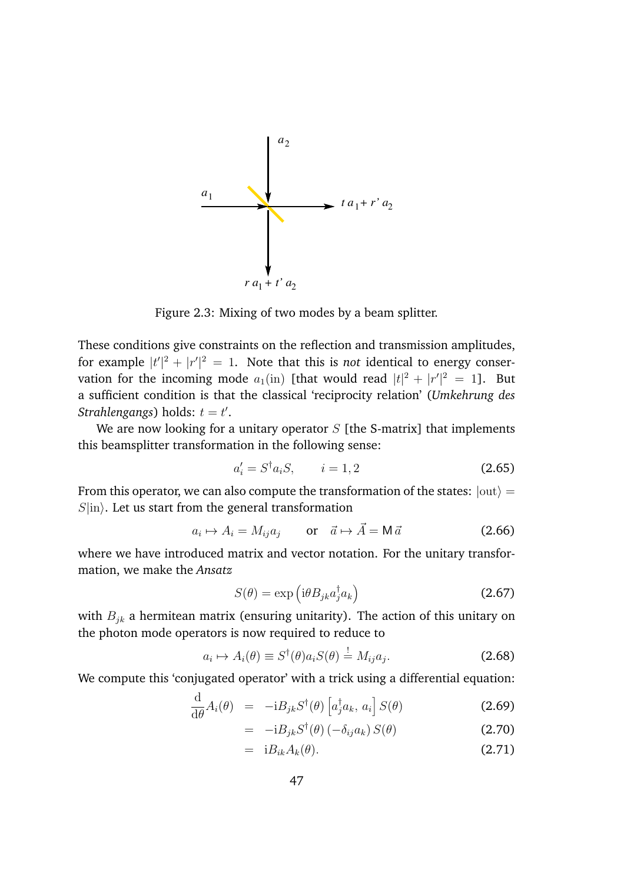

Figure 2.3: Mixing of two modes by a beam splitter.

These conditions give constraints on the reflection and transmission amplitudes, for example  $|t'|^2 + |r'|^2 = 1$ . Note that this is *not* identical to energy conservation for the incoming mode  $a_1$ (in) [that would read  $|t|^2 + |r'|^2 = 1$ ]. But a sufficient condition is that the classical 'reciprocity relation' (*Umkehrung des*  $Strahlengangs) holds: t = t'.$ 

We are now looking for a unitary operator *S* [the S-matrix] that implements this beamsplitter transformation in the following sense:

$$
a_i' = S^{\dagger} a_i S, \qquad i = 1, 2 \tag{2.65}
$$

From this operator, we can also compute the transformation of the states:  $|$ out $\rangle$  =  $S$ *|in*}. Let us start from the general transformation

$$
a_i \mapsto A_i = M_{ij} a_j \qquad \text{or} \quad \vec{a} \mapsto \vec{A} = M \vec{a} \tag{2.66}
$$

where we have introduced matrix and vector notation. For the unitary transformation, we make the *Ansatz*

$$
S(\theta) = \exp\left(i\theta B_{jk} a_j^{\dagger} a_k\right) \tag{2.67}
$$

with *Bjk* a hermitean matrix (ensuring unitarity). The action of this unitary on the photon mode operators is now required to reduce to

$$
a_i \mapsto A_i(\theta) \equiv S^{\dagger}(\theta) a_i S(\theta) \stackrel{!}{=} M_{ij} a_j. \tag{2.68}
$$

We compute this 'conjugated operator' with a trick using a differential equation:

$$
\frac{\mathrm{d}}{\mathrm{d}\theta}A_i(\theta) = -i B_{jk} S^{\dagger}(\theta) \left[ a_j^{\dagger} a_k, a_i \right] S(\theta) \tag{2.69}
$$

$$
= -i B_{jk} S^{\dagger}(\theta) (-\delta_{ij} a_k) S(\theta) \qquad (2.70)
$$

$$
= i B_{ik} A_k(\theta). \tag{2.71}
$$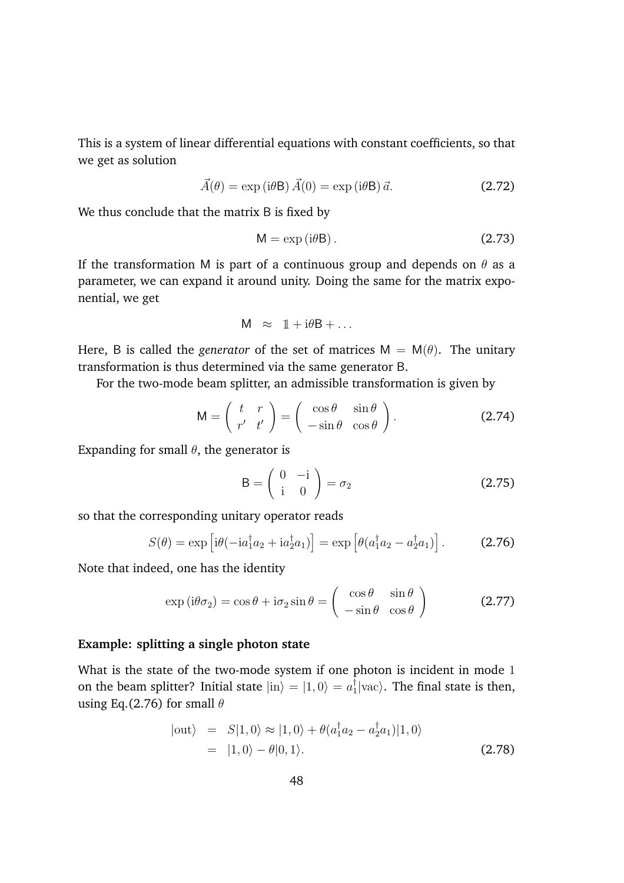This is a system of linear differential equations with constant coefficients, so that we get as solution

$$
\vec{A}(\theta) = \exp(i\theta \mathsf{B}) \,\vec{A}(0) = \exp(i\theta \mathsf{B}) \,\vec{a}.\tag{2.72}
$$

We thus conclude that the matrix B is fixed by

$$
M = \exp(i\theta B). \tag{2.73}
$$

If the transformation M is part of a continuous group and depends on  $\theta$  as a parameter, we can expand it around unity. Doing the same for the matrix exponential, we get

$$
M \approx 1 + i\theta B + \dots
$$

Here, B is called the *generator* of the set of matrices  $M = M(\theta)$ . The unitary transformation is thus determined via the same generator B.

For the two-mode beam splitter, an admissible transformation is given by

$$
M = \begin{pmatrix} t & r \\ r' & t' \end{pmatrix} = \begin{pmatrix} \cos \theta & \sin \theta \\ -\sin \theta & \cos \theta \end{pmatrix}.
$$
 (2.74)

Expanding for small  $\theta$ , the generator is

$$
\mathsf{B} = \left(\begin{array}{cc} 0 & -\mathrm{i} \\ \mathrm{i} & 0 \end{array}\right) = \sigma_2 \tag{2.75}
$$

so that the corresponding unitary operator reads

$$
S(\theta) = \exp\left[i\theta(-ia_1^\dagger a_2 + ia_2^\dagger a_1)\right] = \exp\left[\theta(a_1^\dagger a_2 - a_2^\dagger a_1)\right].
$$
 (2.76)

Note that indeed, one has the identity

$$
\exp\left(i\theta\sigma_2\right) = \cos\theta + i\sigma_2\sin\theta = \begin{pmatrix} \cos\theta & \sin\theta \\ -\sin\theta & \cos\theta \end{pmatrix}
$$
 (2.77)

#### **Example: splitting a single photon state**

What is the state of the two-mode system if one photon is incident in mode 1 on the beam splitter? Initial state  $|in\rangle = |1,0\rangle = a_1^{\dagger}|vac\rangle$ . The final state is then, using Eq.(2.76) for small  $\theta$ 

$$
|\text{out}\rangle = S|1,0\rangle \approx |1,0\rangle + \theta(a_1^\dagger a_2 - a_2^\dagger a_1)|1,0\rangle
$$
  
= |1,0\rangle - \theta|0,1\rangle. (2.78)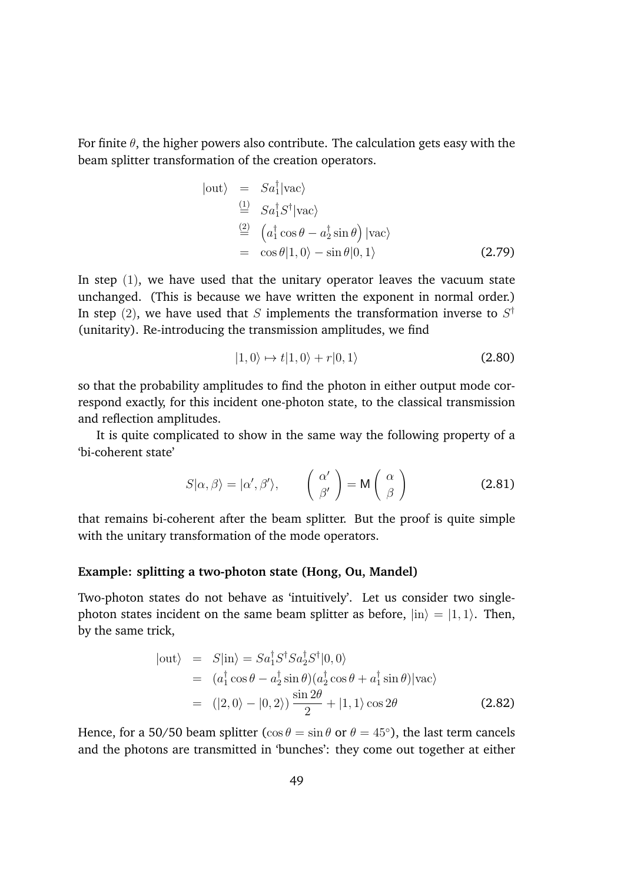For finite  $\theta$ , the higher powers also contribute. The calculation gets easy with the beam splitter transformation of the creation operators.

$$
|\text{out}\rangle = Sa_1^{\dagger}|\text{vac}\rangle
$$
  
\n
$$
\stackrel{(1)}{=} Sa_1^{\dagger}S^{\dagger}|\text{vac}\rangle
$$
  
\n
$$
\stackrel{(2)}{=} (a_1^{\dagger}\cos\theta - a_2^{\dagger}\sin\theta)|\text{vac}\rangle
$$
  
\n
$$
= \cos\theta|1,0\rangle - \sin\theta|0,1\rangle
$$
 (2.79)

In step (1), we have used that the unitary operator leaves the vacuum state unchanged. (This is because we have written the exponent in normal order.) In step (2), we have used that *S* implements the transformation inverse to  $S^{\dagger}$ (unitarity). Re-introducing the transmission amplitudes, we find

$$
|1,0\rangle \mapsto t|1,0\rangle + r|0,1\rangle \tag{2.80}
$$

so that the probability amplitudes to find the photon in either output mode correspond exactly, for this incident one-photon state, to the classical transmission and reflection amplitudes.

It is quite complicated to show in the same way the following property of a 'bi-coherent state'

$$
S|\alpha, \beta\rangle = |\alpha', \beta'\rangle, \qquad \left(\begin{array}{c} \alpha' \\ \beta' \end{array}\right) = M\left(\begin{array}{c} \alpha \\ \beta \end{array}\right)
$$
 (2.81)

that remains bi-coherent after the beam splitter. But the proof is quite simple with the unitary transformation of the mode operators.

#### **Example: splitting a two-photon state (Hong, Ou, Mandel)**

Two-photon states do not behave as 'intuitively'. Let us consider two singlephoton states incident on the same beam splitter as before,  $|in\rangle = |1, 1\rangle$ . Then, by the same trick,

$$
|\text{out}\rangle = S|\text{in}\rangle = Sa_1^{\dagger} S^{\dagger} Sa_2^{\dagger} S^{\dagger} |0,0\rangle
$$
  
=  $(a_1^{\dagger} \cos \theta - a_2^{\dagger} \sin \theta)(a_2^{\dagger} \cos \theta + a_1^{\dagger} \sin \theta)|\text{vac}\rangle$   
=  $(|2,0\rangle - |0,2\rangle) \frac{\sin 2\theta}{2} + |1,1\rangle \cos 2\theta$  (2.82)

Hence, for a 50/50 beam splitter ( $\cos \theta = \sin \theta$  or  $\theta = 45^{\circ}$ ), the last term cancels and the photons are transmitted in 'bunches': they come out together at either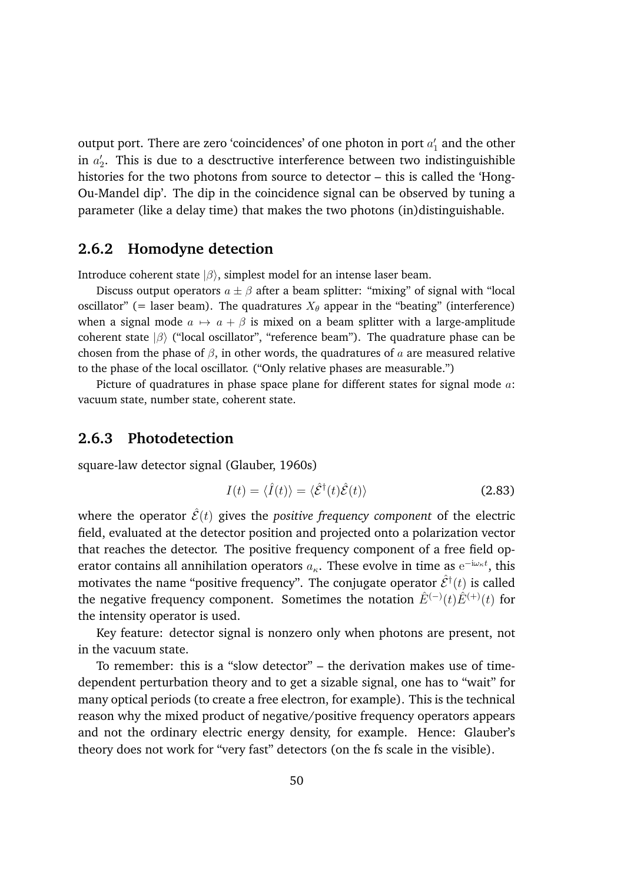output port. There are zero 'coincidences' of one photon in port  $a_1'$  and the other in  $a_2'$ . This is due to a desctructive interference between two indistinguishible histories for the two photons from source to detector – this is called the 'Hong-Ou-Mandel dip'. The dip in the coincidence signal can be observed by tuning a parameter (like a delay time) that makes the two photons (in)distinguishable.

## **2.6.2 Homodyne detection**

Introduce coherent state  $|\beta\rangle$ , simplest model for an intense laser beam.

Discuss output operators  $a \pm \beta$  after a beam splitter: "mixing" of signal with "local oscillator" (= laser beam). The quadratures  $X_{\theta}$  appear in the "beating" (interference) when a signal mode  $a \mapsto a + \beta$  is mixed on a beam splitter with a large-amplitude coherent state  $|\beta\rangle$  ("local oscillator", "reference beam"). The quadrature phase can be chosen from the phase of  $\beta$ , in other words, the quadratures of  $\alpha$  are measured relative to the phase of the local oscillator. ("Only relative phases are measurable.")

Picture of quadratures in phase space plane for different states for signal mode *a*: vacuum state, number state, coherent state.

### **2.6.3 Photodetection**

square-law detector signal (Glauber, 1960s)

$$
I(t) = \langle \hat{I}(t) \rangle = \langle \hat{\mathcal{E}}^{\dagger}(t) \hat{\mathcal{E}}(t) \rangle
$$
 (2.83)

where the operator  $\hat{\mathcal{E}}(t)$  gives the *positive frequency component* of the electric field, evaluated at the detector position and projected onto a polarization vector that reaches the detector. The positive frequency component of a free field operator contains all annihilation operators  $a_{\kappa}$ . These evolve in time as  $\mathrm{e}^{-\mathrm{i}\omega_{\kappa}t}$ , this motivates the name "positive frequency". The conjugate operator  $\hat{\mathcal{E}}^{\dagger}(t)$  is called the negative frequency component. Sometimes the notation  $\hat{E}^{(-)}(t)\hat{E}^{(+)}(t)$  for the intensity operator is used.

Key feature: detector signal is nonzero only when photons are present, not in the vacuum state.

To remember: this is a "slow detector" – the derivation makes use of timedependent perturbation theory and to get a sizable signal, one has to "wait" for many optical periods (to create a free electron, for example). This is the technical reason why the mixed product of negative/positive frequency operators appears and not the ordinary electric energy density, for example. Hence: Glauber's theory does not work for "very fast" detectors (on the fs scale in the visible).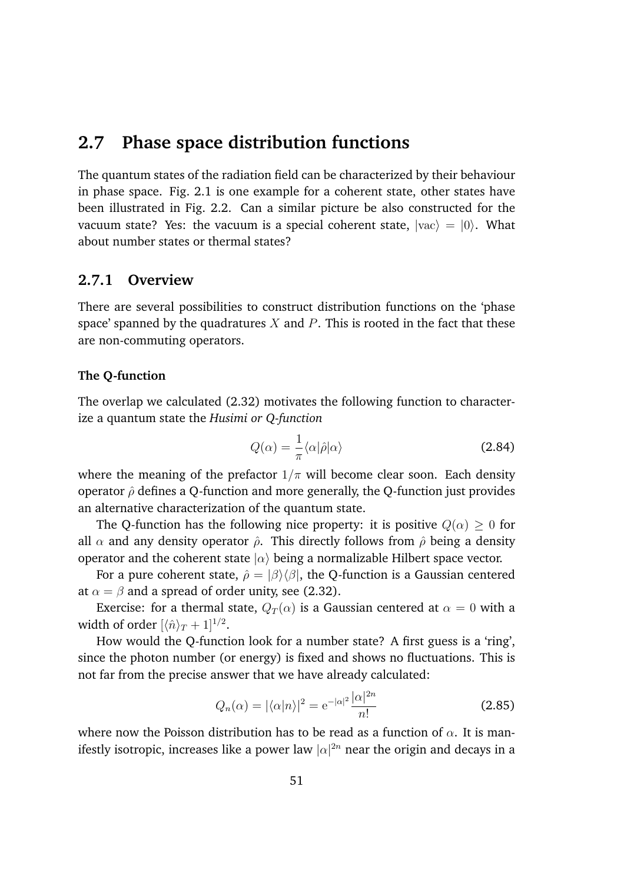# **2.7 Phase space distribution functions**

The quantum states of the radiation field can be characterized by their behaviour in phase space. Fig. 2.1 is one example for a coherent state, other states have been illustrated in Fig. 2.2. Can a similar picture be also constructed for the vacuum state? Yes: the vacuum is a special coherent state,  $|vac\rangle = |0\rangle$ . What about number states or thermal states?

### **2.7.1 Overview**

There are several possibilities to construct distribution functions on the 'phase space' spanned by the quadratures *X* and *P*. This is rooted in the fact that these are non-commuting operators.

### **The Q-function**

The overlap we calculated (2.32) motivates the following function to characterize a quantum state the *Husimi or Q-function*

$$
Q(\alpha) = \frac{1}{\pi} \langle \alpha | \hat{\rho} | \alpha \rangle \tag{2.84}
$$

where the meaning of the prefactor  $1/\pi$  will become clear soon. Each density operator  $\hat{\rho}$  defines a Q-function and more generally, the Q-function just provides an alternative characterization of the quantum state.

The Q-function has the following nice property: it is positive  $Q(\alpha) \geq 0$  for all  $\alpha$  and any density operator  $\hat{\rho}$ . This directly follows from  $\hat{\rho}$  being a density operator and the coherent state  $|\alpha\rangle$  being a normalizable Hilbert space vector.

For a pure coherent state,  $\hat{\rho} = |\beta\rangle\langle\beta|$ , the Q-function is a Gaussian centered at  $\alpha = \beta$  and a spread of order unity, see (2.32).

Exercise: for a thermal state,  $Q_T(\alpha)$  is a Gaussian centered at  $\alpha = 0$  with a width of order  $\left[\langle \hat{n}\rangle_T + 1\right]^{1/2}$ .

How would the Q-function look for a number state? A first guess is a 'ring', since the photon number (or energy) is fixed and shows no fluctuations. This is not far from the precise answer that we have already calculated:

$$
Q_n(\alpha) = |\langle \alpha | n \rangle|^2 = e^{-|\alpha|^2} \frac{|\alpha|^{2n}}{n!}
$$
 (2.85)

where now the Poisson distribution has to be read as a function of  $\alpha$ . It is manifestly isotropic, increases like a power law  $|\alpha|^{2n}$  near the origin and decays in a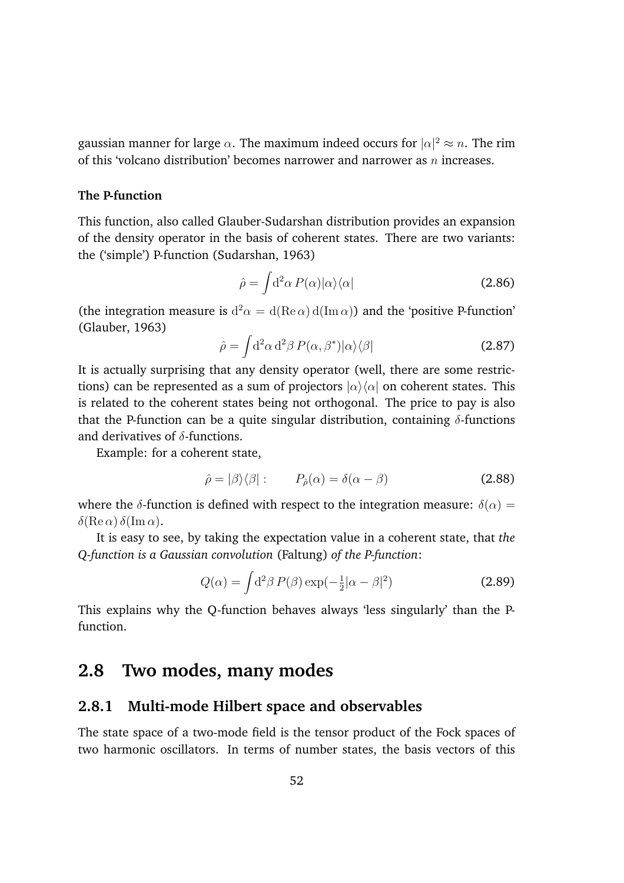gaussian manner for large  $\alpha$ . The maximum indeed occurs for  $|\alpha|^2 \approx n$ . The rim of this 'volcano distribution' becomes narrower and narrower as *n* increases.

### **The P-function**

This function, also called Glauber-Sudarshan distribution provides an expansion of the density operator in the basis of coherent states. There are two variants: the ('simple') P-function (Sudarshan, 1963)

$$
\hat{\rho} = \int d^2 \alpha \, P(\alpha) |\alpha\rangle\langle\alpha| \tag{2.86}
$$

(the integration measure is  $d^2\alpha = d(Re \alpha) d(Im \alpha)$ ) and the 'positive P-function' (Glauber, 1963)

$$
\hat{\rho} = \int d^2 \alpha \, d^2 \beta \, P(\alpha, \beta^*) |\alpha\rangle\langle\beta| \tag{2.87}
$$

It is actually surprising that any density operator (well, there are some restrictions) can be represented as a sum of projectors  $|\alpha\rangle\langle\alpha|$  on coherent states. This is related to the coherent states being not orthogonal. The price to pay is also that the P-function can be a quite singular distribution, containing  $\delta$ -functions and derivatives of  $\delta$ -functions.

Example: for a coherent state,

$$
\hat{\rho} = |\beta\rangle\langle\beta|: \qquad P_{\hat{\rho}}(\alpha) = \delta(\alpha - \beta) \tag{2.88}
$$

where the  $\delta$ -function is defined with respect to the integration measure:  $\delta(\alpha)$  =  $\delta(\text{Re }\alpha) \, \delta(\text{Im }\alpha).$ 

It is easy to see, by taking the expectation value in a coherent state, that *the Q-function is a Gaussian convolution* (Faltung) *of the P-function*:

$$
Q(\alpha) = \int d^2 \beta P(\beta) \exp(-\frac{1}{2}|\alpha - \beta|^2)
$$
 (2.89)

This explains why the Q-function behaves always 'less singularly' than the Pfunction.

# **2.8 Two modes, many modes**

### **2.8.1 Multi-mode Hilbert space and observables**

The state space of a two-mode field is the tensor product of the Fock spaces of two harmonic oscillators. In terms of number states, the basis vectors of this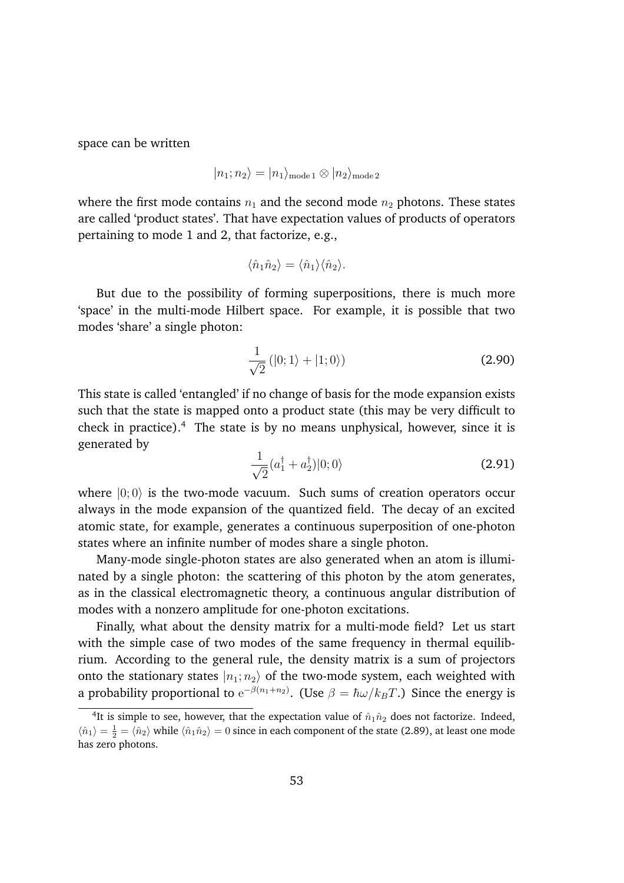space can be written

$$
|n_1; n_2\rangle = |n_1\rangle_{\text{mode 1}} \otimes |n_2\rangle_{\text{mode 2}}
$$

where the first mode contains  $n_1$  and the second mode  $n_2$  photons. These states are called 'product states'. That have expectation values of products of operators pertaining to mode 1 and 2, that factorize, e.g.,

$$
\langle \hat{n}_1 \hat{n}_2 \rangle = \langle \hat{n}_1 \rangle \langle \hat{n}_2 \rangle.
$$

But due to the possibility of forming superpositions, there is much more 'space' in the multi-mode Hilbert space. For example, it is possible that two modes 'share' a single photon:

$$
\frac{1}{\sqrt{2}}\left(|0;1\rangle+|1;0\rangle\right) \tag{2.90}
$$

This state is called 'entangled' if no change of basis for the mode expansion exists such that the state is mapped onto a product state (this may be very difficult to check in practice).<sup>4</sup> The state is by no means unphysical, however, since it is generated by

$$
\frac{1}{\sqrt{2}}(a_1^\dagger + a_2^\dagger)|0;0\rangle \tag{2.91}
$$

where  $|0;0\rangle$  is the two-mode vacuum. Such sums of creation operators occur always in the mode expansion of the quantized field. The decay of an excited atomic state, for example, generates a continuous superposition of one-photon states where an infinite number of modes share a single photon.

Many-mode single-photon states are also generated when an atom is illuminated by a single photon: the scattering of this photon by the atom generates, as in the classical electromagnetic theory, a continuous angular distribution of modes with a nonzero amplitude for one-photon excitations.

Finally, what about the density matrix for a multi-mode field? Let us start with the simple case of two modes of the same frequency in thermal equilibrium. According to the general rule, the density matrix is a sum of projectors onto the stationary states  $|n_1; n_2\rangle$  of the two-mode system, each weighted with a probability proportional to  $\mathrm{e}^{-\beta(n_1+n_2)}$ . (Use  $\beta=\hbar\omega/k_BT$ .) Since the energy is

<sup>&</sup>lt;sup>4</sup>It is simple to see, however, that the expectation value of  $\hat{n}_1 \hat{n}_2$  does not factorize. Indeed,  $\langle \hat{n}_1 \rangle = \frac{1}{2} = \langle \hat{n}_2 \rangle$  while  $\langle \hat{n}_1 \hat{n}_2 \rangle = 0$  since in each component of the state (2.89), at least one mode has zero photons.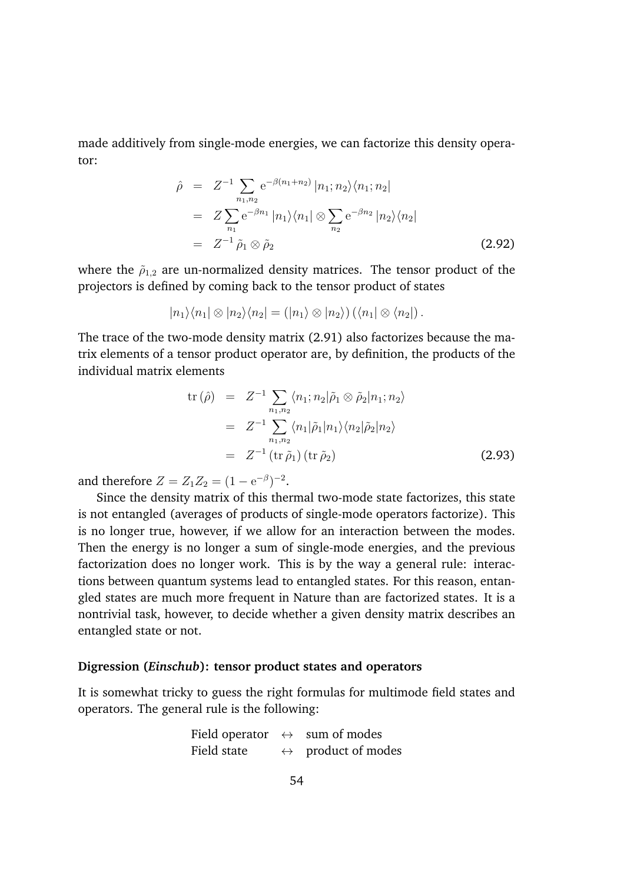made additively from single-mode energies, we can factorize this density operator:

$$
\hat{\rho} = Z^{-1} \sum_{n_1, n_2} e^{-\beta (n_1 + n_2)} |n_1; n_2\rangle \langle n_1; n_2|
$$
  
\n
$$
= Z \sum_{n_1} e^{-\beta n_1} |n_1\rangle \langle n_1| \otimes \sum_{n_2} e^{-\beta n_2} |n_2\rangle \langle n_2|
$$
  
\n
$$
= Z^{-1} \tilde{\rho}_1 \otimes \tilde{\rho}_2
$$
\n(2.92)

where the  $\tilde{\rho}_{1,2}$  are un-normalized density matrices. The tensor product of the projectors is defined by coming back to the tensor product of states

$$
|n_1\rangle\langle n_1|\otimes |n_2\rangle\langle n_2| = (|n_1\rangle\otimes |n_2\rangle)\left(\langle n_1|\otimes \langle n_2|\right).
$$

The trace of the two-mode density matrix (2.91) also factorizes because the matrix elements of a tensor product operator are, by definition, the products of the individual matrix elements

$$
\text{tr}(\hat{\rho}) = Z^{-1} \sum_{n_1, n_2} \langle n_1; n_2 | \tilde{\rho}_1 \otimes \tilde{\rho}_2 | n_1; n_2 \rangle
$$
  
\n
$$
= Z^{-1} \sum_{n_1, n_2} \langle n_1 | \tilde{\rho}_1 | n_1 \rangle \langle n_2 | \tilde{\rho}_2 | n_2 \rangle
$$
  
\n
$$
= Z^{-1} \left( \text{tr } \tilde{\rho}_1 \right) \left( \text{tr } \tilde{\rho}_2 \right) \tag{2.93}
$$

and therefore  $Z = Z_1 Z_2 = (1 - e^{-\beta})^{-2}$ .

Since the density matrix of this thermal two-mode state factorizes, this state is not entangled (averages of products of single-mode operators factorize). This is no longer true, however, if we allow for an interaction between the modes. Then the energy is no longer a sum of single-mode energies, and the previous factorization does no longer work. This is by the way a general rule: interactions between quantum systems lead to entangled states. For this reason, entangled states are much more frequent in Nature than are factorized states. It is a nontrivial task, however, to decide whether a given density matrix describes an entangled state or not.

#### **Digression (***Einschub***): tensor product states and operators**

It is somewhat tricky to guess the right formulas for multimode field states and operators. The general rule is the following:

|             | Field operator $\leftrightarrow$ sum of modes |
|-------------|-----------------------------------------------|
| Field state | $\leftrightarrow$ product of modes            |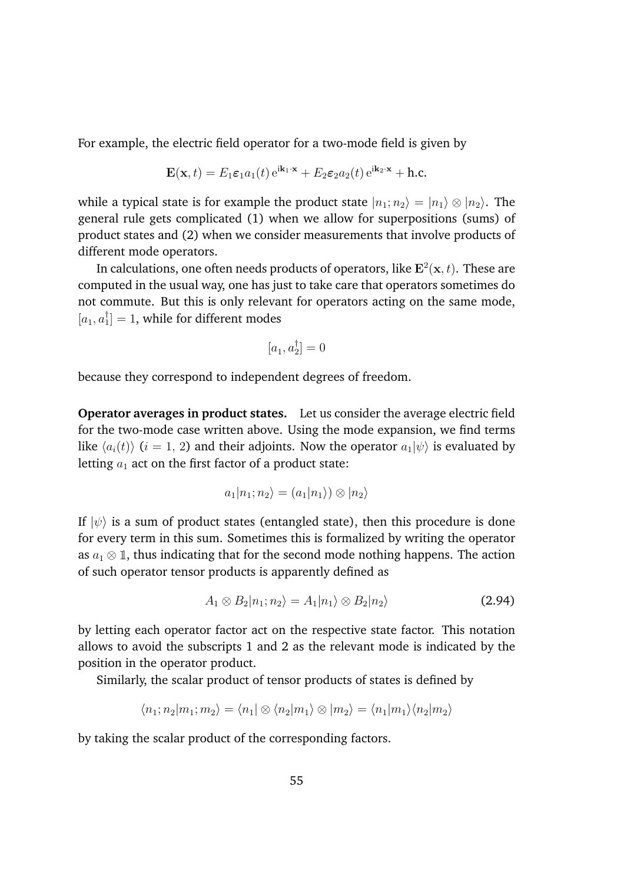For example, the electric field operator for a two-mode field is given by

$$
\mathbf{E}(\mathbf{x},t) = E_1 \varepsilon_1 a_1(t) e^{i\mathbf{k}_1 \cdot \mathbf{x}} + E_2 \varepsilon_2 a_2(t) e^{i\mathbf{k}_2 \cdot \mathbf{x}} + \text{h.c.}
$$

while a typical state is for example the product state  $|n_1; n_2\rangle = |n_1\rangle \otimes |n_2\rangle$ . The general rule gets complicated (1) when we allow for superpositions (sums) of product states and (2) when we consider measurements that involve products of different mode operators.

In calculations, one often needs products of operators, like  $E^2(x, t)$ . These are computed in the usual way, one has just to take care that operators sometimes do not commute. But this is only relevant for operators acting on the same mode,  $[a_1, a_1] = 1$ , while for different modes

$$
[a_1, a_2^{\dagger}] = 0
$$

because they correspond to independent degrees of freedom.

**Operator averages in product states.** Let us consider the average electric field for the two-mode case written above. Using the mode expansion, we find terms like  $\langle a_i(t) \rangle$  (*i* = 1, 2) and their adjoints. Now the operator  $a_1|\psi\rangle$  is evaluated by letting  $a_1$  act on the first factor of a product state:

$$
a_1|n_1;n_2\rangle = (a_1|n_1\rangle) \otimes |n_2\rangle
$$

If  $|\psi\rangle$  is a sum of product states (entangled state), then this procedure is done for every term in this sum. Sometimes this is formalized by writing the operator as  $a_1 \otimes \mathbb{1}$ , thus indicating that for the second mode nothing happens. The action of such operator tensor products is apparently defined as

$$
A_1 \otimes B_2 |n_1; n_2\rangle = A_1 |n_1\rangle \otimes B_2 |n_2\rangle
$$
 (2.94)

by letting each operator factor act on the respective state factor. This notation allows to avoid the subscripts 1 and 2 as the relevant mode is indicated by the position in the operator product.

Similarly, the scalar product of tensor products of states is defined by

$$
\langle n_1; n_2 | m_1; m_2 \rangle = \langle n_1 | \otimes \langle n_2 | m_1 \rangle \otimes | m_2 \rangle = \langle n_1 | m_1 \rangle \langle n_2 | m_2 \rangle
$$

by taking the scalar product of the corresponding factors.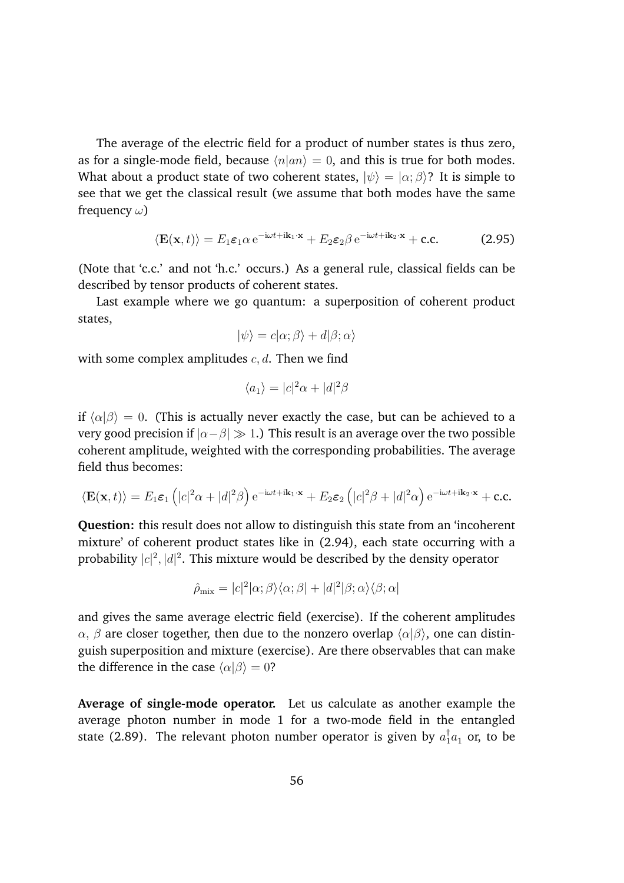The average of the electric field for a product of number states is thus zero, as for a single-mode field, because  $\langle n|an \rangle = 0$ , and this is true for both modes. What about a product state of two coherent states,  $|\psi\rangle = |\alpha; \beta\rangle$ ? It is simple to see that we get the classical result (we assume that both modes have the same frequency  $\omega$ )

$$
\langle \mathbf{E}(\mathbf{x},t) \rangle = E_1 \varepsilon_1 \alpha \, \mathrm{e}^{-\mathrm{i}\omega t + \mathrm{i}\mathbf{k}_1 \cdot \mathbf{x}} + E_2 \varepsilon_2 \beta \, \mathrm{e}^{-\mathrm{i}\omega t + \mathrm{i}\mathbf{k}_2 \cdot \mathbf{x}} + \mathrm{c.c.}
$$
 (2.95)

(Note that 'c.c.' and not 'h.c.' occurs.) As a general rule, classical fields can be described by tensor products of coherent states.

Last example where we go quantum: a superposition of coherent product states,

$$
|\psi\rangle = c|\alpha; \beta\rangle + d|\beta; \alpha\rangle
$$

with some complex amplitudes *c, d*. Then we find

$$
\langle a_1 \rangle = |c|^2 \alpha + |d|^2 \beta
$$

if  $\langle \alpha | \beta \rangle = 0$ . (This is actually never exactly the case, but can be achieved to a very good precision if  $| \alpha - \beta | \gg 1$ .) This result is an average over the two possible coherent amplitude, weighted with the corresponding probabilities. The average field thus becomes:

$$
\langle \mathbf{E}(\mathbf{x},t) \rangle = E_1 \varepsilon_1 \left( |c|^2 \alpha + |d|^2 \beta \right) e^{-i\omega t + i\mathbf{k}_1 \cdot \mathbf{x}} + E_2 \varepsilon_2 \left( |c|^2 \beta + |d|^2 \alpha \right) e^{-i\omega t + i\mathbf{k}_2 \cdot \mathbf{x}} + \text{c.c.}
$$

**Question:** this result does not allow to distinguish this state from an 'incoherent mixture' of coherent product states like in (2.94), each state occurring with a probability  $|c|^2, |d|^2$ . This mixture would be described by the density operator

$$
\hat{\rho}_{\rm mix} = |c|^2 |\alpha; \beta\rangle \langle \alpha; \beta| + |d|^2 |\beta; \alpha\rangle \langle \beta; \alpha|
$$

and gives the same average electric field (exercise). If the coherent amplitudes  $\alpha$ ,  $\beta$  are closer together, then due to the nonzero overlap  $\langle \alpha | \beta \rangle$ , one can distinguish superposition and mixture (exercise). Are there observables that can make the difference in the case  $\langle \alpha | \beta \rangle = 0$ ?

**Average of single-mode operator.** Let us calculate as another example the average photon number in mode 1 for a two-mode field in the entangled state (2.89). The relevant photon number operator is given by  $a_1^\dagger a_1^{}$  or, to be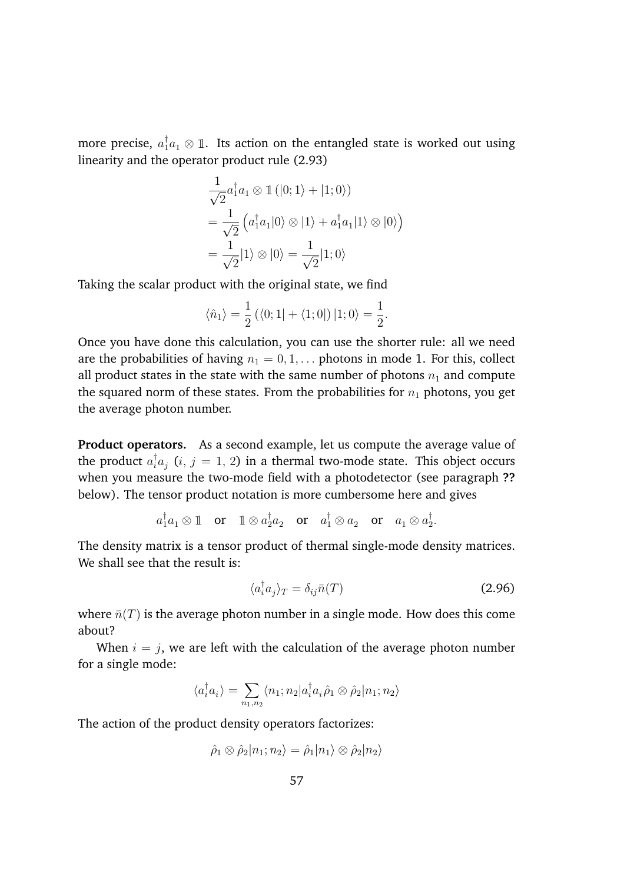more precise,  $a_1^{\dagger} a_1 \otimes \mathbb{1}$ . Its action on the entangled state is worked out using linearity and the operator product rule (2.93)

$$
\frac{1}{\sqrt{2}}a_1^{\dagger}a_1 \otimes \mathbb{1}(|0;1\rangle + |1;0\rangle)
$$
  
= 
$$
\frac{1}{\sqrt{2}}\left(a_1^{\dagger}a_1|0\rangle \otimes |1\rangle + a_1^{\dagger}a_1|1\rangle \otimes |0\rangle\right)
$$
  
= 
$$
\frac{1}{\sqrt{2}}|1\rangle \otimes |0\rangle = \frac{1}{\sqrt{2}}|1;0\rangle
$$

Taking the scalar product with the original state, we find

$$
\langle \hat{n}_1 \rangle = \frac{1}{2} (\langle 0; 1 | + \langle 1; 0 |) | 1; 0 \rangle = \frac{1}{2}.
$$

Once you have done this calculation, you can use the shorter rule: all we need are the probabilities of having  $n_1 = 0, 1, \ldots$  photons in mode 1. For this, collect all product states in the state with the same number of photons  $n_1$  and compute the squared norm of these states. From the probabilities for  $n_1$  photons, you get the average photon number.

**Product operators.** As a second example, let us compute the average value of the product  $a_i^{\dagger}a_j$   $(i,\,j=1,\,2)$  in a thermal two-mode state. This object occurs when you measure the two-mode field with a photodetector (see paragraph **??** below). The tensor product notation is more cumbersome here and gives

 $a_1^{\dagger}a_1 \otimes \mathbb{1}$  or  $\mathbb{1} \otimes a_2^{\dagger}a_2$  or  $a_1^{\dagger} \otimes a_2$  or  $a_1 \otimes a_2^{\dagger}$ .

The density matrix is a tensor product of thermal single-mode density matrices. We shall see that the result is:

$$
\langle a_i^\dagger a_j \rangle_T = \delta_{ij} \bar{n}(T) \tag{2.96}
$$

where  $\bar{n}(T)$  is the average photon number in a single mode. How does this come about?

When  $i = j$ , we are left with the calculation of the average photon number for a single mode:

$$
\langle a_i^{\dagger} a_i \rangle = \sum_{n_1, n_2} \langle n_1; n_2 | a_i^{\dagger} a_i \hat{\rho}_1 \otimes \hat{\rho}_2 | n_1; n_2 \rangle
$$

The action of the product density operators factorizes:

$$
\hat{\rho}_1 \otimes \hat{\rho}_2 |n_1; n_2\rangle = \hat{\rho}_1 |n_1\rangle \otimes \hat{\rho}_2 |n_2\rangle
$$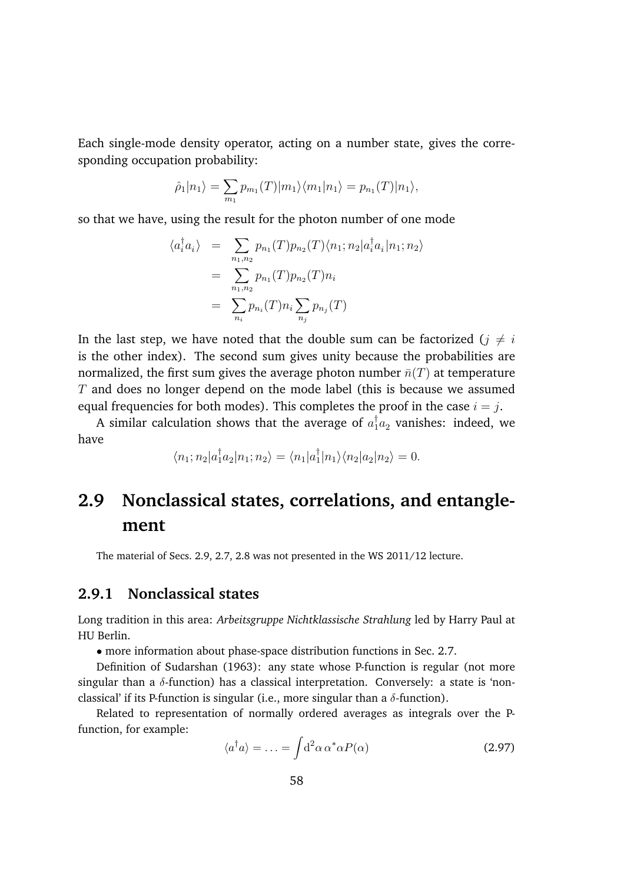Each single-mode density operator, acting on a number state, gives the corresponding occupation probability:

$$
\hat{\rho}_1|n_1\rangle = \sum_{m_1} p_{m_1}(T)|m_1\rangle \langle m_1|n_1\rangle = p_{n_1}(T)|n_1\rangle,
$$

so that we have, using the result for the photon number of one mode

$$
\langle a_i^{\dagger} a_i \rangle = \sum_{n_1, n_2} p_{n_1}(T) p_{n_2}(T) \langle n_1; n_2 | a_i^{\dagger} a_i | n_1; n_2 \rangle
$$
  
= 
$$
\sum_{n_1, n_2} p_{n_1}(T) p_{n_2}(T) n_i
$$
  
= 
$$
\sum_{n_i} p_{n_i}(T) n_i \sum_{n_j} p_{n_j}(T)
$$

In the last step, we have noted that the double sum can be factorized ( $i \neq i$ is the other index). The second sum gives unity because the probabilities are normalized, the first sum gives the average photon number  $\bar{n}(T)$  at temperature *T* and does no longer depend on the mode label (this is because we assumed equal frequencies for both modes). This completes the proof in the case  $i = j$ .

A similar calculation shows that the average of  $a_1^{\dagger}a_2$  vanishes: indeed, we have

$$
\langle n_1; n_2 | a_1^{\dagger} a_2 | n_1; n_2 \rangle = \langle n_1 | a_1^{\dagger} | n_1 \rangle \langle n_2 | a_2 | n_2 \rangle = 0.
$$

# **2.9 Nonclassical states, correlations, and entanglement**

The material of Secs. 2.9, 2.7, 2.8 was not presented in the WS 2011/12 lecture.

## **2.9.1 Nonclassical states**

Long tradition in this area: *Arbeitsgruppe Nichtklassische Strahlung* led by Harry Paul at HU Berlin.

*•* more information about phase-space distribution functions in Sec. 2.7.

Definition of Sudarshan (1963): any state whose P-function is regular (not more singular than a  $\delta$ -function) has a classical interpretation. Conversely: a state is 'nonclassical' if its P-function is singular (i.e., more singular than a  $\delta$ -function).

Related to representation of normally ordered averages as integrals over the Pfunction, for example:

$$
\langle a^{\dagger} a \rangle = \ldots = \int d^2 \alpha \, \alpha^* \alpha P(\alpha) \tag{2.97}
$$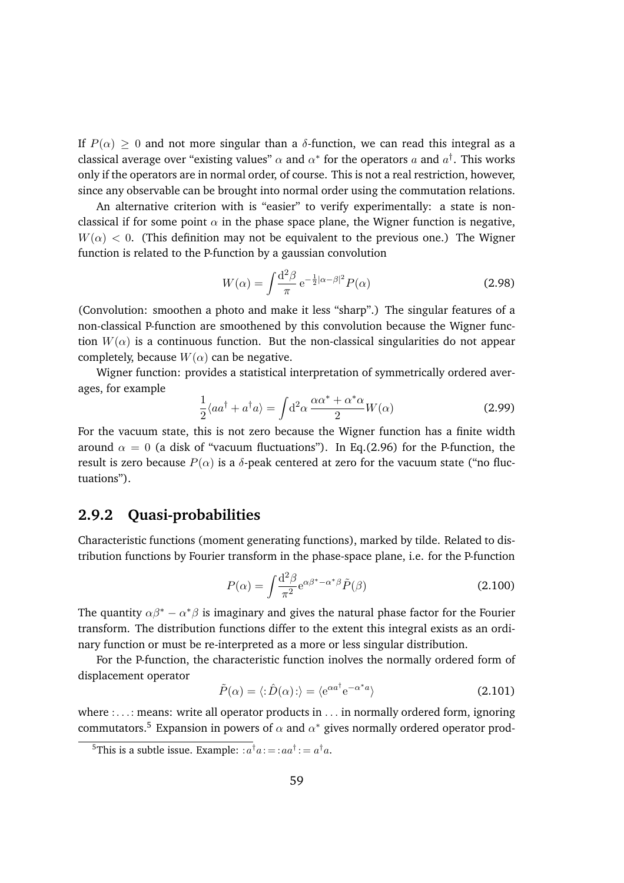If  $P(\alpha) > 0$  and not more singular than a  $\delta$ -function, we can read this integral as a classical average over "existing values"  $\alpha$  and  $\alpha^*$  for the operators a and  $a^{\dagger}$ . This works only if the operators are in normal order, of course. This is not a real restriction, however, since any observable can be brought into normal order using the commutation relations.

An alternative criterion with is "easier" to verify experimentally: a state is nonclassical if for some point  $\alpha$  in the phase space plane, the Wigner function is negative,  $W(\alpha) < 0$ . (This definition may not be equivalent to the previous one.) The Wigner function is related to the P-function by a gaussian convolution

$$
W(\alpha) = \int \frac{\mathrm{d}^2 \beta}{\pi} \,\mathrm{e}^{-\frac{1}{2}|\alpha - \beta|^2} P(\alpha) \tag{2.98}
$$

(Convolution: smoothen a photo and make it less "sharp".) The singular features of a non-classical P-function are smoothened by this convolution because the Wigner function  $W(\alpha)$  is a continuous function. But the non-classical singularities do not appear completely, because  $W(\alpha)$  can be negative.

Wigner function: provides a statistical interpretation of symmetrically ordered averages, for example

$$
\frac{1}{2}\langle aa^{\dagger} + a^{\dagger}a \rangle = \int d^{2}\alpha \frac{\alpha \alpha^{*} + \alpha^{*}\alpha}{2}W(\alpha)
$$
 (2.99)

For the vacuum state, this is not zero because the Wigner function has a finite width around  $\alpha = 0$  (a disk of "vacuum fluctuations"). In Eq.(2.96) for the P-function, the result is zero because  $P(\alpha)$  is a  $\delta$ -peak centered at zero for the vacuum state ("no fluctuations").

## **2.9.2 Quasi-probabilities**

Characteristic functions (moment generating functions), marked by tilde. Related to distribution functions by Fourier transform in the phase-space plane, i.e. for the P-function

$$
P(\alpha) = \int \frac{\mathrm{d}^2 \beta}{\pi^2} \mathrm{e}^{\alpha \beta^* - \alpha^* \beta} \tilde{P}(\beta) \tag{2.100}
$$

The quantity  $\alpha\beta^* - \alpha^*\beta$  is imaginary and gives the natural phase factor for the Fourier transform. The distribution functions differ to the extent this integral exists as an ordinary function or must be re-interpreted as a more or less singular distribution.

For the P-function, the characteristic function inolves the normally ordered form of displacement operator

$$
\tilde{P}(\alpha) = \langle : \hat{D}(\alpha) : \rangle = \langle e^{\alpha a^{\dagger}} e^{-\alpha^* a} \rangle \tag{2.101}
$$

where :*...*: means: write all operator products in *...* in normally ordered form, ignoring commutators.<sup>5</sup> Expansion in powers of  $\alpha$  and  $\alpha^*$  gives normally ordered operator prod-

<sup>&</sup>lt;sup>5</sup>This is a subtle issue. Example:  $:a^{\dagger}a:=:aa^{\dagger}:=a^{\dagger}a$ .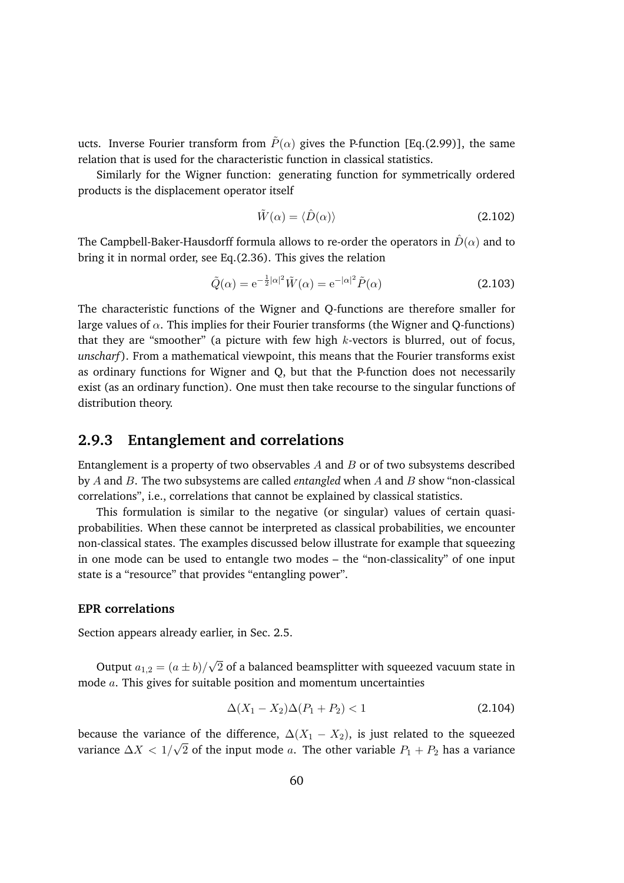ucts. Inverse Fourier transform from  $\tilde{P}(\alpha)$  gives the P-function [Eq.(2.99)], the same relation that is used for the characteristic function in classical statistics.

Similarly for the Wigner function: generating function for symmetrically ordered products is the displacement operator itself

$$
\tilde{W}(\alpha) = \langle \hat{D}(\alpha) \rangle \tag{2.102}
$$

The Campbell-Baker-Hausdorff formula allows to re-order the operators in  $\hat{D}(\alpha)$  and to bring it in normal order, see Eq.(2.36). This gives the relation

$$
\tilde{Q}(\alpha) = e^{-\frac{1}{2}|\alpha|^2} \tilde{W}(\alpha) = e^{-|\alpha|^2} \tilde{P}(\alpha)
$$
\n(2.103)

The characteristic functions of the Wigner and Q-functions are therefore smaller for large values of  $\alpha$ . This implies for their Fourier transforms (the Wigner and Q-functions) that they are "smoother" (a picture with few high *k*-vectors is blurred, out of focus, *unscharf* ). From a mathematical viewpoint, this means that the Fourier transforms exist as ordinary functions for Wigner and Q, but that the P-function does not necessarily exist (as an ordinary function). One must then take recourse to the singular functions of distribution theory.

### **2.9.3 Entanglement and correlations**

Entanglement is a property of two observables *A* and *B* or of two subsystems described by *A* and *B*. The two subsystems are called *entangled* when *A* and *B* show "non-classical correlations", i.e., correlations that cannot be explained by classical statistics.

This formulation is similar to the negative (or singular) values of certain quasiprobabilities. When these cannot be interpreted as classical probabilities, we encounter non-classical states. The examples discussed below illustrate for example that squeezing in one mode can be used to entangle two modes – the "non-classicality" of one input state is a "resource" that provides "entangling power".

#### **EPR correlations**

Section appears already earlier, in Sec. 2.5.

Output  $a_{1,2} = (a \pm b)/\sqrt{2}$  of a balanced beamsplitter with squeezed vacuum state in mode *a*. This gives for suitable position and momentum uncertainties

$$
\Delta(X_1 - X_2)\Delta(P_1 + P_2) < 1\tag{2.104}
$$

because the variance of the difference,  $\Delta(X_1 - X_2)$ , is just related to the squeezed variance  $\Delta X < 1/\sqrt{2}$  of the input mode *a*. The other variable  $P_1 + P_2$  has a variance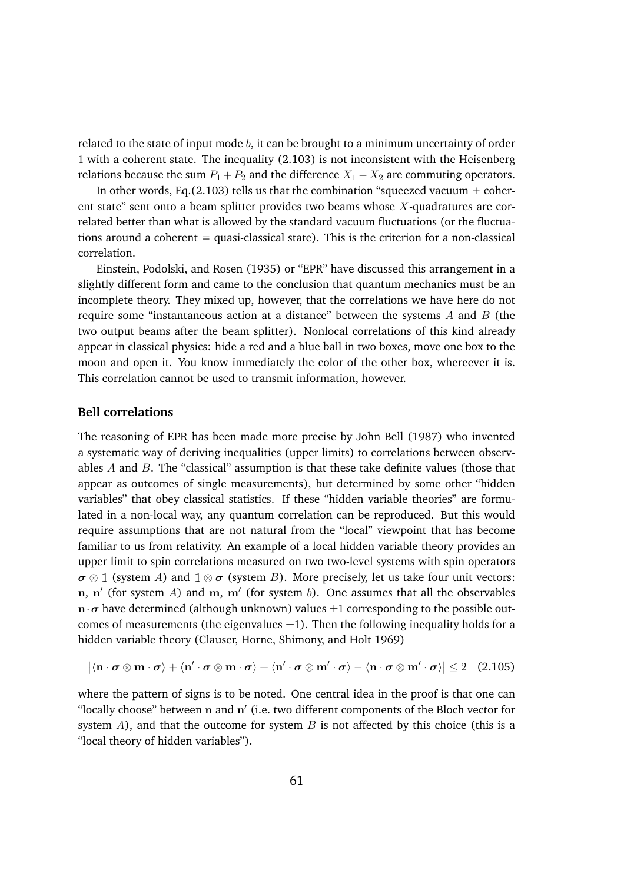related to the state of input mode *b*, it can be brought to a minimum uncertainty of order 1 with a coherent state. The inequality (2.103) is not inconsistent with the Heisenberg relations because the sum  $P_1 + P_2$  and the difference  $X_1 - X_2$  are commuting operators.

In other words, Eq.(2.103) tells us that the combination "squeezed vacuum  $+$  coherent state" sent onto a beam splitter provides two beams whose *X*-quadratures are correlated better than what is allowed by the standard vacuum fluctuations (or the fluctuations around a coherent  $=$  quasi-classical state). This is the criterion for a non-classical correlation.

Einstein, Podolski, and Rosen (1935) or "EPR" have discussed this arrangement in a slightly different form and came to the conclusion that quantum mechanics must be an incomplete theory. They mixed up, however, that the correlations we have here do not require some "instantaneous action at a distance" between the systems *A* and *B* (the two output beams after the beam splitter). Nonlocal correlations of this kind already appear in classical physics: hide a red and a blue ball in two boxes, move one box to the moon and open it. You know immediately the color of the other box, whereever it is. This correlation cannot be used to transmit information, however.

#### **Bell correlations**

The reasoning of EPR has been made more precise by John Bell (1987) who invented a systematic way of deriving inequalities (upper limits) to correlations between observables *A* and *B*. The "classical" assumption is that these take definite values (those that appear as outcomes of single measurements), but determined by some other "hidden variables" that obey classical statistics. If these "hidden variable theories" are formulated in a non-local way, any quantum correlation can be reproduced. But this would require assumptions that are not natural from the "local" viewpoint that has become familiar to us from relativity. An example of a local hidden variable theory provides an upper limit to spin correlations measured on two two-level systems with spin operators  $\sigma \otimes \mathbb{1}$  (system *A*) and  $\mathbb{1} \otimes \sigma$  (system *B*). More precisely, let us take four unit vectors: n, n' (for system *A*) and m, m' (for system *b*). One assumes that all the observables  $\mathbf{n} \cdot \boldsymbol{\sigma}$  have determined (although unknown) values  $\pm 1$  corresponding to the possible outcomes of measurements (the eigenvalues  $\pm 1$ ). Then the following inequality holds for a hidden variable theory (Clauser, Horne, Shimony, and Holt 1969)

$$
|\langle \mathbf{n} \cdot \boldsymbol{\sigma} \otimes \mathbf{m} \cdot \boldsymbol{\sigma} \rangle + \langle \mathbf{n}' \cdot \boldsymbol{\sigma} \otimes \mathbf{m} \cdot \boldsymbol{\sigma} \rangle + \langle \mathbf{n}' \cdot \boldsymbol{\sigma} \otimes \mathbf{m}' \cdot \boldsymbol{\sigma} \rangle - \langle \mathbf{n} \cdot \boldsymbol{\sigma} \otimes \mathbf{m}' \cdot \boldsymbol{\sigma} \rangle| \leq 2 \quad (2.105)
$$

where the pattern of signs is to be noted. One central idea in the proof is that one can "locally choose" between  $n$  and  $n'$  (i.e. two different components of the Bloch vector for system *A*), and that the outcome for system *B* is not affected by this choice (this is a "local theory of hidden variables").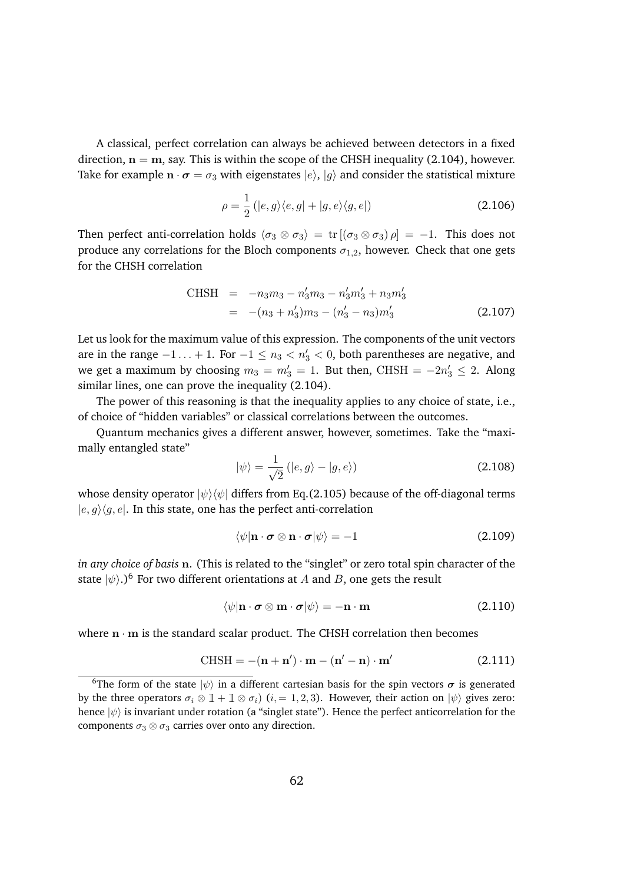A classical, perfect correlation can always be achieved between detectors in a fixed direction,  $n = m$ , say. This is within the scope of the CHSH inequality (2.104), however. Take for example  $\mathbf{n} \cdot \boldsymbol{\sigma} = \sigma_3$  with eigenstates  $|e\rangle$ ,  $|g\rangle$  and consider the statistical mixture

$$
\rho = \frac{1}{2} (|e, g\rangle\langle e, g| + |g, e\rangle\langle g, e|)
$$
\n(2.106)

Then perfect anti-correlation holds  $\langle \sigma_3 \otimes \sigma_3 \rangle = \text{tr} [(\sigma_3 \otimes \sigma_3) \rho] = -1$ . This does not produce any correlations for the Bloch components  $\sigma_{1,2}$ , however. Check that one gets for the CHSH correlation

CHSH = 
$$
-n_3m_3 - n'_3m_3 - n'_3m'_3 + n_3m'_3
$$
  
=  $-(n_3 + n'_3)m_3 - (n'_3 - n_3)m'_3$  (2.107)

Let us look for the maximum value of this expression. The components of the unit vectors are in the range  $-1 \ldots + 1$ . For  $-1 \le n_3 < n'_3 < 0$ , both parentheses are negative, and we get a maximum by choosing  $m_3 = m'_3 = 1$ . But then, CHSH  $= -2n'_3 \leq 2$ . Along similar lines, one can prove the inequality (2.104).

The power of this reasoning is that the inequality applies to any choice of state, i.e., of choice of "hidden variables" or classical correlations between the outcomes.

Quantum mechanics gives a different answer, however, sometimes. Take the "maximally entangled state"

$$
|\psi\rangle = \frac{1}{\sqrt{2}} (|e, g\rangle - |g, e\rangle)
$$
 (2.108)

whose density operator  $|\psi\rangle\langle\psi|$  differs from Eq.(2.105) because of the off-diagonal terms  $|e, g\rangle\langle g, e|$ . In this state, one has the perfect anti-correlation

$$
\langle \psi | \mathbf{n} \cdot \boldsymbol{\sigma} \otimes \mathbf{n} \cdot \boldsymbol{\sigma} | \psi \rangle = -1 \tag{2.109}
$$

*in any choice of basis* n. (This is related to the "singlet" or zero total spin character of the state  $|\psi\rangle$ .)<sup>6</sup> For two different orientations at *A* and *B*, one gets the result

$$
\langle \psi | \mathbf{n} \cdot \boldsymbol{\sigma} \otimes \mathbf{m} \cdot \boldsymbol{\sigma} | \psi \rangle = -\mathbf{n} \cdot \mathbf{m} \tag{2.110}
$$

where  $\mathbf{n} \cdot \mathbf{m}$  is the standard scalar product. The CHSH correlation then becomes

$$
CHSH = -(n + n') \cdot m - (n' - n) \cdot m'
$$
 (2.111)

<sup>&</sup>lt;sup>6</sup>The form of the state  $|\psi\rangle$  in a different cartesian basis for the spin vectors  $\sigma$  is generated by the three operators  $\sigma_i \otimes \mathbb{1} + \mathbb{1} \otimes \sigma_i$  (*i*, = 1, 2, 3). However, their action on  $|\psi\rangle$  gives zero: hence  $|\psi\rangle$  is invariant under rotation (a "singlet state"). Hence the perfect anticorrelation for the components  $\sigma_3 \otimes \sigma_3$  carries over onto any direction.